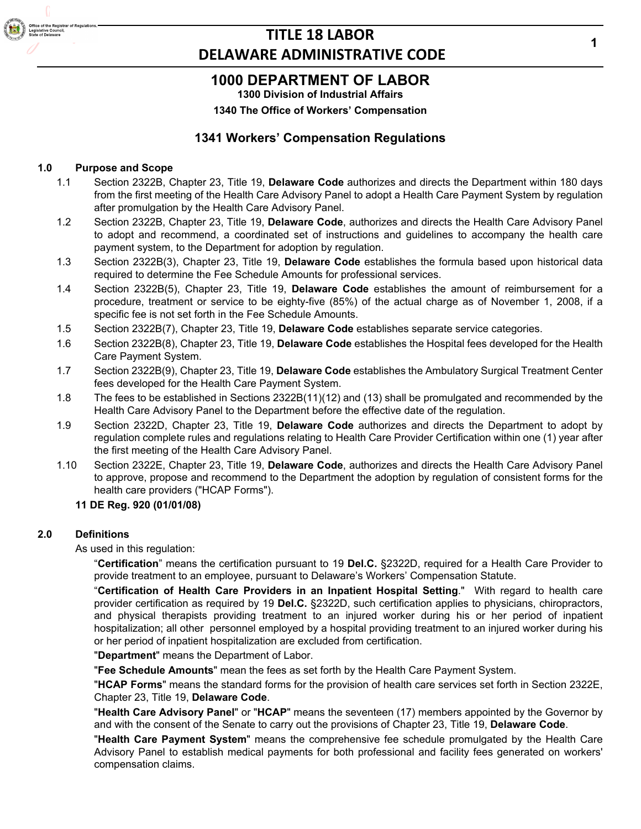## **1000 DEPARTMENT OF LABOR**

**1300 Division of Industrial Affairs**

**1340 The Office of Workers' Compensation**

## **1341 Workers' Compensation Regulations**

## **1.0 Purpose and Scope**

- 1.1 Section 2322B, Chapter 23, Title 19, **Delaware Code** authorizes and directs the Department within 180 days from the first meeting of the Health Care Advisory Panel to adopt a Health Care Payment System by regulation after promulgation by the Health Care Advisory Panel.
- 1.2 Section 2322B, Chapter 23, Title 19, **Delaware Code**, authorizes and directs the Health Care Advisory Panel to adopt and recommend, a coordinated set of instructions and guidelines to accompany the health care payment system, to the Department for adoption by regulation.
- 1.3 Section 2322B(3), Chapter 23, Title 19, **Delaware Code** establishes the formula based upon historical data required to determine the Fee Schedule Amounts for professional services.
- 1.4 Section 2322B(5), Chapter 23, Title 19, **Delaware Code** establishes the amount of reimbursement for a procedure, treatment or service to be eighty-five (85%) of the actual charge as of November 1, 2008, if a specific fee is not set forth in the Fee Schedule Amounts.
- 1.5 Section 2322B(7), Chapter 23, Title 19, **Delaware Code** establishes separate service categories.
- 1.6 Section 2322B(8), Chapter 23, Title 19, **Delaware Code** establishes the Hospital fees developed for the Health Care Payment System.
- 1.7 Section 2322B(9), Chapter 23, Title 19, **Delaware Code** establishes the Ambulatory Surgical Treatment Center fees developed for the Health Care Payment System.
- 1.8 The fees to be established in Sections 2322B(11)(12) and (13) shall be promulgated and recommended by the Health Care Advisory Panel to the Department before the effective date of the regulation.
- 1.9 Section 2322D, Chapter 23, Title 19, **Delaware Code** authorizes and directs the Department to adopt by regulation complete rules and regulations relating to Health Care Provider Certification within one (1) year after the first meeting of the Health Care Advisory Panel.
- 1.10 Section 2322E, Chapter 23, Title 19, **Delaware Code**, authorizes and directs the Health Care Advisory Panel to approve, propose and recommend to the Department the adoption by regulation of consistent forms for the health care providers ("HCAP Forms").

### **11 DE Reg. 920 (01/01/08)**

## **2.0 Definitions**

As used in this regulation:

"**Certification**" means the certification pursuant to 19 **Del.C.** §2322D, required for a Health Care Provider to provide treatment to an employee, pursuant to Delaware's Workers' Compensation Statute.

"**Certification of Health Care Providers in an Inpatient Hospital Setting**." With regard to health care provider certification as required by 19 **Del.C.** §2322D, such certification applies to physicians, chiropractors, and physical therapists providing treatment to an injured worker during his or her period of inpatient hospitalization; all other personnel employed by a hospital providing treatment to an injured worker during his or her period of inpatient hospitalization are excluded from certification.

"**Department**" means the Department of Labor.

"**Fee Schedule Amounts**" mean the fees as set forth by the Health Care Payment System.

"**HCAP Forms**" means the standard forms for the provision of health care services set forth in Section 2322E, Chapter 23, Title 19, **Delaware Code**.

"**Health Care Advisory Panel**" or "**HCAP**" means the seventeen (17) members appointed by the Governor by and with the consent of the Senate to carry out the provisions of Chapter 23, Title 19, **Delaware Code**.

"**Health Care Payment System**" means the comprehensive fee schedule promulgated by the Health Care Advisory Panel to establish medical payments for both professional and facility fees generated on workers' compensation claims.

**1**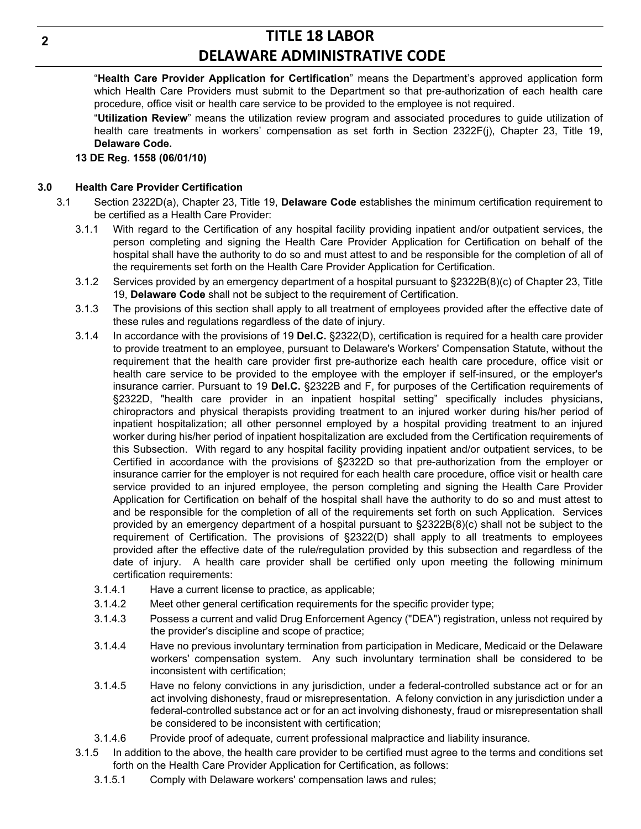"**Health Care Provider Application for Certification**" means the Department's approved application form which Health Care Providers must submit to the Department so that pre-authorization of each health care procedure, office visit or health care service to be provided to the employee is not required.

"**Utilization Review**" means the utilization review program and associated procedures to guide utilization of health care treatments in workers' compensation as set forth in Section 2322F(j), Chapter 23, Title 19, **Delaware Code.**

**13 DE Reg. 1558 (06/01/10)**

## **3.0 Health Care Provider Certification**

- 3.1 Section 2322D(a), Chapter 23, Title 19, **Delaware Code** establishes the minimum certification requirement to be certified as a Health Care Provider:
	- 3.1.1 With regard to the Certification of any hospital facility providing inpatient and/or outpatient services, the person completing and signing the Health Care Provider Application for Certification on behalf of the hospital shall have the authority to do so and must attest to and be responsible for the completion of all of the requirements set forth on the Health Care Provider Application for Certification.
	- 3.1.2 Services provided by an emergency department of a hospital pursuant to §2322B(8)(c) of Chapter 23, Title 19, **Delaware Code** shall not be subject to the requirement of Certification.
	- 3.1.3 The provisions of this section shall apply to all treatment of employees provided after the effective date of these rules and regulations regardless of the date of injury.
	- 3.1.4 In accordance with the provisions of 19 **Del.C.** §2322(D), certification is required for a health care provider to provide treatment to an employee, pursuant to Delaware's Workers' Compensation Statute, without the requirement that the health care provider first pre-authorize each health care procedure, office visit or health care service to be provided to the employee with the employer if self-insured, or the employer's insurance carrier. Pursuant to 19 **Del.C.** §2322B and F, for purposes of the Certification requirements of §2322D, "health care provider in an inpatient hospital setting" specifically includes physicians, chiropractors and physical therapists providing treatment to an injured worker during his/her period of inpatient hospitalization; all other personnel employed by a hospital providing treatment to an injured worker during his/her period of inpatient hospitalization are excluded from the Certification requirements of this Subsection. With regard to any hospital facility providing inpatient and/or outpatient services, to be Certified in accordance with the provisions of §2322D so that pre-authorization from the employer or insurance carrier for the employer is not required for each health care procedure, office visit or health care service provided to an injured employee, the person completing and signing the Health Care Provider Application for Certification on behalf of the hospital shall have the authority to do so and must attest to and be responsible for the completion of all of the requirements set forth on such Application. Services provided by an emergency department of a hospital pursuant to §2322B(8)(c) shall not be subject to the requirement of Certification. The provisions of §2322(D) shall apply to all treatments to employees provided after the effective date of the rule/regulation provided by this subsection and regardless of the date of injury. A health care provider shall be certified only upon meeting the following minimum certification requirements:
		- 3.1.4.1 Have a current license to practice, as applicable;
		- 3.1.4.2 Meet other general certification requirements for the specific provider type;
		- 3.1.4.3 Possess a current and valid Drug Enforcement Agency ("DEA") registration, unless not required by the provider's discipline and scope of practice;
		- 3.1.4.4 Have no previous involuntary termination from participation in Medicare, Medicaid or the Delaware workers' compensation system. Any such involuntary termination shall be considered to be inconsistent with certification;
		- 3.1.4.5 Have no felony convictions in any jurisdiction, under a federal-controlled substance act or for an act involving dishonesty, fraud or misrepresentation. A felony conviction in any jurisdiction under a federal-controlled substance act or for an act involving dishonesty, fraud or misrepresentation shall be considered to be inconsistent with certification;
		- 3.1.4.6 Provide proof of adequate, current professional malpractice and liability insurance.
	- 3.1.5 In addition to the above, the health care provider to be certified must agree to the terms and conditions set forth on the Health Care Provider Application for Certification, as follows:
		- 3.1.5.1 Comply with Delaware workers' compensation laws and rules;

**2**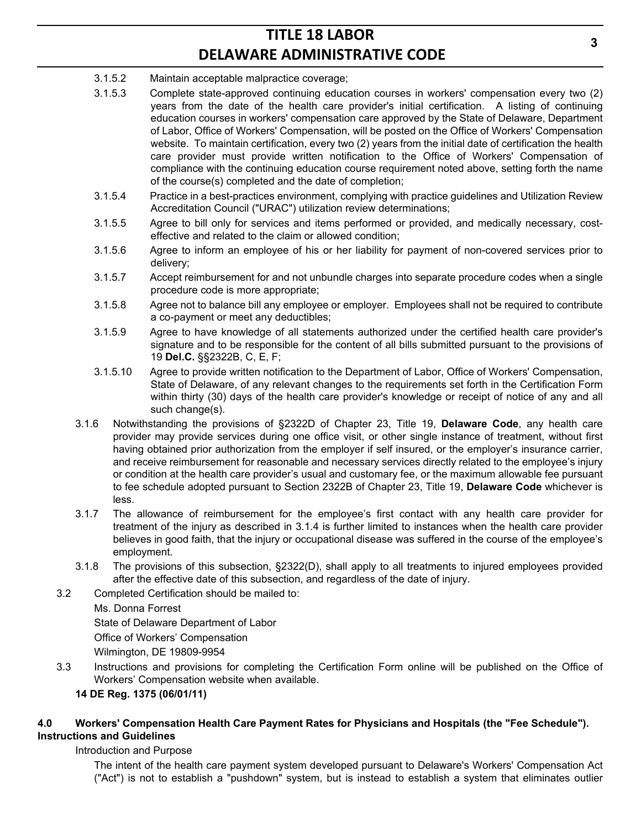- 3.1.5.2 Maintain acceptable malpractice coverage;
- 3.1.5.3 Complete state-approved continuing education courses in workers' compensation every two (2) years from the date of the health care provider's initial certification. A listing of continuing education courses in workers' compensation care approved by the State of Delaware, Department of Labor, Office of Workers' Compensation, will be posted on the Office of Workers' Compensation website. To maintain certification, every two (2) years from the initial date of certification the health care provider must provide written notification to the Office of Workers' Compensation of compliance with the continuing education course requirement noted above, setting forth the name of the course(s) completed and the date of completion;
- 3.1.5.4 Practice in a best-practices environment, complying with practice guidelines and Utilization Review Accreditation Council ("URAC") utilization review determinations;
- 3.1.5.5 Agree to bill only for services and items performed or provided, and medically necessary, costeffective and related to the claim or allowed condition;
- 3.1.5.6 Agree to inform an employee of his or her liability for payment of non-covered services prior to delivery;
- 3.1.5.7 Accept reimbursement for and not unbundle charges into separate procedure codes when a single procedure code is more appropriate;
- 3.1.5.8 Agree not to balance bill any employee or employer. Employees shall not be required to contribute a co-payment or meet any deductibles;
- 3.1.5.9 Agree to have knowledge of all statements authorized under the certified health care provider's signature and to be responsible for the content of all bills submitted pursuant to the provisions of 19 **Del.C.** §§2322B, C, E, F;
- 3.1.5.10 Agree to provide written notification to the Department of Labor, Office of Workers' Compensation, State of Delaware, of any relevant changes to the requirements set forth in the Certification Form within thirty (30) days of the health care provider's knowledge or receipt of notice of any and all such change(s).
- 3.1.6 Notwithstanding the provisions of §2322D of Chapter 23, Title 19, **Delaware Code**, any health care provider may provide services during one office visit, or other single instance of treatment, without first having obtained prior authorization from the employer if self insured, or the employer's insurance carrier, and receive reimbursement for reasonable and necessary services directly related to the employee's injury or condition at the health care provider's usual and customary fee, or the maximum allowable fee pursuant to fee schedule adopted pursuant to Section 2322B of Chapter 23, Title 19, **Delaware Code** whichever is less.
- 3.1.7 The allowance of reimbursement for the employee's first contact with any health care provider for treatment of the injury as described in 3.1.4 is further limited to instances when the health care provider believes in good faith, that the injury or occupational disease was suffered in the course of the employee's employment.
- 3.1.8 The provisions of this subsection, §2322(D), shall apply to all treatments to injured employees provided after the effective date of this subsection, and regardless of the date of injury.
- 3.2 Completed Certification should be mailed to:
	- Ms. Donna Forrest

State of Delaware Department of Labor

Office of Workers' Compensation

Wilmington, DE 19809-9954

3.3 Instructions and provisions for completing the Certification Form online will be published on the Office of Workers' Compensation website when available.

## **14 DE Reg. 1375 (06/01/11)**

## **4.0 Workers' Compensation Health Care Payment Rates for Physicians and Hospitals (the "Fee Schedule"). Instructions and Guidelines**

## Introduction and Purpose

The intent of the health care payment system developed pursuant to Delaware's Workers' Compensation Act ("Act") is not to establish a "pushdown" system, but is instead to establish a system that eliminates outlier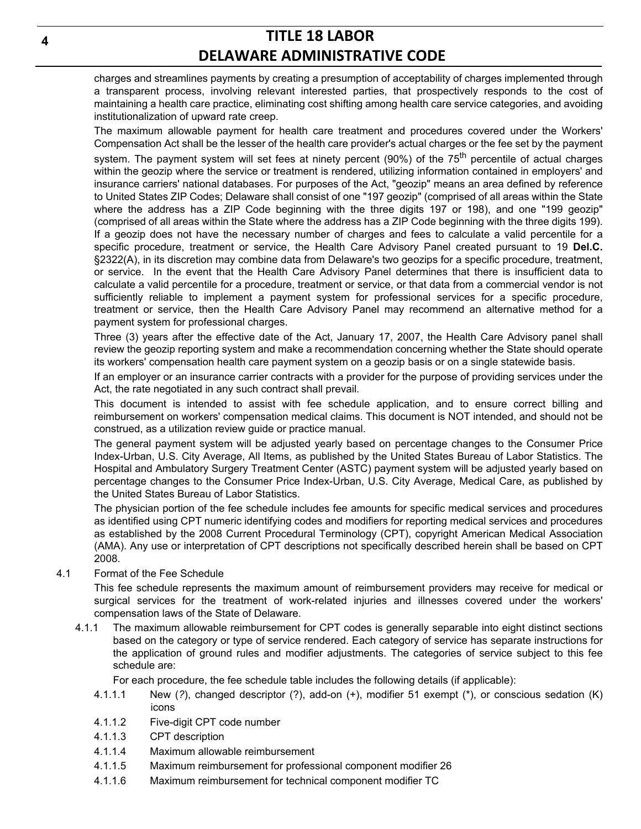charges and streamlines payments by creating a presumption of acceptability of charges implemented through a transparent process, involving relevant interested parties, that prospectively responds to the cost of maintaining a health care practice, eliminating cost shifting among health care service categories, and avoiding institutionalization of upward rate creep.

The maximum allowable payment for health care treatment and procedures covered under the Workers' Compensation Act shall be the lesser of the health care provider's actual charges or the fee set by the payment system. The payment system will set fees at ninety percent (90%) of the 75<sup>th</sup> percentile of actual charges within the geozip where the service or treatment is rendered, utilizing information contained in employers' and insurance carriers' national databases. For purposes of the Act, "geozip" means an area defined by reference to United States ZIP Codes; Delaware shall consist of one "197 geozip" (comprised of all areas within the State where the address has a ZIP Code beginning with the three digits 197 or 198), and one "199 geozip" (comprised of all areas within the State where the address has a ZIP Code beginning with the three digits 199). If a geozip does not have the necessary number of charges and fees to calculate a valid percentile for a specific procedure, treatment or service, the Health Care Advisory Panel created pursuant to 19 **Del.C.** §2322(A), in its discretion may combine data from Delaware's two geozips for a specific procedure, treatment, or service. In the event that the Health Care Advisory Panel determines that there is insufficient data to calculate a valid percentile for a procedure, treatment or service, or that data from a commercial vendor is not sufficiently reliable to implement a payment system for professional services for a specific procedure, treatment or service, then the Health Care Advisory Panel may recommend an alternative method for a payment system for professional charges.

Three (3) years after the effective date of the Act, January 17, 2007, the Health Care Advisory panel shall review the geozip reporting system and make a recommendation concerning whether the State should operate its workers' compensation health care payment system on a geozip basis or on a single statewide basis.

If an employer or an insurance carrier contracts with a provider for the purpose of providing services under the Act, the rate negotiated in any such contract shall prevail.

This document is intended to assist with fee schedule application, and to ensure correct billing and reimbursement on workers' compensation medical claims. This document is NOT intended, and should not be construed, as a utilization review guide or practice manual.

The general payment system will be adjusted yearly based on percentage changes to the Consumer Price Index-Urban, U.S. City Average, All Items, as published by the United States Bureau of Labor Statistics. The Hospital and Ambulatory Surgery Treatment Center (ASTC) payment system will be adjusted yearly based on percentage changes to the Consumer Price Index-Urban, U.S. City Average, Medical Care, as published by the United States Bureau of Labor Statistics.

The physician portion of the fee schedule includes fee amounts for specific medical services and procedures as identified using CPT numeric identifying codes and modifiers for reporting medical services and procedures as established by the 2008 Current Procedural Terminology (CPT), copyright American Medical Association (AMA). Any use or interpretation of CPT descriptions not specifically described herein shall be based on CPT 2008.

4.1 Format of the Fee Schedule

This fee schedule represents the maximum amount of reimbursement providers may receive for medical or surgical services for the treatment of work-related injuries and illnesses covered under the workers' compensation laws of the State of Delaware.

4.1.1 The maximum allowable reimbursement for CPT codes is generally separable into eight distinct sections based on the category or type of service rendered. Each category of service has separate instructions for the application of ground rules and modifier adjustments. The categories of service subject to this fee schedule are:

For each procedure, the fee schedule table includes the following details (if applicable):

- 4.1.1.1 New (*?*), changed descriptor (?), add-on (+), modifier 51 exempt (\*), or conscious sedation (K) icons
- 4.1.1.2 Five-digit CPT code number
- 4.1.1.3 CPT description
- 4.1.1.4 Maximum allowable reimbursement
- 4.1.1.5 Maximum reimbursement for professional component modifier 26
- 4.1.1.6 Maximum reimbursement for technical component modifier TC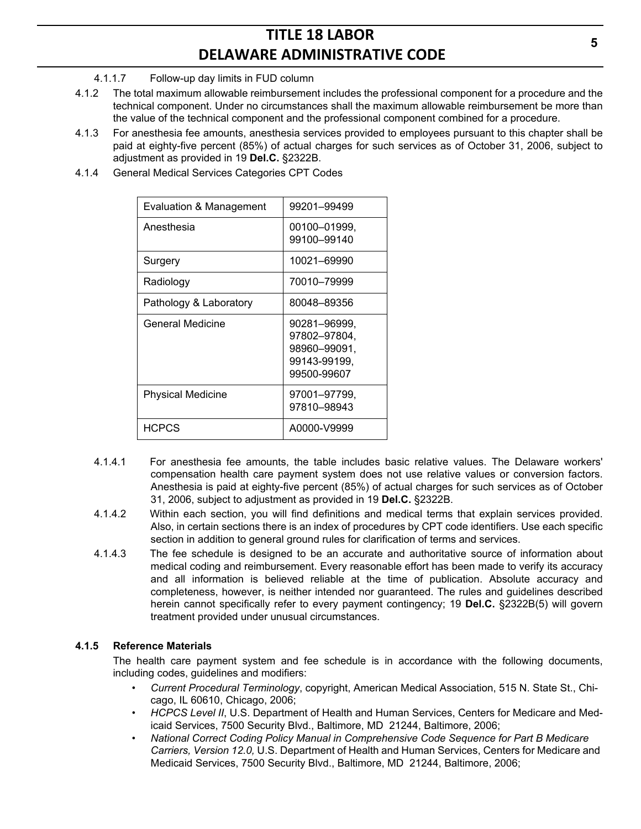## 4.1.1.7 Follow-up day limits in FUD column

- 4.1.2 The total maximum allowable reimbursement includes the professional component for a procedure and the technical component. Under no circumstances shall the maximum allowable reimbursement be more than the value of the technical component and the professional component combined for a procedure.
- 4.1.3 For anesthesia fee amounts, anesthesia services provided to employees pursuant to this chapter shall be paid at eighty-five percent (85%) of actual charges for such services as of October 31, 2006, subject to adjustment as provided in 19 **Del.C.** §2322B.
- 4.1.4 General Medical Services Categories CPT Codes

| Evaluation & Management  | 99201–99499                                                                 |
|--------------------------|-----------------------------------------------------------------------------|
| Anesthesia               | 00100-01999,<br>99100-99140                                                 |
|                          |                                                                             |
| Surgery                  | 10021-69990                                                                 |
| Radiology                | 70010-79999                                                                 |
| Pathology & Laboratory   | 80048-89356                                                                 |
| General Medicine         | 90281–96999.<br>97802–97804,<br>98960–99091.<br>99143-99199,<br>99500-99607 |
| <b>Physical Medicine</b> | 97001–97799.<br>97810–98943                                                 |
| <b>HCPCS</b>             | A0000-V9999                                                                 |

- 4.1.4.1 For anesthesia fee amounts, the table includes basic relative values. The Delaware workers' compensation health care payment system does not use relative values or conversion factors. Anesthesia is paid at eighty-five percent (85%) of actual charges for such services as of October 31, 2006, subject to adjustment as provided in 19 **Del.C.** §2322B.
- 4.1.4.2 Within each section, you will find definitions and medical terms that explain services provided. Also, in certain sections there is an index of procedures by CPT code identifiers. Use each specific section in addition to general ground rules for clarification of terms and services.
- 4.1.4.3 The fee schedule is designed to be an accurate and authoritative source of information about medical coding and reimbursement. Every reasonable effort has been made to verify its accuracy and all information is believed reliable at the time of publication. Absolute accuracy and completeness, however, is neither intended nor guaranteed. The rules and guidelines described herein cannot specifically refer to every payment contingency; 19 **Del.C.** §2322B(5) will govern treatment provided under unusual circumstances.

## **4.1.5 Reference Materials**

The health care payment system and fee schedule is in accordance with the following documents, including codes, guidelines and modifiers:

- *Current Procedural Terminology*, copyright, American Medical Association, 515 N. State St., Chicago, IL 60610, Chicago, 2006;
- *HCPCS Level II*, U.S. Department of Health and Human Services, Centers for Medicare and Medicaid Services, 7500 Security Blvd., Baltimore, MD 21244, Baltimore, 2006;
- *National Correct Coding Policy Manual in Comprehensive Code Sequence for Part B Medicare Carriers, Version 12.0,* U.S. Department of Health and Human Services, Centers for Medicare and Medicaid Services, 7500 Security Blvd., Baltimore, MD 21244, Baltimore, 2006;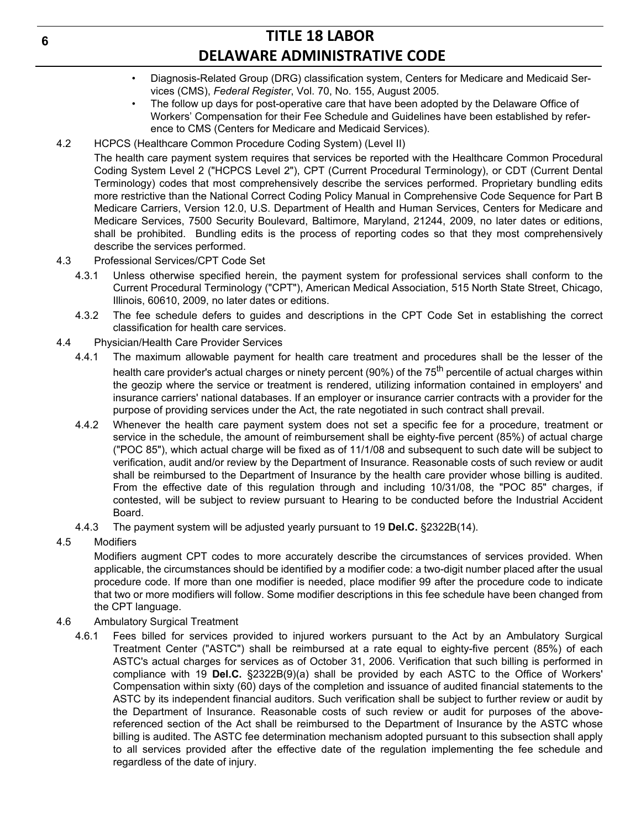- Diagnosis-Related Group (DRG) classification system, Centers for Medicare and Medicaid Services (CMS), *Federal Register*, Vol. 70, No. 155, August 2005.
- The follow up days for post-operative care that have been adopted by the Delaware Office of Workers' Compensation for their Fee Schedule and Guidelines have been established by reference to CMS (Centers for Medicare and Medicaid Services).
- 4.2 HCPCS (Healthcare Common Procedure Coding System) (Level II)

The health care payment system requires that services be reported with the Healthcare Common Procedural Coding System Level 2 ("HCPCS Level 2"), CPT (Current Procedural Terminology), or CDT (Current Dental Terminology) codes that most comprehensively describe the services performed. Proprietary bundling edits more restrictive than the National Correct Coding Policy Manual in Comprehensive Code Sequence for Part B Medicare Carriers, Version 12.0, U.S. Department of Health and Human Services, Centers for Medicare and Medicare Services, 7500 Security Boulevard, Baltimore, Maryland, 21244, 2009, no later dates or editions, shall be prohibited. Bundling edits is the process of reporting codes so that they most comprehensively describe the services performed.

- 4.3 Professional Services/CPT Code Set
	- 4.3.1 Unless otherwise specified herein, the payment system for professional services shall conform to the Current Procedural Terminology ("CPT"), American Medical Association, 515 North State Street, Chicago, Illinois, 60610, 2009, no later dates or editions.
	- 4.3.2 The fee schedule defers to guides and descriptions in the CPT Code Set in establishing the correct classification for health care services.
- 4.4 Physician/Health Care Provider Services
	- 4.4.1 The maximum allowable payment for health care treatment and procedures shall be the lesser of the health care provider's actual charges or ninety percent (90%) of the 75<sup>th</sup> percentile of actual charges within the geozip where the service or treatment is rendered, utilizing information contained in employers' and insurance carriers' national databases. If an employer or insurance carrier contracts with a provider for the purpose of providing services under the Act, the rate negotiated in such contract shall prevail.
	- 4.4.2 Whenever the health care payment system does not set a specific fee for a procedure, treatment or service in the schedule, the amount of reimbursement shall be eighty-five percent (85%) of actual charge ("POC 85"), which actual charge will be fixed as of 11/1/08 and subsequent to such date will be subject to verification, audit and/or review by the Department of Insurance. Reasonable costs of such review or audit shall be reimbursed to the Department of Insurance by the health care provider whose billing is audited. From the effective date of this regulation through and including 10/31/08, the "POC 85" charges, if contested, will be subject to review pursuant to Hearing to be conducted before the Industrial Accident Board.
	- 4.4.3 The payment system will be adjusted yearly pursuant to 19 **Del.C.** §2322B(14).
- 4.5 Modifiers

Modifiers augment CPT codes to more accurately describe the circumstances of services provided. When applicable, the circumstances should be identified by a modifier code: a two-digit number placed after the usual procedure code. If more than one modifier is needed, place modifier 99 after the procedure code to indicate that two or more modifiers will follow. Some modifier descriptions in this fee schedule have been changed from the CPT language.

- 4.6 Ambulatory Surgical Treatment
	- 4.6.1 Fees billed for services provided to injured workers pursuant to the Act by an Ambulatory Surgical Treatment Center ("ASTC") shall be reimbursed at a rate equal to eighty-five percent (85%) of each ASTC's actual charges for services as of October 31, 2006. Verification that such billing is performed in compliance with 19 **Del.C.** §2322B(9)(a) shall be provided by each ASTC to the Office of Workers' Compensation within sixty (60) days of the completion and issuance of audited financial statements to the ASTC by its independent financial auditors. Such verification shall be subject to further review or audit by the Department of Insurance. Reasonable costs of such review or audit for purposes of the abovereferenced section of the Act shall be reimbursed to the Department of Insurance by the ASTC whose billing is audited. The ASTC fee determination mechanism adopted pursuant to this subsection shall apply to all services provided after the effective date of the regulation implementing the fee schedule and regardless of the date of injury.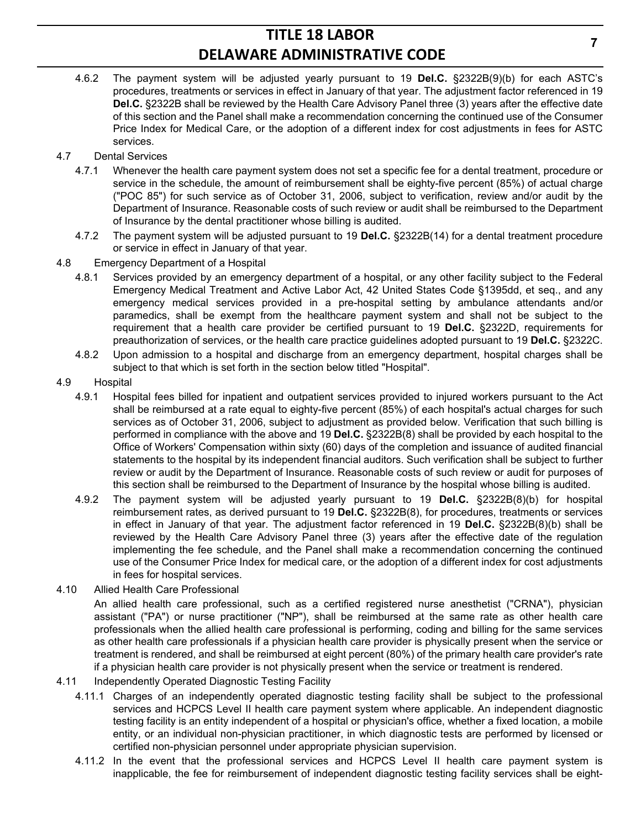- 4.6.2 The payment system will be adjusted yearly pursuant to 19 **Del.C.** §2322B(9)(b) for each ASTC's procedures, treatments or services in effect in January of that year. The adjustment factor referenced in 19 **Del.C.** §2322B shall be reviewed by the Health Care Advisory Panel three (3) years after the effective date of this section and the Panel shall make a recommendation concerning the continued use of the Consumer Price Index for Medical Care, or the adoption of a different index for cost adjustments in fees for ASTC services.
- 4.7 Dental Services
	- 4.7.1 Whenever the health care payment system does not set a specific fee for a dental treatment, procedure or service in the schedule, the amount of reimbursement shall be eighty-five percent (85%) of actual charge ("POC 85") for such service as of October 31, 2006, subject to verification, review and/or audit by the Department of Insurance. Reasonable costs of such review or audit shall be reimbursed to the Department of Insurance by the dental practitioner whose billing is audited.
	- 4.7.2 The payment system will be adjusted pursuant to 19 **Del.C.** §2322B(14) for a dental treatment procedure or service in effect in January of that year.
- 4.8 Emergency Department of a Hospital
	- 4.8.1 Services provided by an emergency department of a hospital, or any other facility subject to the Federal Emergency Medical Treatment and Active Labor Act, 42 United States Code §1395dd, et seq., and any emergency medical services provided in a pre-hospital setting by ambulance attendants and/or paramedics, shall be exempt from the healthcare payment system and shall not be subject to the requirement that a health care provider be certified pursuant to 19 **Del.C.** §2322D, requirements for preauthorization of services, or the health care practice guidelines adopted pursuant to 19 **Del.C.** §2322C.
	- 4.8.2 Upon admission to a hospital and discharge from an emergency department, hospital charges shall be subject to that which is set forth in the section below titled "Hospital".
- 4.9 Hospital
	- 4.9.1 Hospital fees billed for inpatient and outpatient services provided to injured workers pursuant to the Act shall be reimbursed at a rate equal to eighty-five percent (85%) of each hospital's actual charges for such services as of October 31, 2006, subject to adjustment as provided below. Verification that such billing is performed in compliance with the above and 19 **Del.C.** §2322B(8) shall be provided by each hospital to the Office of Workers' Compensation within sixty (60) days of the completion and issuance of audited financial statements to the hospital by its independent financial auditors. Such verification shall be subject to further review or audit by the Department of Insurance. Reasonable costs of such review or audit for purposes of this section shall be reimbursed to the Department of Insurance by the hospital whose billing is audited.
	- 4.9.2 The payment system will be adjusted yearly pursuant to 19 **Del.C.** §2322B(8)(b) for hospital reimbursement rates, as derived pursuant to 19 **Del.C.** §2322B(8), for procedures, treatments or services in effect in January of that year. The adjustment factor referenced in 19 **Del.C.** §2322B(8)(b) shall be reviewed by the Health Care Advisory Panel three (3) years after the effective date of the regulation implementing the fee schedule, and the Panel shall make a recommendation concerning the continued use of the Consumer Price Index for medical care, or the adoption of a different index for cost adjustments in fees for hospital services.
- 4.10 Allied Health Care Professional

An allied health care professional, such as a certified registered nurse anesthetist ("CRNA"), physician assistant ("PA") or nurse practitioner ("NP"), shall be reimbursed at the same rate as other health care professionals when the allied health care professional is performing, coding and billing for the same services as other health care professionals if a physician health care provider is physically present when the service or treatment is rendered, and shall be reimbursed at eight percent (80%) of the primary health care provider's rate if a physician health care provider is not physically present when the service or treatment is rendered.

- 4.11 Independently Operated Diagnostic Testing Facility
	- 4.11.1 Charges of an independently operated diagnostic testing facility shall be subject to the professional services and HCPCS Level II health care payment system where applicable. An independent diagnostic testing facility is an entity independent of a hospital or physician's office, whether a fixed location, a mobile entity, or an individual non-physician practitioner, in which diagnostic tests are performed by licensed or certified non-physician personnel under appropriate physician supervision.
	- 4.11.2 In the event that the professional services and HCPCS Level II health care payment system is inapplicable, the fee for reimbursement of independent diagnostic testing facility services shall be eight-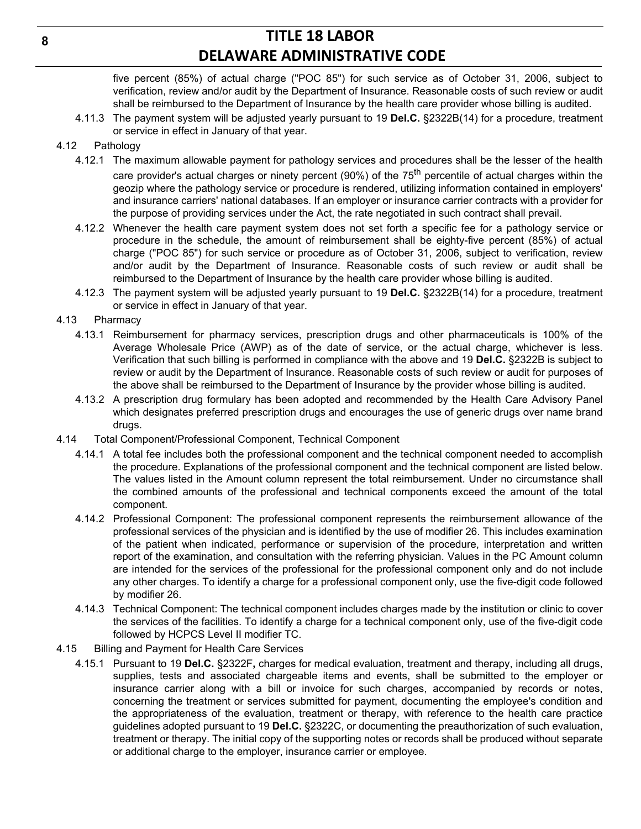five percent (85%) of actual charge ("POC 85") for such service as of October 31, 2006, subject to verification, review and/or audit by the Department of Insurance. Reasonable costs of such review or audit shall be reimbursed to the Department of Insurance by the health care provider whose billing is audited.

4.11.3 The payment system will be adjusted yearly pursuant to 19 **Del.C.** §2322B(14) for a procedure, treatment or service in effect in January of that year.

### 4.12 Pathology

- 4.12.1 The maximum allowable payment for pathology services and procedures shall be the lesser of the health care provider's actual charges or ninety percent (90%) of the 75<sup>th</sup> percentile of actual charges within the geozip where the pathology service or procedure is rendered, utilizing information contained in employers' and insurance carriers' national databases. If an employer or insurance carrier contracts with a provider for the purpose of providing services under the Act, the rate negotiated in such contract shall prevail.
- 4.12.2 Whenever the health care payment system does not set forth a specific fee for a pathology service or procedure in the schedule, the amount of reimbursement shall be eighty-five percent (85%) of actual charge ("POC 85") for such service or procedure as of October 31, 2006, subject to verification, review and/or audit by the Department of Insurance. Reasonable costs of such review or audit shall be reimbursed to the Department of Insurance by the health care provider whose billing is audited.
- 4.12.3 The payment system will be adjusted yearly pursuant to 19 **Del.C.** §2322B(14) for a procedure, treatment or service in effect in January of that year.

### 4.13 Pharmacy

- 4.13.1 Reimbursement for pharmacy services, prescription drugs and other pharmaceuticals is 100% of the Average Wholesale Price (AWP) as of the date of service, or the actual charge, whichever is less. Verification that such billing is performed in compliance with the above and 19 **Del.C.** §2322B is subject to review or audit by the Department of Insurance. Reasonable costs of such review or audit for purposes of the above shall be reimbursed to the Department of Insurance by the provider whose billing is audited.
- 4.13.2 A prescription drug formulary has been adopted and recommended by the Health Care Advisory Panel which designates preferred prescription drugs and encourages the use of generic drugs over name brand drugs.
- 4.14 Total Component/Professional Component, Technical Component
	- 4.14.1 A total fee includes both the professional component and the technical component needed to accomplish the procedure. Explanations of the professional component and the technical component are listed below. The values listed in the Amount column represent the total reimbursement. Under no circumstance shall the combined amounts of the professional and technical components exceed the amount of the total component.
	- 4.14.2 Professional Component: The professional component represents the reimbursement allowance of the professional services of the physician and is identified by the use of modifier 26. This includes examination of the patient when indicated, performance or supervision of the procedure, interpretation and written report of the examination, and consultation with the referring physician. Values in the PC Amount column are intended for the services of the professional for the professional component only and do not include any other charges. To identify a charge for a professional component only, use the five-digit code followed by modifier 26.
	- 4.14.3 Technical Component: The technical component includes charges made by the institution or clinic to cover the services of the facilities. To identify a charge for a technical component only, use of the five-digit code followed by HCPCS Level II modifier TC.

### 4.15 Billing and Payment for Health Care Services

4.15.1 Pursuant to 19 **Del.C.** §2322F**,** charges for medical evaluation, treatment and therapy, including all drugs, supplies, tests and associated chargeable items and events, shall be submitted to the employer or insurance carrier along with a bill or invoice for such charges, accompanied by records or notes, concerning the treatment or services submitted for payment, documenting the employee's condition and the appropriateness of the evaluation, treatment or therapy, with reference to the health care practice guidelines adopted pursuant to 19 **Del.C.** §2322C, or documenting the preauthorization of such evaluation, treatment or therapy. The initial copy of the supporting notes or records shall be produced without separate or additional charge to the employer, insurance carrier or employee.

**8**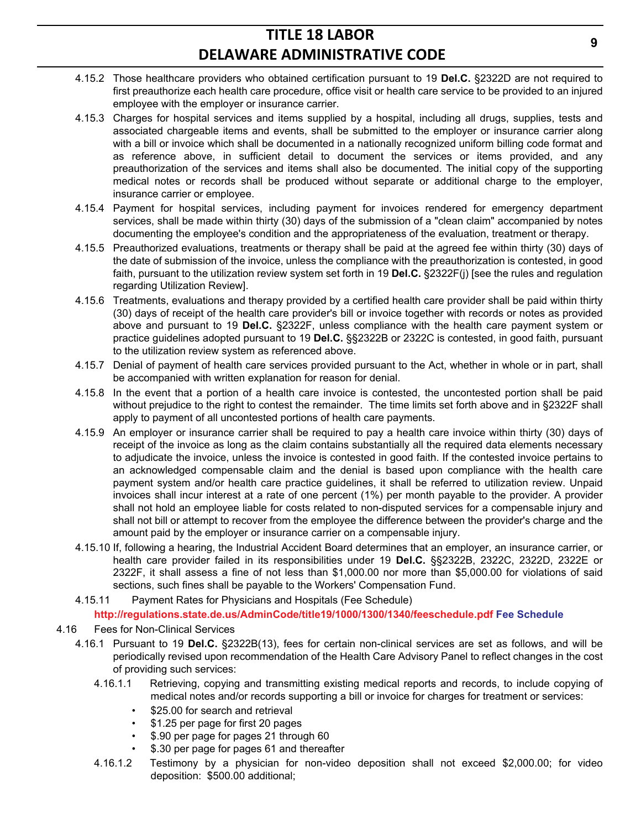- 4.15.2 Those healthcare providers who obtained certification pursuant to 19 **Del.C.** §2322D are not required to first preauthorize each health care procedure, office visit or health care service to be provided to an injured employee with the employer or insurance carrier.
- 4.15.3 Charges for hospital services and items supplied by a hospital, including all drugs, supplies, tests and associated chargeable items and events, shall be submitted to the employer or insurance carrier along with a bill or invoice which shall be documented in a nationally recognized uniform billing code format and as reference above, in sufficient detail to document the services or items provided, and any preauthorization of the services and items shall also be documented. The initial copy of the supporting medical notes or records shall be produced without separate or additional charge to the employer, insurance carrier or employee.
- 4.15.4 Payment for hospital services, including payment for invoices rendered for emergency department services, shall be made within thirty (30) days of the submission of a "clean claim" accompanied by notes documenting the employee's condition and the appropriateness of the evaluation, treatment or therapy.
- 4.15.5 Preauthorized evaluations, treatments or therapy shall be paid at the agreed fee within thirty (30) days of the date of submission of the invoice, unless the compliance with the preauthorization is contested, in good faith, pursuant to the utilization review system set forth in 19 **Del.C.** §2322F(j) [see the rules and regulation regarding Utilization Review].
- 4.15.6 Treatments, evaluations and therapy provided by a certified health care provider shall be paid within thirty (30) days of receipt of the health care provider's bill or invoice together with records or notes as provided above and pursuant to 19 **Del.C.** §2322F, unless compliance with the health care payment system or practice guidelines adopted pursuant to 19 **Del.C.** §§2322B or 2322C is contested, in good faith, pursuant to the utilization review system as referenced above.
- 4.15.7 Denial of payment of health care services provided pursuant to the Act, whether in whole or in part, shall be accompanied with written explanation for reason for denial.
- 4.15.8 In the event that a portion of a health care invoice is contested, the uncontested portion shall be paid without prejudice to the right to contest the remainder. The time limits set forth above and in §2322F shall apply to payment of all uncontested portions of health care payments.
- 4.15.9 An employer or insurance carrier shall be required to pay a health care invoice within thirty (30) days of receipt of the invoice as long as the claim contains substantially all the required data elements necessary to adjudicate the invoice, unless the invoice is contested in good faith. If the contested invoice pertains to an acknowledged compensable claim and the denial is based upon compliance with the health care payment system and/or health care practice guidelines, it shall be referred to utilization review. Unpaid invoices shall incur interest at a rate of one percent (1%) per month payable to the provider. A provider shall not hold an employee liable for costs related to non-disputed services for a compensable injury and shall not bill or attempt to recover from the employee the difference between the provider's charge and the amount paid by the employer or insurance carrier on a compensable injury.
- 4.15.10 If, following a hearing, the Industrial Accident Board determines that an employer, an insurance carrier, or health care provider failed in its responsibilities under 19 **Del.C.** §§2322B, 2322C, 2322D, 2322E or 2322F, it shall assess a fine of not less than \$1,000.00 nor more than \$5,000.00 for violations of said sections, such fines shall be payable to the Workers' Compensation Fund.
- 4.15.11 Payment Rates for Physicians and Hospitals (Fee Schedule)

**http://regulations.state.de.us/AdminCode/title19/1000/1300/1340/feeschedule.pdf Fee Schedule**

- 4.16 Fees for Non-Clinical Services
	- 4.16.1 Pursuant to 19 **Del.C.** §2322B(13), fees for certain non-clinical services are set as follows, and will be periodically revised upon recommendation of the Health Care Advisory Panel to reflect changes in the cost of providing such services:
		- 4.16.1.1 Retrieving, copying and transmitting existing medical reports and records, to include copying of medical notes and/or records supporting a bill or invoice for charges for treatment or services:
			- \$25.00 for search and retrieval
			- \$1.25 per page for first 20 pages
			- \$.90 per page for pages 21 through 60
			- \$.30 per page for pages 61 and thereafter
		- 4.16.1.2 Testimony by a physician for non-video deposition shall not exceed \$2,000.00; for video deposition: \$500.00 additional;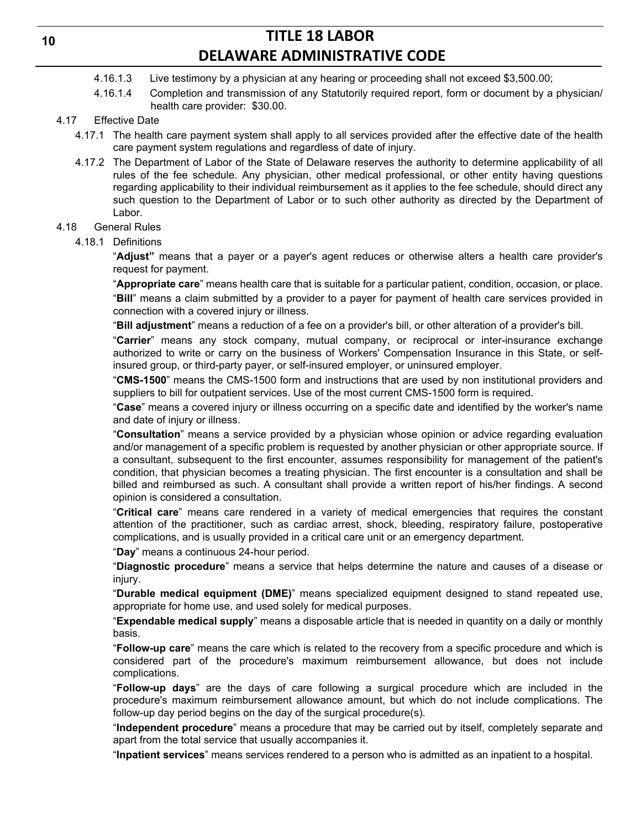- 4.16.1.3 Live testimony by a physician at any hearing or proceeding shall not exceed \$3,500.00;
- 4.16.1.4 Completion and transmission of any Statutorily required report, form or document by a physician/ health care provider: \$30.00.

## 4.17 Effective Date

- 4.17.1 The health care payment system shall apply to all services provided after the effective date of the health care payment system regulations and regardless of date of injury.
- 4.17.2 The Department of Labor of the State of Delaware reserves the authority to determine applicability of all rules of the fee schedule. Any physician, other medical professional, or other entity having questions regarding applicability to their individual reimbursement as it applies to the fee schedule, should direct any such question to the Department of Labor or to such other authority as directed by the Department of Labor.

#### 4.18 General Rules

4.18.1 Definitions

"**Adjust"** means that a payer or a payer's agent reduces or otherwise alters a health care provider's request for payment.

"**Appropriate care**" means health care that is suitable for a particular patient, condition, occasion, or place. "**Bill**" means a claim submitted by a provider to a payer for payment of health care services provided in connection with a covered injury or illness.

"**Bill adjustment**" means a reduction of a fee on a provider's bill, or other alteration of a provider's bill.

"**Carrier**" means any stock company, mutual company, or reciprocal or inter-insurance exchange authorized to write or carry on the business of Workers' Compensation Insurance in this State, or selfinsured group, or third-party payer, or self-insured employer, or uninsured employer.

"**CMS-1500**" means the CMS-1500 form and instructions that are used by non institutional providers and suppliers to bill for outpatient services. Use of the most current CMS-1500 form is required.

"**Case**" means a covered injury or illness occurring on a specific date and identified by the worker's name and date of injury or illness.

"**Consultation**" means a service provided by a physician whose opinion or advice regarding evaluation and/or management of a specific problem is requested by another physician or other appropriate source. If a consultant, subsequent to the first encounter, assumes responsibility for management of the patient's condition, that physician becomes a treating physician. The first encounter is a consultation and shall be billed and reimbursed as such. A consultant shall provide a written report of his/her findings. A second opinion is considered a consultation.

"**Critical care**" means care rendered in a variety of medical emergencies that requires the constant attention of the practitioner, such as cardiac arrest, shock, bleeding, respiratory failure, postoperative complications, and is usually provided in a critical care unit or an emergency department.

### "**Day**" means a continuous 24-hour period.

"**Diagnostic procedure**" means a service that helps determine the nature and causes of a disease or injury.

"**Durable medical equipment (DME)**" means specialized equipment designed to stand repeated use, appropriate for home use, and used solely for medical purposes.

"**Expendable medical supply**" means a disposable article that is needed in quantity on a daily or monthly basis.

"**Follow-up care**" means the care which is related to the recovery from a specific procedure and which is considered part of the procedure's maximum reimbursement allowance, but does not include complications.

"**Follow-up days**" are the days of care following a surgical procedure which are included in the procedure's maximum reimbursement allowance amount, but which do not include complications. The follow-up day period begins on the day of the surgical procedure(s).

"**Independent procedure**" means a procedure that may be carried out by itself, completely separate and apart from the total service that usually accompanies it.

"**Inpatient services**" means services rendered to a person who is admitted as an inpatient to a hospital.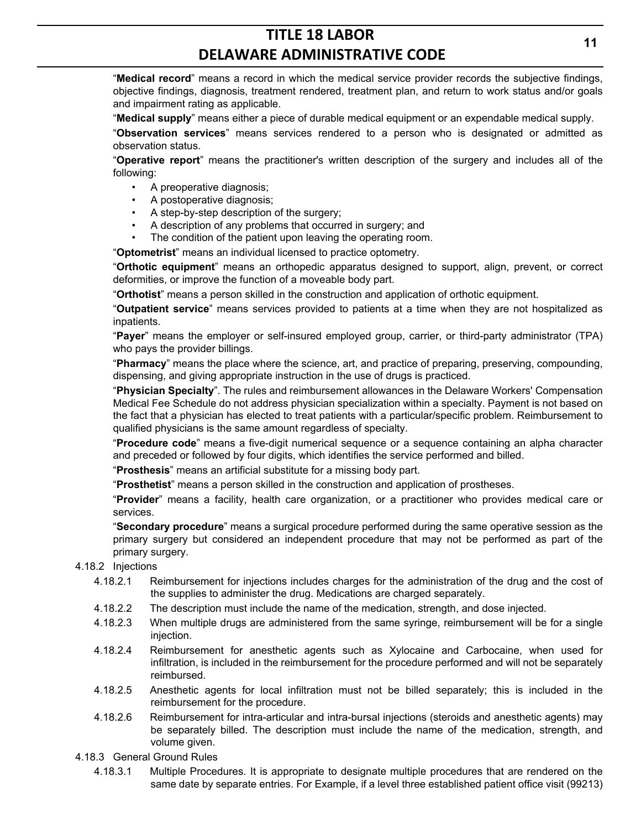"**Medical record**" means a record in which the medical service provider records the subjective findings, objective findings, diagnosis, treatment rendered, treatment plan, and return to work status and/or goals and impairment rating as applicable.

"**Medical supply**" means either a piece of durable medical equipment or an expendable medical supply.

"**Observation services**" means services rendered to a person who is designated or admitted as observation status.

"**Operative report**" means the practitioner's written description of the surgery and includes all of the following:

- A preoperative diagnosis;
- A postoperative diagnosis;
- A step-by-step description of the surgery;
- A description of any problems that occurred in surgery; and
- The condition of the patient upon leaving the operating room.

"**Optometrist**" means an individual licensed to practice optometry.

"**Orthotic equipment**" means an orthopedic apparatus designed to support, align, prevent, or correct deformities, or improve the function of a moveable body part.

"**Orthotist**" means a person skilled in the construction and application of orthotic equipment.

"**Outpatient service**" means services provided to patients at a time when they are not hospitalized as inpatients.

"**Payer**" means the employer or self-insured employed group, carrier, or third-party administrator (TPA) who pays the provider billings.

"**Pharmacy**" means the place where the science, art, and practice of preparing, preserving, compounding, dispensing, and giving appropriate instruction in the use of drugs is practiced.

"**Physician Specialty**". The rules and reimbursement allowances in the Delaware Workers' Compensation Medical Fee Schedule do not address physician specialization within a specialty. Payment is not based on the fact that a physician has elected to treat patients with a particular/specific problem. Reimbursement to qualified physicians is the same amount regardless of specialty.

"**Procedure code**" means a five-digit numerical sequence or a sequence containing an alpha character and preceded or followed by four digits, which identifies the service performed and billed.

"**Prosthesis**" means an artificial substitute for a missing body part.

"**Prosthetist**" means a person skilled in the construction and application of prostheses.

"**Provider**" means a facility, health care organization, or a practitioner who provides medical care or services.

"**Secondary procedure**" means a surgical procedure performed during the same operative session as the primary surgery but considered an independent procedure that may not be performed as part of the primary surgery.

- 4.18.2 Injections
	- 4.18.2.1 Reimbursement for injections includes charges for the administration of the drug and the cost of the supplies to administer the drug. Medications are charged separately.
	- 4.18.2.2 The description must include the name of the medication, strength, and dose injected.
	- 4.18.2.3 When multiple drugs are administered from the same syringe, reimbursement will be for a single injection.
	- 4.18.2.4 Reimbursement for anesthetic agents such as Xylocaine and Carbocaine, when used for infiltration, is included in the reimbursement for the procedure performed and will not be separately reimbursed.
	- 4.18.2.5 Anesthetic agents for local infiltration must not be billed separately; this is included in the reimbursement for the procedure.
	- 4.18.2.6 Reimbursement for intra-articular and intra-bursal injections (steroids and anesthetic agents) may be separately billed. The description must include the name of the medication, strength, and volume given.
- 4.18.3 General Ground Rules
	- 4.18.3.1 Multiple Procedures. It is appropriate to designate multiple procedures that are rendered on the same date by separate entries. For Example, if a level three established patient office visit (99213)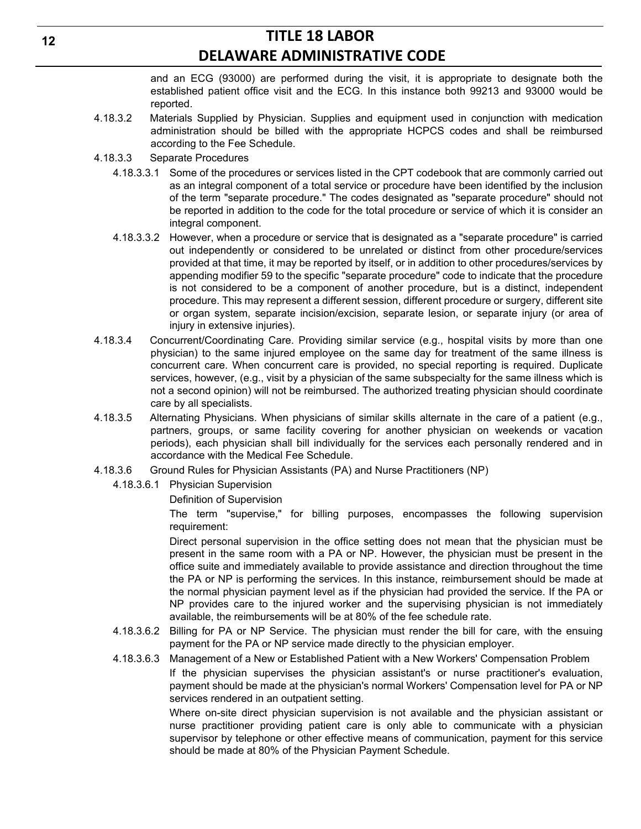and an ECG (93000) are performed during the visit, it is appropriate to designate both the established patient office visit and the ECG. In this instance both 99213 and 93000 would be reported.

- 4.18.3.2 Materials Supplied by Physician. Supplies and equipment used in conjunction with medication administration should be billed with the appropriate HCPCS codes and shall be reimbursed according to the Fee Schedule.
- 4.18.3.3 Separate Procedures
	- 4.18.3.3.1 Some of the procedures or services listed in the CPT codebook that are commonly carried out as an integral component of a total service or procedure have been identified by the inclusion of the term "separate procedure." The codes designated as "separate procedure" should not be reported in addition to the code for the total procedure or service of which it is consider an integral component.
	- 4.18.3.3.2 However, when a procedure or service that is designated as a "separate procedure" is carried out independently or considered to be unrelated or distinct from other procedure/services provided at that time, it may be reported by itself, or in addition to other procedures/services by appending modifier 59 to the specific "separate procedure" code to indicate that the procedure is not considered to be a component of another procedure, but is a distinct, independent procedure. This may represent a different session, different procedure or surgery, different site or organ system, separate incision/excision, separate lesion, or separate injury (or area of injury in extensive injuries).
- 4.18.3.4 Concurrent/Coordinating Care. Providing similar service (e.g., hospital visits by more than one physician) to the same injured employee on the same day for treatment of the same illness is concurrent care. When concurrent care is provided, no special reporting is required. Duplicate services, however, (e.g., visit by a physician of the same subspecialty for the same illness which is not a second opinion) will not be reimbursed. The authorized treating physician should coordinate care by all specialists.
- 4.18.3.5 Alternating Physicians. When physicians of similar skills alternate in the care of a patient (e.g., partners, groups, or same facility covering for another physician on weekends or vacation periods), each physician shall bill individually for the services each personally rendered and in accordance with the Medical Fee Schedule.
- 4.18.3.6 Ground Rules for Physician Assistants (PA) and Nurse Practitioners (NP)
	- 4.18.3.6.1 Physician Supervision
		- Definition of Supervision

The term "supervise," for billing purposes, encompasses the following supervision requirement:

Direct personal supervision in the office setting does not mean that the physician must be present in the same room with a PA or NP. However, the physician must be present in the office suite and immediately available to provide assistance and direction throughout the time the PA or NP is performing the services. In this instance, reimbursement should be made at the normal physician payment level as if the physician had provided the service. If the PA or NP provides care to the injured worker and the supervising physician is not immediately available, the reimbursements will be at 80% of the fee schedule rate.

- 4.18.3.6.2 Billing for PA or NP Service. The physician must render the bill for care, with the ensuing payment for the PA or NP service made directly to the physician employer.
- 4.18.3.6.3 Management of a New or Established Patient with a New Workers' Compensation Problem If the physician supervises the physician assistant's or nurse practitioner's evaluation, payment should be made at the physician's normal Workers' Compensation level for PA or NP services rendered in an outpatient setting.

Where on-site direct physician supervision is not available and the physician assistant or nurse practitioner providing patient care is only able to communicate with a physician supervisor by telephone or other effective means of communication, payment for this service should be made at 80% of the Physician Payment Schedule.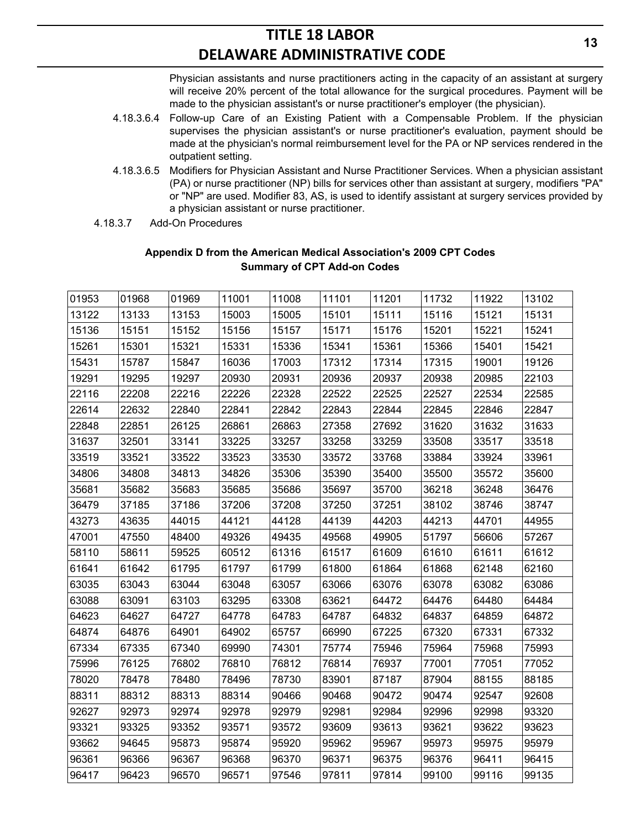Physician assistants and nurse practitioners acting in the capacity of an assistant at surgery will receive 20% percent of the total allowance for the surgical procedures. Payment will be made to the physician assistant's or nurse practitioner's employer (the physician).

- 4.18.3.6.4 Follow-up Care of an Existing Patient with a Compensable Problem. If the physician supervises the physician assistant's or nurse practitioner's evaluation, payment should be made at the physician's normal reimbursement level for the PA or NP services rendered in the outpatient setting.
- 4.18.3.6.5 Modifiers for Physician Assistant and Nurse Practitioner Services. When a physician assistant (PA) or nurse practitioner (NP) bills for services other than assistant at surgery, modifiers "PA" or "NP" are used. Modifier 83, AS, is used to identify assistant at surgery services provided by a physician assistant or nurse practitioner.
- 4.18.3.7 Add-On Procedures

| 01953 | 01968 | 01969 | 11001 | 11008 | 11101 | 11201 | 11732 | 11922 | 13102 |
|-------|-------|-------|-------|-------|-------|-------|-------|-------|-------|
| 13122 | 13133 | 13153 | 15003 | 15005 | 15101 | 15111 | 15116 | 15121 | 15131 |
| 15136 | 15151 | 15152 | 15156 | 15157 | 15171 | 15176 | 15201 | 15221 | 15241 |
| 15261 | 15301 | 15321 | 15331 | 15336 | 15341 | 15361 | 15366 | 15401 | 15421 |
| 15431 | 15787 | 15847 | 16036 | 17003 | 17312 | 17314 | 17315 | 19001 | 19126 |
| 19291 | 19295 | 19297 | 20930 | 20931 | 20936 | 20937 | 20938 | 20985 | 22103 |
| 22116 | 22208 | 22216 | 22226 | 22328 | 22522 | 22525 | 22527 | 22534 | 22585 |
| 22614 | 22632 | 22840 | 22841 | 22842 | 22843 | 22844 | 22845 | 22846 | 22847 |
| 22848 | 22851 | 26125 | 26861 | 26863 | 27358 | 27692 | 31620 | 31632 | 31633 |
| 31637 | 32501 | 33141 | 33225 | 33257 | 33258 | 33259 | 33508 | 33517 | 33518 |
| 33519 | 33521 | 33522 | 33523 | 33530 | 33572 | 33768 | 33884 | 33924 | 33961 |
| 34806 | 34808 | 34813 | 34826 | 35306 | 35390 | 35400 | 35500 | 35572 | 35600 |
| 35681 | 35682 | 35683 | 35685 | 35686 | 35697 | 35700 | 36218 | 36248 | 36476 |
| 36479 | 37185 | 37186 | 37206 | 37208 | 37250 | 37251 | 38102 | 38746 | 38747 |
| 43273 | 43635 | 44015 | 44121 | 44128 | 44139 | 44203 | 44213 | 44701 | 44955 |
| 47001 | 47550 | 48400 | 49326 | 49435 | 49568 | 49905 | 51797 | 56606 | 57267 |
| 58110 | 58611 | 59525 | 60512 | 61316 | 61517 | 61609 | 61610 | 61611 | 61612 |
| 61641 | 61642 | 61795 | 61797 | 61799 | 61800 | 61864 | 61868 | 62148 | 62160 |
| 63035 | 63043 | 63044 | 63048 | 63057 | 63066 | 63076 | 63078 | 63082 | 63086 |
| 63088 | 63091 | 63103 | 63295 | 63308 | 63621 | 64472 | 64476 | 64480 | 64484 |
| 64623 | 64627 | 64727 | 64778 | 64783 | 64787 | 64832 | 64837 | 64859 | 64872 |
| 64874 | 64876 | 64901 | 64902 | 65757 | 66990 | 67225 | 67320 | 67331 | 67332 |
| 67334 | 67335 | 67340 | 69990 | 74301 | 75774 | 75946 | 75964 | 75968 | 75993 |
| 75996 | 76125 | 76802 | 76810 | 76812 | 76814 | 76937 | 77001 | 77051 | 77052 |
| 78020 | 78478 | 78480 | 78496 | 78730 | 83901 | 87187 | 87904 | 88155 | 88185 |
| 88311 | 88312 | 88313 | 88314 | 90466 | 90468 | 90472 | 90474 | 92547 | 92608 |
| 92627 | 92973 | 92974 | 92978 | 92979 | 92981 | 92984 | 92996 | 92998 | 93320 |
| 93321 | 93325 | 93352 | 93571 | 93572 | 93609 | 93613 | 93621 | 93622 | 93623 |
| 93662 | 94645 | 95873 | 95874 | 95920 | 95962 | 95967 | 95973 | 95975 | 95979 |
| 96361 | 96366 | 96367 | 96368 | 96370 | 96371 | 96375 | 96376 | 96411 | 96415 |
| 96417 | 96423 | 96570 | 96571 | 97546 | 97811 | 97814 | 99100 | 99116 | 99135 |

## **Appendix D from the American Medical Association's 2009 CPT Codes Summary of CPT Add-on Codes**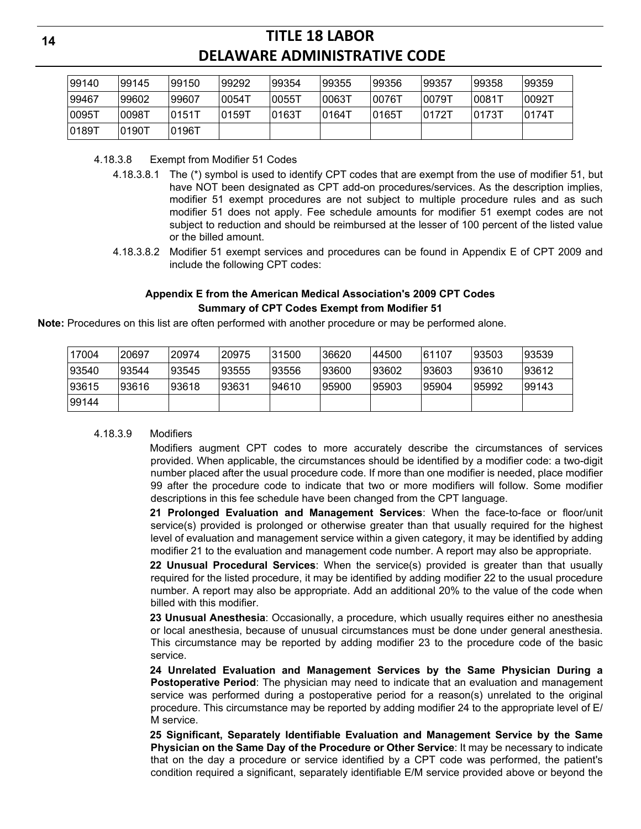| 99140  | 99145 | 99150  | 99292  | 99354  | 99355     | 99356  | 99357  | 99358               | 99359 |
|--------|-------|--------|--------|--------|-----------|--------|--------|---------------------|-------|
| 99467  | 99602 | 99607  | 10054T | 10055T | 00631     | 10076T | 0079T  | $0081$ <sup>-</sup> | 0092T |
| 0095T  | 0098T | 10151T | 10159T | 10163T | $ 0164$ T | 10165T | 10172T | 10173T              | 0174T |
| 10189T | 0190T | 0196T  |        |        |           |        |        |                     |       |

4.18.3.8 Exempt from Modifier 51 Codes

- 4.18.3.8.1 The (\*) symbol is used to identify CPT codes that are exempt from the use of modifier 51, but have NOT been designated as CPT add-on procedures/services. As the description implies, modifier 51 exempt procedures are not subject to multiple procedure rules and as such modifier 51 does not apply. Fee schedule amounts for modifier 51 exempt codes are not subject to reduction and should be reimbursed at the lesser of 100 percent of the listed value or the billed amount.
- 4.18.3.8.2 Modifier 51 exempt services and procedures can be found in Appendix E of CPT 2009 and include the following CPT codes:

## **Appendix E from the American Medical Association's 2009 CPT Codes Summary of CPT Codes Exempt from Modifier 51**

**Note:** Procedures on this list are often performed with another procedure or may be performed alone.

| 17004 | 20697 | '20974 | '20975 | 31500 | 36620 | 44500 | 61107 | 93503 | 93539  |
|-------|-------|--------|--------|-------|-------|-------|-------|-------|--------|
| 93540 | 93544 | 93545  | 93555  | 93556 | 93600 | 93602 | 93603 | 93610 | 93612  |
| 93615 | 93616 | 93618  | 93631  | 94610 | 95900 | 95903 | 95904 | 95992 | 199143 |
| 99144 |       |        |        |       |       |       |       |       |        |

#### 4.18.3.9 Modifiers

Modifiers augment CPT codes to more accurately describe the circumstances of services provided. When applicable, the circumstances should be identified by a modifier code: a two-digit number placed after the usual procedure code. If more than one modifier is needed, place modifier 99 after the procedure code to indicate that two or more modifiers will follow. Some modifier descriptions in this fee schedule have been changed from the CPT language.

**21 Prolonged Evaluation and Management Services**: When the face-to-face or floor/unit service(s) provided is prolonged or otherwise greater than that usually required for the highest level of evaluation and management service within a given category, it may be identified by adding modifier 21 to the evaluation and management code number. A report may also be appropriate.

**22 Unusual Procedural Services**: When the service(s) provided is greater than that usually required for the listed procedure, it may be identified by adding modifier 22 to the usual procedure number. A report may also be appropriate. Add an additional 20% to the value of the code when billed with this modifier.

**23 Unusual Anesthesia**: Occasionally, a procedure, which usually requires either no anesthesia or local anesthesia, because of unusual circumstances must be done under general anesthesia. This circumstance may be reported by adding modifier 23 to the procedure code of the basic service.

**24 Unrelated Evaluation and Management Services by the Same Physician During a Postoperative Period**: The physician may need to indicate that an evaluation and management service was performed during a postoperative period for a reason(s) unrelated to the original procedure. This circumstance may be reported by adding modifier 24 to the appropriate level of E/ M service.

**25 Significant, Separately Identifiable Evaluation and Management Service by the Same Physician on the Same Day of the Procedure or Other Service**: It may be necessary to indicate that on the day a procedure or service identified by a CPT code was performed, the patient's condition required a significant, separately identifiable E/M service provided above or beyond the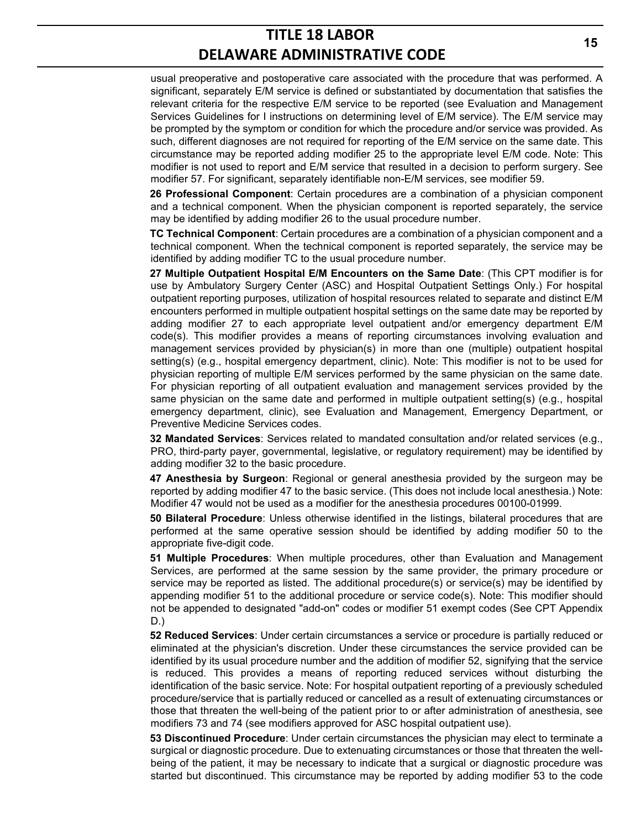usual preoperative and postoperative care associated with the procedure that was performed. A significant, separately E/M service is defined or substantiated by documentation that satisfies the relevant criteria for the respective E/M service to be reported (see Evaluation and Management Services Guidelines for I instructions on determining level of E/M service). The E/M service may be prompted by the symptom or condition for which the procedure and/or service was provided. As such, different diagnoses are not required for reporting of the E/M service on the same date. This circumstance may be reported adding modifier 25 to the appropriate level E/M code. Note: This modifier is not used to report and E/M service that resulted in a decision to perform surgery. See modifier 57. For significant, separately identifiable non-E/M services, see modifier 59.

**26 Professional Component**: Certain procedures are a combination of a physician component and a technical component. When the physician component is reported separately, the service may be identified by adding modifier 26 to the usual procedure number.

**TC Technical Component**: Certain procedures are a combination of a physician component and a technical component. When the technical component is reported separately, the service may be identified by adding modifier TC to the usual procedure number.

**27 Multiple Outpatient Hospital E/M Encounters on the Same Date**: (This CPT modifier is for use by Ambulatory Surgery Center (ASC) and Hospital Outpatient Settings Only.) For hospital outpatient reporting purposes, utilization of hospital resources related to separate and distinct E/M encounters performed in multiple outpatient hospital settings on the same date may be reported by adding modifier 27 to each appropriate level outpatient and/or emergency department E/M code(s). This modifier provides a means of reporting circumstances involving evaluation and management services provided by physician(s) in more than one (multiple) outpatient hospital setting(s) (e.g., hospital emergency department, clinic). Note: This modifier is not to be used for physician reporting of multiple E/M services performed by the same physician on the same date. For physician reporting of all outpatient evaluation and management services provided by the same physician on the same date and performed in multiple outpatient setting(s) (e.g., hospital emergency department, clinic), see Evaluation and Management, Emergency Department, or Preventive Medicine Services codes.

**32 Mandated Services**: Services related to mandated consultation and/or related services (e.g., PRO, third-party payer, governmental, legislative, or regulatory requirement) may be identified by adding modifier 32 to the basic procedure.

**47 Anesthesia by Surgeon**: Regional or general anesthesia provided by the surgeon may be reported by adding modifier 47 to the basic service. (This does not include local anesthesia.) Note: Modifier 47 would not be used as a modifier for the anesthesia procedures 00100-01999.

**50 Bilateral Procedure**: Unless otherwise identified in the listings, bilateral procedures that are performed at the same operative session should be identified by adding modifier 50 to the appropriate five-digit code.

**51 Multiple Procedures**: When multiple procedures, other than Evaluation and Management Services, are performed at the same session by the same provider, the primary procedure or service may be reported as listed. The additional procedure(s) or service(s) may be identified by appending modifier 51 to the additional procedure or service code(s). Note: This modifier should not be appended to designated "add-on" codes or modifier 51 exempt codes (See CPT Appendix D.)

**52 Reduced Services**: Under certain circumstances a service or procedure is partially reduced or eliminated at the physician's discretion. Under these circumstances the service provided can be identified by its usual procedure number and the addition of modifier 52, signifying that the service is reduced. This provides a means of reporting reduced services without disturbing the identification of the basic service. Note: For hospital outpatient reporting of a previously scheduled procedure/service that is partially reduced or cancelled as a result of extenuating circumstances or those that threaten the well-being of the patient prior to or after administration of anesthesia, see modifiers 73 and 74 (see modifiers approved for ASC hospital outpatient use).

**53 Discontinued Procedure**: Under certain circumstances the physician may elect to terminate a surgical or diagnostic procedure. Due to extenuating circumstances or those that threaten the wellbeing of the patient, it may be necessary to indicate that a surgical or diagnostic procedure was started but discontinued. This circumstance may be reported by adding modifier 53 to the code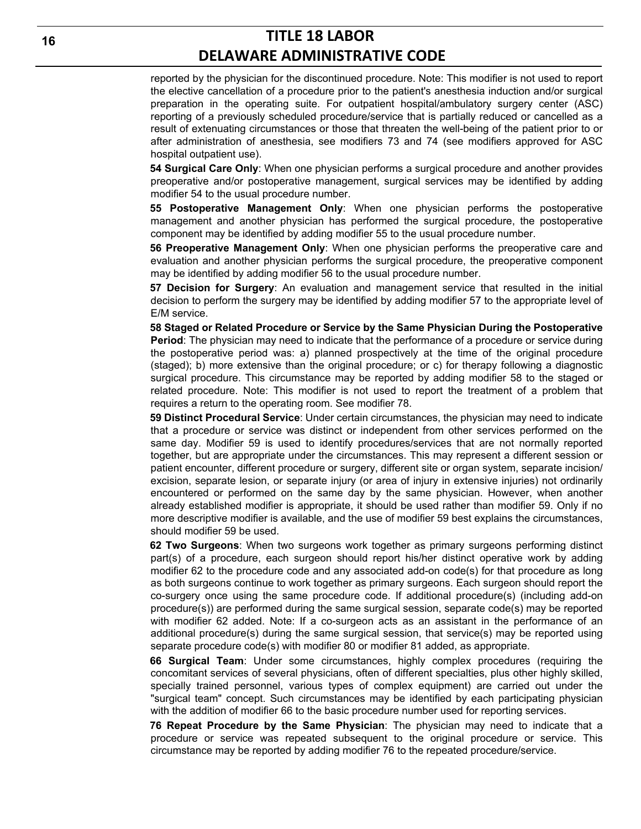reported by the physician for the discontinued procedure. Note: This modifier is not used to report the elective cancellation of a procedure prior to the patient's anesthesia induction and/or surgical preparation in the operating suite. For outpatient hospital/ambulatory surgery center (ASC) reporting of a previously scheduled procedure/service that is partially reduced or cancelled as a result of extenuating circumstances or those that threaten the well-being of the patient prior to or after administration of anesthesia, see modifiers 73 and 74 (see modifiers approved for ASC hospital outpatient use).

**54 Surgical Care Only**: When one physician performs a surgical procedure and another provides preoperative and/or postoperative management, surgical services may be identified by adding modifier 54 to the usual procedure number.

**55 Postoperative Management Only**: When one physician performs the postoperative management and another physician has performed the surgical procedure, the postoperative component may be identified by adding modifier 55 to the usual procedure number.

**56 Preoperative Management Only**: When one physician performs the preoperative care and evaluation and another physician performs the surgical procedure, the preoperative component may be identified by adding modifier 56 to the usual procedure number.

**57 Decision for Surgery**: An evaluation and management service that resulted in the initial decision to perform the surgery may be identified by adding modifier 57 to the appropriate level of E/M service.

**58 Staged or Related Procedure or Service by the Same Physician During the Postoperative Period**: The physician may need to indicate that the performance of a procedure or service during the postoperative period was: a) planned prospectively at the time of the original procedure (staged); b) more extensive than the original procedure; or c) for therapy following a diagnostic surgical procedure. This circumstance may be reported by adding modifier 58 to the staged or related procedure. Note: This modifier is not used to report the treatment of a problem that requires a return to the operating room. See modifier 78.

**59 Distinct Procedural Service**: Under certain circumstances, the physician may need to indicate that a procedure or service was distinct or independent from other services performed on the same day. Modifier 59 is used to identify procedures/services that are not normally reported together, but are appropriate under the circumstances. This may represent a different session or patient encounter, different procedure or surgery, different site or organ system, separate incision/ excision, separate lesion, or separate injury (or area of injury in extensive injuries) not ordinarily encountered or performed on the same day by the same physician. However, when another already established modifier is appropriate, it should be used rather than modifier 59. Only if no more descriptive modifier is available, and the use of modifier 59 best explains the circumstances, should modifier 59 be used.

**62 Two Surgeons**: When two surgeons work together as primary surgeons performing distinct part(s) of a procedure, each surgeon should report his/her distinct operative work by adding modifier 62 to the procedure code and any associated add-on code(s) for that procedure as long as both surgeons continue to work together as primary surgeons. Each surgeon should report the co-surgery once using the same procedure code. If additional procedure(s) (including add-on procedure(s)) are performed during the same surgical session, separate code(s) may be reported with modifier 62 added. Note: If a co-surgeon acts as an assistant in the performance of an additional procedure(s) during the same surgical session, that service(s) may be reported using separate procedure code(s) with modifier 80 or modifier 81 added, as appropriate.

**66 Surgical Team**: Under some circumstances, highly complex procedures (requiring the concomitant services of several physicians, often of different specialties, plus other highly skilled, specially trained personnel, various types of complex equipment) are carried out under the "surgical team" concept. Such circumstances may be identified by each participating physician with the addition of modifier 66 to the basic procedure number used for reporting services.

**76 Repeat Procedure by the Same Physician**: The physician may need to indicate that a procedure or service was repeated subsequent to the original procedure or service. This circumstance may be reported by adding modifier 76 to the repeated procedure/service.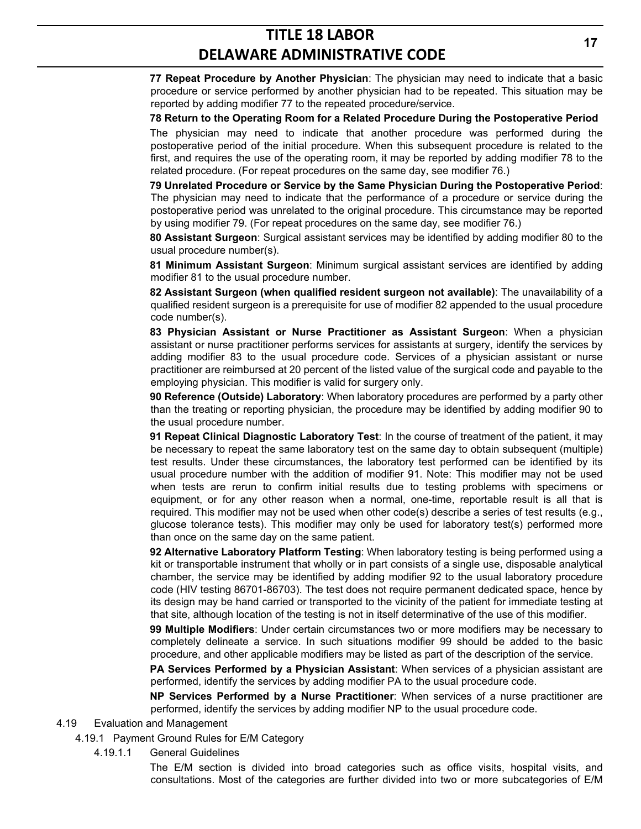**77 Repeat Procedure by Another Physician**: The physician may need to indicate that a basic procedure or service performed by another physician had to be repeated. This situation may be reported by adding modifier 77 to the repeated procedure/service.

**78 Return to the Operating Room for a Related Procedure During the Postoperative Period** The physician may need to indicate that another procedure was performed during the postoperative period of the initial procedure. When this subsequent procedure is related to the first, and requires the use of the operating room, it may be reported by adding modifier 78 to the related procedure. (For repeat procedures on the same day, see modifier 76.)

**79 Unrelated Procedure or Service by the Same Physician During the Postoperative Period**: The physician may need to indicate that the performance of a procedure or service during the postoperative period was unrelated to the original procedure. This circumstance may be reported by using modifier 79. (For repeat procedures on the same day, see modifier 76.)

**80 Assistant Surgeon**: Surgical assistant services may be identified by adding modifier 80 to the usual procedure number(s).

**81 Minimum Assistant Surgeon**: Minimum surgical assistant services are identified by adding modifier 81 to the usual procedure number.

**82 Assistant Surgeon (when qualified resident surgeon not available)**: The unavailability of a qualified resident surgeon is a prerequisite for use of modifier 82 appended to the usual procedure code number(s).

**83 Physician Assistant or Nurse Practitioner as Assistant Surgeon**: When a physician assistant or nurse practitioner performs services for assistants at surgery, identify the services by adding modifier 83 to the usual procedure code. Services of a physician assistant or nurse practitioner are reimbursed at 20 percent of the listed value of the surgical code and payable to the employing physician. This modifier is valid for surgery only.

**90 Reference (Outside) Laboratory**: When laboratory procedures are performed by a party other than the treating or reporting physician, the procedure may be identified by adding modifier 90 to the usual procedure number.

**91 Repeat Clinical Diagnostic Laboratory Test**: In the course of treatment of the patient, it may be necessary to repeat the same laboratory test on the same day to obtain subsequent (multiple) test results. Under these circumstances, the laboratory test performed can be identified by its usual procedure number with the addition of modifier 91. Note: This modifier may not be used when tests are rerun to confirm initial results due to testing problems with specimens or equipment, or for any other reason when a normal, one-time, reportable result is all that is required. This modifier may not be used when other code(s) describe a series of test results (e.g., glucose tolerance tests). This modifier may only be used for laboratory test(s) performed more than once on the same day on the same patient.

**92 Alternative Laboratory Platform Testing**: When laboratory testing is being performed using a kit or transportable instrument that wholly or in part consists of a single use, disposable analytical chamber, the service may be identified by adding modifier 92 to the usual laboratory procedure code (HIV testing 86701-86703). The test does not require permanent dedicated space, hence by its design may be hand carried or transported to the vicinity of the patient for immediate testing at that site, although location of the testing is not in itself determinative of the use of this modifier.

**99 Multiple Modifiers**: Under certain circumstances two or more modifiers may be necessary to completely delineate a service. In such situations modifier 99 should be added to the basic procedure, and other applicable modifiers may be listed as part of the description of the service.

**PA Services Performed by a Physician Assistant**: When services of a physician assistant are performed, identify the services by adding modifier PA to the usual procedure code.

**NP Services Performed by a Nurse Practitioner**: When services of a nurse practitioner are performed, identify the services by adding modifier NP to the usual procedure code.

- 4.19 Evaluation and Management
	- 4.19.1 Payment Ground Rules for E/M Category
		- 4.19.1.1 General Guidelines

The E/M section is divided into broad categories such as office visits, hospital visits, and consultations. Most of the categories are further divided into two or more subcategories of E/M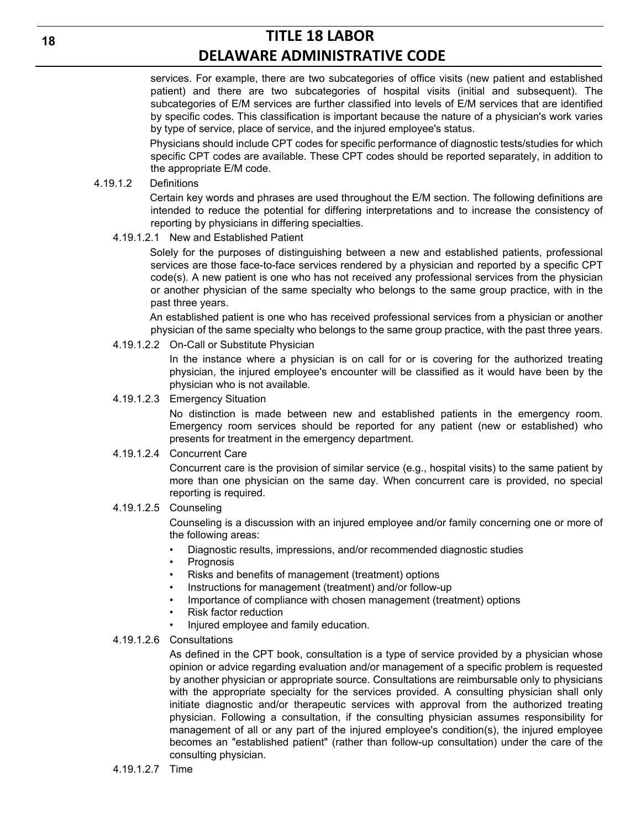services. For example, there are two subcategories of office visits (new patient and established patient) and there are two subcategories of hospital visits (initial and subsequent). The subcategories of E/M services are further classified into levels of E/M services that are identified by specific codes. This classification is important because the nature of a physician's work varies by type of service, place of service, and the injured employee's status.

Physicians should include CPT codes for specific performance of diagnostic tests/studies for which specific CPT codes are available. These CPT codes should be reported separately, in addition to the appropriate E/M code.

#### 4.19.1.2 Definitions

Certain key words and phrases are used throughout the E/M section. The following definitions are intended to reduce the potential for differing interpretations and to increase the consistency of reporting by physicians in differing specialties.

#### 4.19.1.2.1 New and Established Patient

Solely for the purposes of distinguishing between a new and established patients, professional services are those face-to-face services rendered by a physician and reported by a specific CPT code(s). A new patient is one who has not received any professional services from the physician or another physician of the same specialty who belongs to the same group practice, with in the past three years.

An established patient is one who has received professional services from a physician or another physician of the same specialty who belongs to the same group practice, with the past three years.

#### 4.19.1.2.2 On-Call or Substitute Physician

In the instance where a physician is on call for or is covering for the authorized treating physician, the injured employee's encounter will be classified as it would have been by the physician who is not available.

#### 4.19.1.2.3 Emergency Situation

No distinction is made between new and established patients in the emergency room. Emergency room services should be reported for any patient (new or established) who presents for treatment in the emergency department.

#### 4.19.1.2.4 Concurrent Care

Concurrent care is the provision of similar service (e.g., hospital visits) to the same patient by more than one physician on the same day. When concurrent care is provided, no special reporting is required.

#### 4.19.1.2.5 Counseling

Counseling is a discussion with an injured employee and/or family concerning one or more of the following areas:

- Diagnostic results, impressions, and/or recommended diagnostic studies
- **Prognosis**
- Risks and benefits of management (treatment) options
- Instructions for management (treatment) and/or follow-up
- Importance of compliance with chosen management (treatment) options
- Risk factor reduction
- Injured employee and family education.

#### 4.19.1.2.6 Consultations

As defined in the CPT book, consultation is a type of service provided by a physician whose opinion or advice regarding evaluation and/or management of a specific problem is requested by another physician or appropriate source. Consultations are reimbursable only to physicians with the appropriate specialty for the services provided. A consulting physician shall only initiate diagnostic and/or therapeutic services with approval from the authorized treating physician. Following a consultation, if the consulting physician assumes responsibility for management of all or any part of the injured employee's condition(s), the injured employee becomes an "established patient" (rather than follow-up consultation) under the care of the consulting physician.

**18**

## 4.19.1.2.7 Time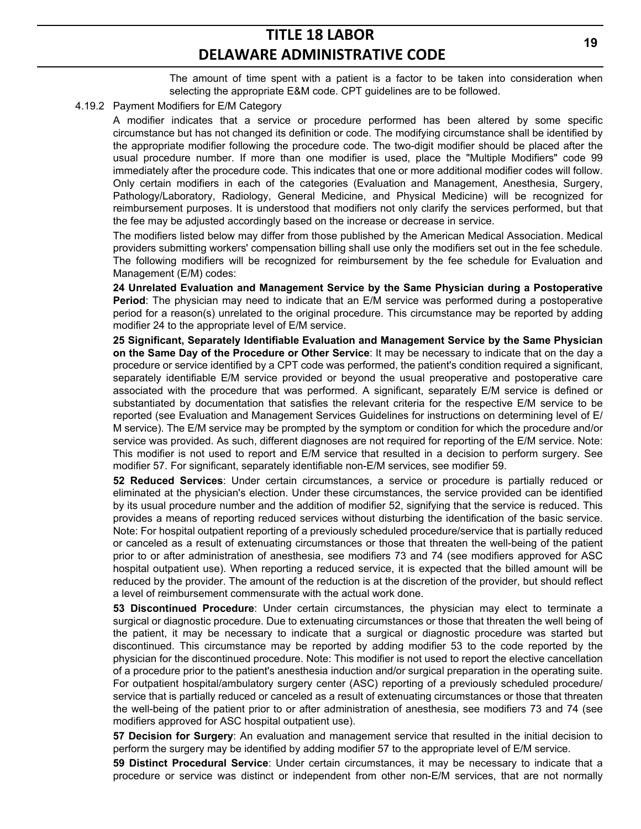The amount of time spent with a patient is a factor to be taken into consideration when selecting the appropriate E&M code. CPT guidelines are to be followed.

#### 4.19.2 Payment Modifiers for E/M Category

A modifier indicates that a service or procedure performed has been altered by some specific circumstance but has not changed its definition or code. The modifying circumstance shall be identified by the appropriate modifier following the procedure code. The two-digit modifier should be placed after the usual procedure number. If more than one modifier is used, place the "Multiple Modifiers" code 99 immediately after the procedure code. This indicates that one or more additional modifier codes will follow. Only certain modifiers in each of the categories (Evaluation and Management, Anesthesia, Surgery, Pathology/Laboratory, Radiology, General Medicine, and Physical Medicine) will be recognized for reimbursement purposes. It is understood that modifiers not only clarify the services performed, but that the fee may be adjusted accordingly based on the increase or decrease in service.

The modifiers listed below may differ from those published by the American Medical Association. Medical providers submitting workers' compensation billing shall use only the modifiers set out in the fee schedule. The following modifiers will be recognized for reimbursement by the fee schedule for Evaluation and Management (E/M) codes:

**24 Unrelated Evaluation and Management Service by the Same Physician during a Postoperative Period**: The physician may need to indicate that an E/M service was performed during a postoperative period for a reason(s) unrelated to the original procedure. This circumstance may be reported by adding modifier 24 to the appropriate level of E/M service.

**25 Significant, Separately Identifiable Evaluation and Management Service by the Same Physician on the Same Day of the Procedure or Other Service**: It may be necessary to indicate that on the day a procedure or service identified by a CPT code was performed, the patient's condition required a significant, separately identifiable E/M service provided or beyond the usual preoperative and postoperative care associated with the procedure that was performed. A significant, separately E/M service is defined or substantiated by documentation that satisfies the relevant criteria for the respective E/M service to be reported (see Evaluation and Management Services Guidelines for instructions on determining level of E/ M service). The E/M service may be prompted by the symptom or condition for which the procedure and/or service was provided. As such, different diagnoses are not required for reporting of the E/M service. Note: This modifier is not used to report and E/M service that resulted in a decision to perform surgery. See modifier 57. For significant, separately identifiable non-E/M services, see modifier 59.

**52 Reduced Services**: Under certain circumstances, a service or procedure is partially reduced or eliminated at the physician's election. Under these circumstances, the service provided can be identified by its usual procedure number and the addition of modifier 52, signifying that the service is reduced. This provides a means of reporting reduced services without disturbing the identification of the basic service. Note: For hospital outpatient reporting of a previously scheduled procedure/service that is partially reduced or canceled as a result of extenuating circumstances or those that threaten the well-being of the patient prior to or after administration of anesthesia, see modifiers 73 and 74 (see modifiers approved for ASC hospital outpatient use). When reporting a reduced service, it is expected that the billed amount will be reduced by the provider. The amount of the reduction is at the discretion of the provider, but should reflect a level of reimbursement commensurate with the actual work done.

**53 Discontinued Procedure**: Under certain circumstances, the physician may elect to terminate a surgical or diagnostic procedure. Due to extenuating circumstances or those that threaten the well being of the patient, it may be necessary to indicate that a surgical or diagnostic procedure was started but discontinued. This circumstance may be reported by adding modifier 53 to the code reported by the physician for the discontinued procedure. Note: This modifier is not used to report the elective cancellation of a procedure prior to the patient's anesthesia induction and/or surgical preparation in the operating suite. For outpatient hospital/ambulatory surgery center (ASC) reporting of a previously scheduled procedure/ service that is partially reduced or canceled as a result of extenuating circumstances or those that threaten the well-being of the patient prior to or after administration of anesthesia, see modifiers 73 and 74 (see modifiers approved for ASC hospital outpatient use).

**57 Decision for Surgery**: An evaluation and management service that resulted in the initial decision to perform the surgery may be identified by adding modifier 57 to the appropriate level of E/M service.

**59 Distinct Procedural Service**: Under certain circumstances, it may be necessary to indicate that a procedure or service was distinct or independent from other non-E/M services, that are not normally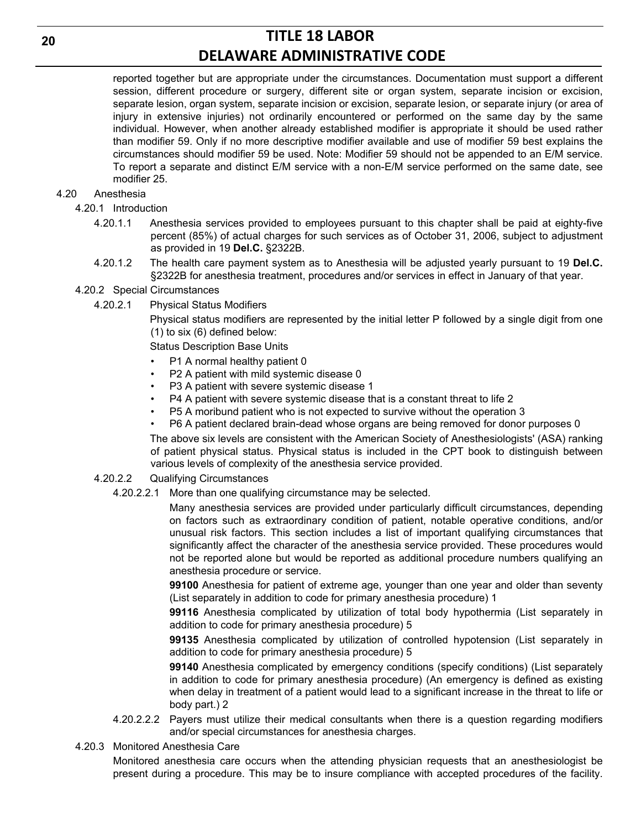reported together but are appropriate under the circumstances. Documentation must support a different session, different procedure or surgery, different site or organ system, separate incision or excision, separate lesion, organ system, separate incision or excision, separate lesion, or separate injury (or area of injury in extensive injuries) not ordinarily encountered or performed on the same day by the same individual. However, when another already established modifier is appropriate it should be used rather than modifier 59. Only if no more descriptive modifier available and use of modifier 59 best explains the circumstances should modifier 59 be used. Note: Modifier 59 should not be appended to an E/M service. To report a separate and distinct E/M service with a non-E/M service performed on the same date, see modifier 25.

## 4.20 Anesthesia

4.20.1 Introduction

- 4.20.1.1 Anesthesia services provided to employees pursuant to this chapter shall be paid at eighty-five percent (85%) of actual charges for such services as of October 31, 2006, subject to adjustment as provided in 19 **Del.C.** §2322B.
- 4.20.1.2 The health care payment system as to Anesthesia will be adjusted yearly pursuant to 19 **Del.C.**  §2322B for anesthesia treatment, procedures and/or services in effect in January of that year.

4.20.2 Special Circumstances

4.20.2.1 Physical Status Modifiers

Physical status modifiers are represented by the initial letter P followed by a single digit from one (1) to six (6) defined below:

Status Description Base Units

- P1 A normal healthy patient 0
- P2 A patient with mild systemic disease 0
- P3 A patient with severe systemic disease 1
- P4 A patient with severe systemic disease that is a constant threat to life 2
- P5 A moribund patient who is not expected to survive without the operation 3
- P6 A patient declared brain-dead whose organs are being removed for donor purposes 0

The above six levels are consistent with the American Society of Anesthesiologists' (ASA) ranking of patient physical status. Physical status is included in the CPT book to distinguish between various levels of complexity of the anesthesia service provided.

### 4.20.2.2 Qualifying Circumstances

4.20.2.2.1 More than one qualifying circumstance may be selected.

Many anesthesia services are provided under particularly difficult circumstances, depending on factors such as extraordinary condition of patient, notable operative conditions, and/or unusual risk factors. This section includes a list of important qualifying circumstances that significantly affect the character of the anesthesia service provided. These procedures would not be reported alone but would be reported as additional procedure numbers qualifying an anesthesia procedure or service.

**99100** Anesthesia for patient of extreme age, younger than one year and older than seventy (List separately in addition to code for primary anesthesia procedure) 1

**99116** Anesthesia complicated by utilization of total body hypothermia (List separately in addition to code for primary anesthesia procedure) 5

**99135** Anesthesia complicated by utilization of controlled hypotension (List separately in addition to code for primary anesthesia procedure) 5

**99140** Anesthesia complicated by emergency conditions (specify conditions) (List separately in addition to code for primary anesthesia procedure) (An emergency is defined as existing when delay in treatment of a patient would lead to a significant increase in the threat to life or body part.) 2

- 4.20.2.2.2 Payers must utilize their medical consultants when there is a question regarding modifiers and/or special circumstances for anesthesia charges.
- 4.20.3 Monitored Anesthesia Care

Monitored anesthesia care occurs when the attending physician requests that an anesthesiologist be present during a procedure. This may be to insure compliance with accepted procedures of the facility.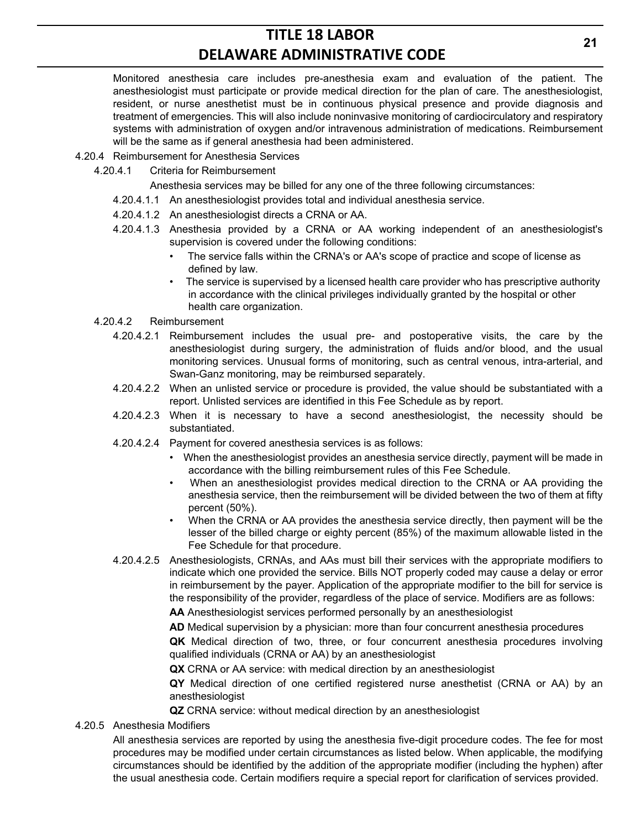Monitored anesthesia care includes pre-anesthesia exam and evaluation of the patient. The anesthesiologist must participate or provide medical direction for the plan of care. The anesthesiologist, resident, or nurse anesthetist must be in continuous physical presence and provide diagnosis and treatment of emergencies. This will also include noninvasive monitoring of cardiocirculatory and respiratory systems with administration of oxygen and/or intravenous administration of medications. Reimbursement will be the same as if general anesthesia had been administered.

- 4.20.4 Reimbursement for Anesthesia Services
	- 4.20.4.1 Criteria for Reimbursement

Anesthesia services may be billed for any one of the three following circumstances:

- 4.20.4.1.1 An anesthesiologist provides total and individual anesthesia service.
- 4.20.4.1.2 An anesthesiologist directs a CRNA or AA.
- 4.20.4.1.3 Anesthesia provided by a CRNA or AA working independent of an anesthesiologist's supervision is covered under the following conditions:
	- The service falls within the CRNA's or AA's scope of practice and scope of license as defined by law.
	- The service is supervised by a licensed health care provider who has prescriptive authority in accordance with the clinical privileges individually granted by the hospital or other health care organization.

#### 4.20.4.2 Reimbursement

- 4.20.4.2.1 Reimbursement includes the usual pre- and postoperative visits, the care by the anesthesiologist during surgery, the administration of fluids and/or blood, and the usual monitoring services. Unusual forms of monitoring, such as central venous, intra-arterial, and Swan-Ganz monitoring, may be reimbursed separately.
- 4.20.4.2.2 When an unlisted service or procedure is provided, the value should be substantiated with a report. Unlisted services are identified in this Fee Schedule as by report.
- 4.20.4.2.3 When it is necessary to have a second anesthesiologist, the necessity should be substantiated.
- 4.20.4.2.4 Payment for covered anesthesia services is as follows:
	- When the anesthesiologist provides an anesthesia service directly, payment will be made in accordance with the billing reimbursement rules of this Fee Schedule.
	- When an anesthesiologist provides medical direction to the CRNA or AA providing the anesthesia service, then the reimbursement will be divided between the two of them at fifty percent (50%).
	- When the CRNA or AA provides the anesthesia service directly, then payment will be the lesser of the billed charge or eighty percent (85%) of the maximum allowable listed in the Fee Schedule for that procedure.
- 4.20.4.2.5 Anesthesiologists, CRNAs, and AAs must bill their services with the appropriate modifiers to indicate which one provided the service. Bills NOT properly coded may cause a delay or error in reimbursement by the payer. Application of the appropriate modifier to the bill for service is the responsibility of the provider, regardless of the place of service. Modifiers are as follows:

**AA** Anesthesiologist services performed personally by an anesthesiologist

**AD** Medical supervision by a physician: more than four concurrent anesthesia procedures

**QK** Medical direction of two, three, or four concurrent anesthesia procedures involving qualified individuals (CRNA or AA) by an anesthesiologist

**QX** CRNA or AA service: with medical direction by an anesthesiologist

**QY** Medical direction of one certified registered nurse anesthetist (CRNA or AA) by an anesthesiologist

**QZ** CRNA service: without medical direction by an anesthesiologist

### 4.20.5 Anesthesia Modifiers

All anesthesia services are reported by using the anesthesia five-digit procedure codes. The fee for most procedures may be modified under certain circumstances as listed below. When applicable, the modifying circumstances should be identified by the addition of the appropriate modifier (including the hyphen) after the usual anesthesia code. Certain modifiers require a special report for clarification of services provided.

**21**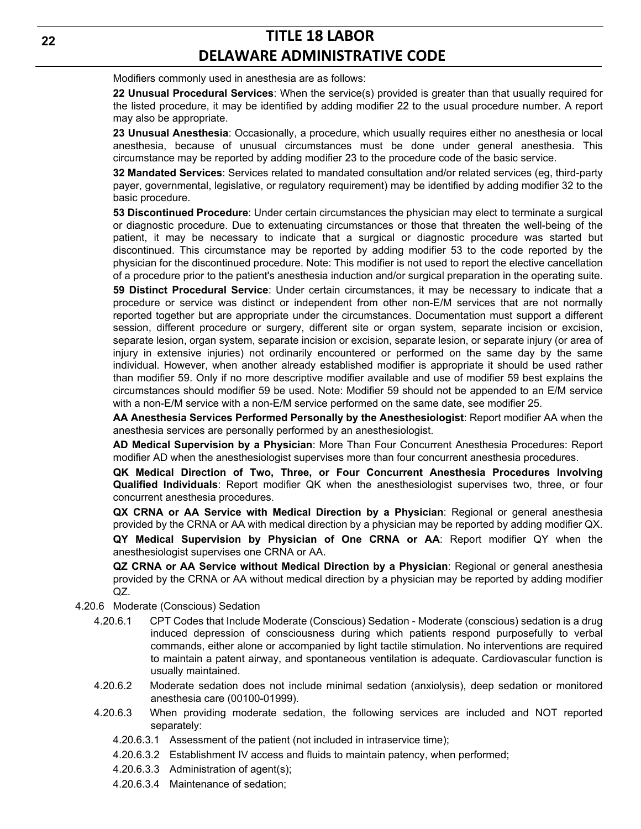Modifiers commonly used in anesthesia are as follows:

**22 Unusual Procedural Services**: When the service(s) provided is greater than that usually required for the listed procedure, it may be identified by adding modifier 22 to the usual procedure number. A report may also be appropriate.

**23 Unusual Anesthesia**: Occasionally, a procedure, which usually requires either no anesthesia or local anesthesia, because of unusual circumstances must be done under general anesthesia. This circumstance may be reported by adding modifier 23 to the procedure code of the basic service.

**32 Mandated Services**: Services related to mandated consultation and/or related services (eg, third-party payer, governmental, legislative, or regulatory requirement) may be identified by adding modifier 32 to the basic procedure.

**53 Discontinued Procedure**: Under certain circumstances the physician may elect to terminate a surgical or diagnostic procedure. Due to extenuating circumstances or those that threaten the well-being of the patient, it may be necessary to indicate that a surgical or diagnostic procedure was started but discontinued. This circumstance may be reported by adding modifier 53 to the code reported by the physician for the discontinued procedure. Note: This modifier is not used to report the elective cancellation of a procedure prior to the patient's anesthesia induction and/or surgical preparation in the operating suite.

**59 Distinct Procedural Service**: Under certain circumstances, it may be necessary to indicate that a procedure or service was distinct or independent from other non-E/M services that are not normally reported together but are appropriate under the circumstances. Documentation must support a different session, different procedure or surgery, different site or organ system, separate incision or excision, separate lesion, organ system, separate incision or excision, separate lesion, or separate injury (or area of injury in extensive injuries) not ordinarily encountered or performed on the same day by the same individual. However, when another already established modifier is appropriate it should be used rather than modifier 59. Only if no more descriptive modifier available and use of modifier 59 best explains the circumstances should modifier 59 be used. Note: Modifier 59 should not be appended to an E/M service with a non-E/M service with a non-E/M service performed on the same date, see modifier 25.

**AA Anesthesia Services Performed Personally by the Anesthesiologist**: Report modifier AA when the anesthesia services are personally performed by an anesthesiologist.

**AD Medical Supervision by a Physician**: More Than Four Concurrent Anesthesia Procedures: Report modifier AD when the anesthesiologist supervises more than four concurrent anesthesia procedures.

**QK Medical Direction of Two, Three, or Four Concurrent Anesthesia Procedures Involving Qualified Individuals**: Report modifier QK when the anesthesiologist supervises two, three, or four concurrent anesthesia procedures.

**QX CRNA or AA Service with Medical Direction by a Physician**: Regional or general anesthesia provided by the CRNA or AA with medical direction by a physician may be reported by adding modifier QX.

**QY Medical Supervision by Physician of One CRNA or AA**: Report modifier QY when the anesthesiologist supervises one CRNA or AA.

**QZ CRNA or AA Service without Medical Direction by a Physician**: Regional or general anesthesia provided by the CRNA or AA without medical direction by a physician may be reported by adding modifier QZ.

- 4.20.6 Moderate (Conscious) Sedation
	- 4.20.6.1 CPT Codes that Include Moderate (Conscious) Sedation Moderate (conscious) sedation is a drug induced depression of consciousness during which patients respond purposefully to verbal commands, either alone or accompanied by light tactile stimulation. No interventions are required to maintain a patent airway, and spontaneous ventilation is adequate. Cardiovascular function is usually maintained.
	- 4.20.6.2 Moderate sedation does not include minimal sedation (anxiolysis), deep sedation or monitored anesthesia care (00100-01999).
	- 4.20.6.3 When providing moderate sedation, the following services are included and NOT reported separately:
		- 4.20.6.3.1 Assessment of the patient (not included in intraservice time);
		- 4.20.6.3.2 Establishment IV access and fluids to maintain patency, when performed;
		- 4.20.6.3.3 Administration of agent(s);
		- 4.20.6.3.4 Maintenance of sedation;

**22**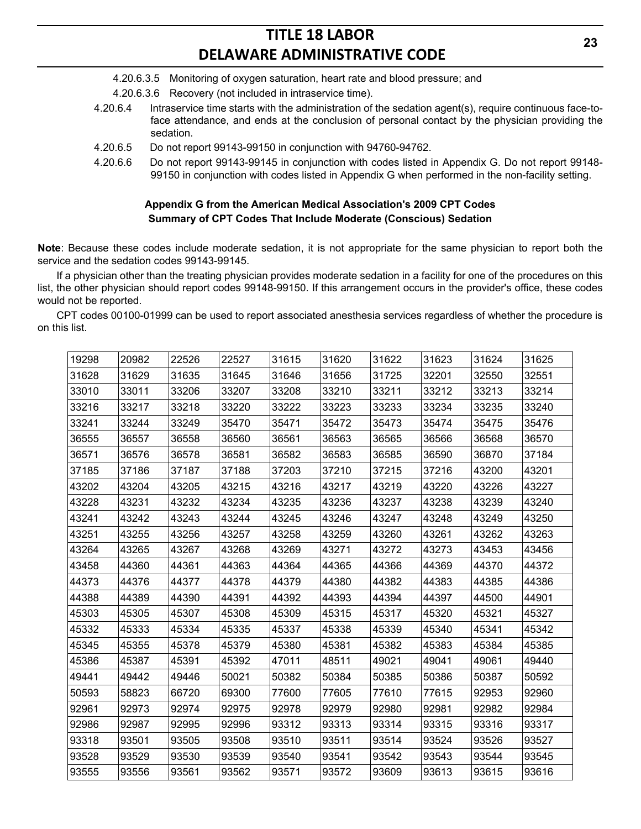- 4.20.6.3.5 Monitoring of oxygen saturation, heart rate and blood pressure; and
- 4.20.6.3.6 Recovery (not included in intraservice time).
- 4.20.6.4 Intraservice time starts with the administration of the sedation agent(s), require continuous face-toface attendance, and ends at the conclusion of personal contact by the physician providing the sedation.
- 4.20.6.5 Do not report 99143-99150 in conjunction with 94760-94762.
- 4.20.6.6 Do not report 99143-99145 in conjunction with codes listed in Appendix G. Do not report 99148- 99150 in conjunction with codes listed in Appendix G when performed in the non-facility setting.

## **Appendix G from the American Medical Association's 2009 CPT Codes Summary of CPT Codes That Include Moderate (Conscious) Sedation**

**Note**: Because these codes include moderate sedation, it is not appropriate for the same physician to report both the service and the sedation codes 99143-99145.

If a physician other than the treating physician provides moderate sedation in a facility for one of the procedures on this list, the other physician should report codes 99148-99150. If this arrangement occurs in the provider's office, these codes would not be reported.

CPT codes 00100-01999 can be used to report associated anesthesia services regardless of whether the procedure is on this list.

| 19298 | 20982 | 22526 | 22527 | 31615 | 31620 | 31622 | 31623 | 31624 | 31625 |
|-------|-------|-------|-------|-------|-------|-------|-------|-------|-------|
| 31628 | 31629 | 31635 | 31645 | 31646 | 31656 | 31725 | 32201 | 32550 | 32551 |
| 33010 | 33011 | 33206 | 33207 | 33208 | 33210 | 33211 | 33212 | 33213 | 33214 |
| 33216 | 33217 | 33218 | 33220 | 33222 | 33223 | 33233 | 33234 | 33235 | 33240 |
| 33241 | 33244 | 33249 | 35470 | 35471 | 35472 | 35473 | 35474 | 35475 | 35476 |
| 36555 | 36557 | 36558 | 36560 | 36561 | 36563 | 36565 | 36566 | 36568 | 36570 |
| 36571 | 36576 | 36578 | 36581 | 36582 | 36583 | 36585 | 36590 | 36870 | 37184 |
| 37185 | 37186 | 37187 | 37188 | 37203 | 37210 | 37215 | 37216 | 43200 | 43201 |
| 43202 | 43204 | 43205 | 43215 | 43216 | 43217 | 43219 | 43220 | 43226 | 43227 |
| 43228 | 43231 | 43232 | 43234 | 43235 | 43236 | 43237 | 43238 | 43239 | 43240 |
| 43241 | 43242 | 43243 | 43244 | 43245 | 43246 | 43247 | 43248 | 43249 | 43250 |
| 43251 | 43255 | 43256 | 43257 | 43258 | 43259 | 43260 | 43261 | 43262 | 43263 |
| 43264 | 43265 | 43267 | 43268 | 43269 | 43271 | 43272 | 43273 | 43453 | 43456 |
| 43458 | 44360 | 44361 | 44363 | 44364 | 44365 | 44366 | 44369 | 44370 | 44372 |
| 44373 | 44376 | 44377 | 44378 | 44379 | 44380 | 44382 | 44383 | 44385 | 44386 |
| 44388 | 44389 | 44390 | 44391 | 44392 | 44393 | 44394 | 44397 | 44500 | 44901 |
| 45303 | 45305 | 45307 | 45308 | 45309 | 45315 | 45317 | 45320 | 45321 | 45327 |
| 45332 | 45333 | 45334 | 45335 | 45337 | 45338 | 45339 | 45340 | 45341 | 45342 |
| 45345 | 45355 | 45378 | 45379 | 45380 | 45381 | 45382 | 45383 | 45384 | 45385 |
| 45386 | 45387 | 45391 | 45392 | 47011 | 48511 | 49021 | 49041 | 49061 | 49440 |
| 49441 | 49442 | 49446 | 50021 | 50382 | 50384 | 50385 | 50386 | 50387 | 50592 |
| 50593 | 58823 | 66720 | 69300 | 77600 | 77605 | 77610 | 77615 | 92953 | 92960 |
| 92961 | 92973 | 92974 | 92975 | 92978 | 92979 | 92980 | 92981 | 92982 | 92984 |
| 92986 | 92987 | 92995 | 92996 | 93312 | 93313 | 93314 | 93315 | 93316 | 93317 |
| 93318 | 93501 | 93505 | 93508 | 93510 | 93511 | 93514 | 93524 | 93526 | 93527 |
| 93528 | 93529 | 93530 | 93539 | 93540 | 93541 | 93542 | 93543 | 93544 | 93545 |
| 93555 | 93556 | 93561 | 93562 | 93571 | 93572 | 93609 | 93613 | 93615 | 93616 |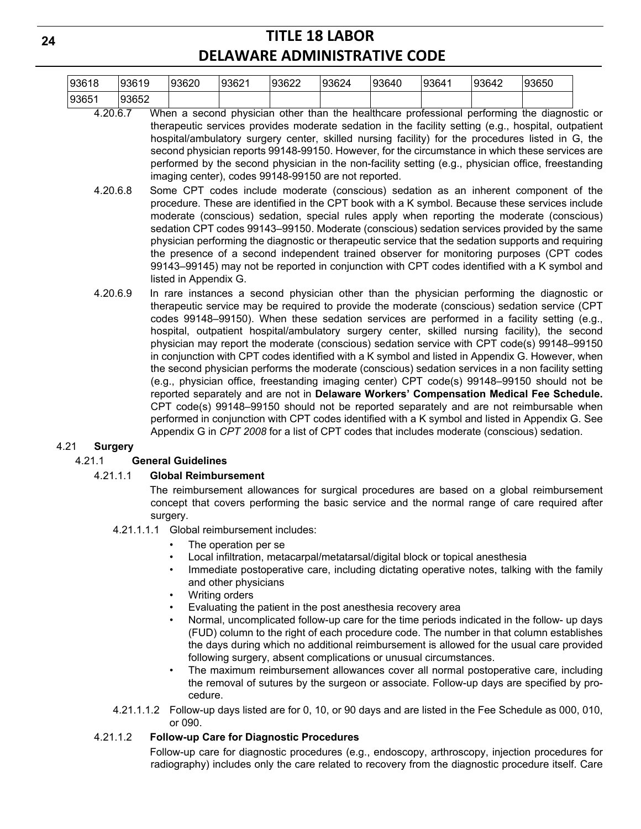| 93618 | 93619 | 0.0000<br>'93620 | 193621 | 93622 | 93624<br>◡ | 93640 | 193641 | 93642 | 93650 |
|-------|-------|------------------|--------|-------|------------|-------|--------|-------|-------|
| 9365  | 93652 |                  |        |       |            |       |        |       |       |

- 4.20.6.7 When a second physician other than the healthcare professional performing the diagnostic or therapeutic services provides moderate sedation in the facility setting (e.g., hospital, outpatient hospital/ambulatory surgery center, skilled nursing facility) for the procedures listed in G, the second physician reports 99148-99150. However, for the circumstance in which these services are performed by the second physician in the non-facility setting (e.g., physician office, freestanding imaging center), codes 99148-99150 are not reported.
- 4.20.6.8 Some CPT codes include moderate (conscious) sedation as an inherent component of the procedure. These are identified in the CPT book with a K symbol. Because these services include moderate (conscious) sedation, special rules apply when reporting the moderate (conscious) sedation CPT codes 99143–99150. Moderate (conscious) sedation services provided by the same physician performing the diagnostic or therapeutic service that the sedation supports and requiring the presence of a second independent trained observer for monitoring purposes (CPT codes 99143–99145) may not be reported in conjunction with CPT codes identified with a K symbol and listed in Appendix G.
- 4.20.6.9 In rare instances a second physician other than the physician performing the diagnostic or therapeutic service may be required to provide the moderate (conscious) sedation service (CPT codes 99148–99150). When these sedation services are performed in a facility setting (e.g., hospital, outpatient hospital/ambulatory surgery center, skilled nursing facility), the second physician may report the moderate (conscious) sedation service with CPT code(s) 99148–99150 in conjunction with CPT codes identified with a K symbol and listed in Appendix G. However, when the second physician performs the moderate (conscious) sedation services in a non facility setting (e.g., physician office, freestanding imaging center) CPT code(s) 99148–99150 should not be reported separately and are not in **Delaware Workers' Compensation Medical Fee Schedule.**  CPT code(s) 99148–99150 should not be reported separately and are not reimbursable when performed in conjunction with CPT codes identified with a K symbol and listed in Appendix G. See Appendix G in *CPT 2008* for a list of CPT codes that includes moderate (conscious) sedation.

### 4.21 **Surgery**

### 4.21.1 **General Guidelines**

### 4.21.1.1 **Global Reimbursement**

The reimbursement allowances for surgical procedures are based on a global reimbursement concept that covers performing the basic service and the normal range of care required after surgery.

- 4.21.1.1.1 Global reimbursement includes:
	- The operation per se
	- Local infiltration, metacarpal/metatarsal/digital block or topical anesthesia
	- Immediate postoperative care, including dictating operative notes, talking with the family and other physicians
	- Writing orders
	- Evaluating the patient in the post anesthesia recovery area
	- Normal, uncomplicated follow-up care for the time periods indicated in the follow- up days (FUD) column to the right of each procedure code. The number in that column establishes the days during which no additional reimbursement is allowed for the usual care provided following surgery, absent complications or unusual circumstances.
	- The maximum reimbursement allowances cover all normal postoperative care, including the removal of sutures by the surgeon or associate. Follow-up days are specified by procedure.
- 4.21.1.1.2 Follow-up days listed are for 0, 10, or 90 days and are listed in the Fee Schedule as 000, 010, or 090.

### 4.21.1.2 **Follow-up Care for Diagnostic Procedures**

Follow-up care for diagnostic procedures (e.g., endoscopy, arthroscopy, injection procedures for radiography) includes only the care related to recovery from the diagnostic procedure itself. Care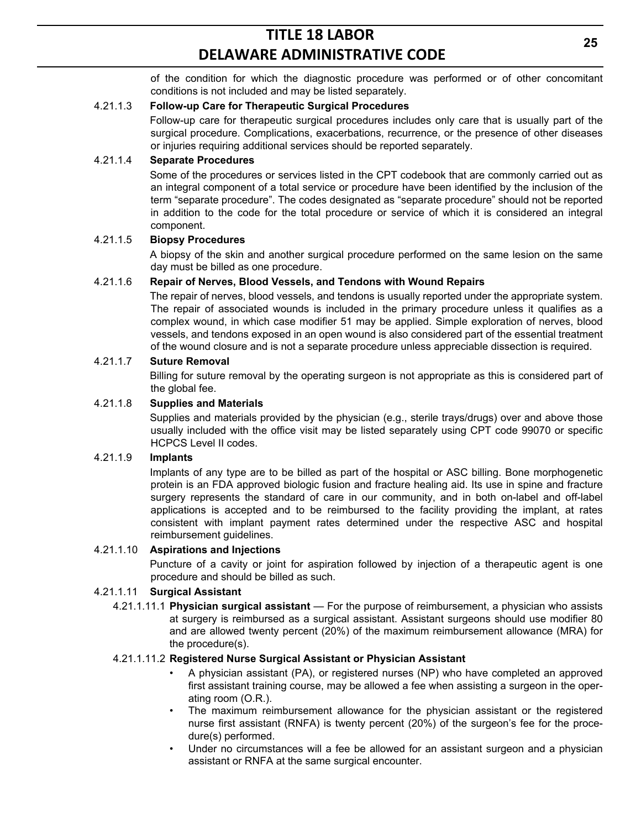of the condition for which the diagnostic procedure was performed or of other concomitant conditions is not included and may be listed separately.

## 4.21.1.3 **Follow-up Care for Therapeutic Surgical Procedures**

Follow-up care for therapeutic surgical procedures includes only care that is usually part of the surgical procedure. Complications, exacerbations, recurrence, or the presence of other diseases or injuries requiring additional services should be reported separately.

## 4.21.1.4 **Separate Procedures**

Some of the procedures or services listed in the CPT codebook that are commonly carried out as an integral component of a total service or procedure have been identified by the inclusion of the term "separate procedure". The codes designated as "separate procedure" should not be reported in addition to the code for the total procedure or service of which it is considered an integral component.

## 4.21.1.5 **Biopsy Procedures**

A biopsy of the skin and another surgical procedure performed on the same lesion on the same day must be billed as one procedure.

## 4.21.1.6 **Repair of Nerves, Blood Vessels, and Tendons with Wound Repairs**

The repair of nerves, blood vessels, and tendons is usually reported under the appropriate system. The repair of associated wounds is included in the primary procedure unless it qualifies as a complex wound, in which case modifier 51 may be applied. Simple exploration of nerves, blood vessels, and tendons exposed in an open wound is also considered part of the essential treatment of the wound closure and is not a separate procedure unless appreciable dissection is required.

### 4.21.1.7 **Suture Removal**

Billing for suture removal by the operating surgeon is not appropriate as this is considered part of the global fee.

## 4.21.1.8 **Supplies and Materials**

Supplies and materials provided by the physician (e.g., sterile trays/drugs) over and above those usually included with the office visit may be listed separately using CPT code 99070 or specific HCPCS Level II codes.

### 4.21.1.9 **Implants**

Implants of any type are to be billed as part of the hospital or ASC billing. Bone morphogenetic protein is an FDA approved biologic fusion and fracture healing aid. Its use in spine and fracture surgery represents the standard of care in our community, and in both on-label and off-label applications is accepted and to be reimbursed to the facility providing the implant, at rates consistent with implant payment rates determined under the respective ASC and hospital reimbursement guidelines.

### 4.21.1.10 **Aspirations and Injections**

Puncture of a cavity or joint for aspiration followed by injection of a therapeutic agent is one procedure and should be billed as such.

### 4.21.1.11 **Surgical Assistant**

4.21.1.11.1 **Physician surgical assistant** — For the purpose of reimbursement, a physician who assists at surgery is reimbursed as a surgical assistant. Assistant surgeons should use modifier 80 and are allowed twenty percent (20%) of the maximum reimbursement allowance (MRA) for the procedure(s).

### 4.21.1.11.2 **Registered Nurse Surgical Assistant or Physician Assistant**

- A physician assistant (PA), or registered nurses (NP) who have completed an approved first assistant training course, may be allowed a fee when assisting a surgeon in the operating room (O.R.).
- The maximum reimbursement allowance for the physician assistant or the registered nurse first assistant (RNFA) is twenty percent (20%) of the surgeon's fee for the procedure(s) performed.
- Under no circumstances will a fee be allowed for an assistant surgeon and a physician assistant or RNFA at the same surgical encounter.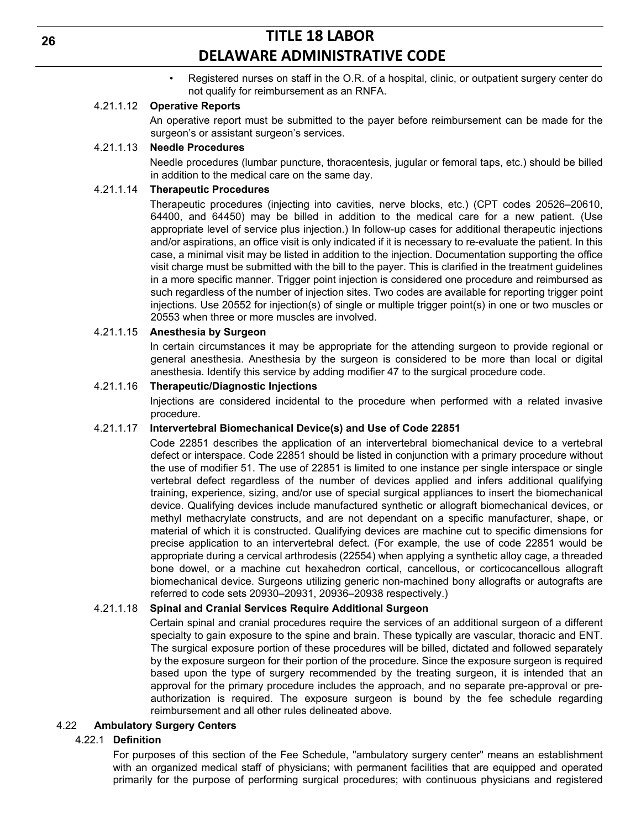• Registered nurses on staff in the O.R. of a hospital, clinic, or outpatient surgery center do not qualify for reimbursement as an RNFA.

### 4.21.1.12 **Operative Reports**

An operative report must be submitted to the payer before reimbursement can be made for the surgeon's or assistant surgeon's services.

#### 4.21.1.13 **Needle Procedures**

Needle procedures (lumbar puncture, thoracentesis, jugular or femoral taps, etc.) should be billed in addition to the medical care on the same day.

## 4.21.1.14 **Therapeutic Procedures**

Therapeutic procedures (injecting into cavities, nerve blocks, etc.) (CPT codes 20526–20610, 64400, and 64450) may be billed in addition to the medical care for a new patient. (Use appropriate level of service plus injection.) In follow-up cases for additional therapeutic injections and/or aspirations, an office visit is only indicated if it is necessary to re-evaluate the patient. In this case, a minimal visit may be listed in addition to the injection. Documentation supporting the office visit charge must be submitted with the bill to the payer. This is clarified in the treatment guidelines in a more specific manner. Trigger point injection is considered one procedure and reimbursed as such regardless of the number of injection sites. Two codes are available for reporting trigger point injections. Use 20552 for injection(s) of single or multiple trigger point(s) in one or two muscles or 20553 when three or more muscles are involved.

#### 4.21.1.15 **Anesthesia by Surgeon**

In certain circumstances it may be appropriate for the attending surgeon to provide regional or general anesthesia. Anesthesia by the surgeon is considered to be more than local or digital anesthesia. Identify this service by adding modifier 47 to the surgical procedure code.

#### 4.21.1.16 **Therapeutic/Diagnostic Injections**

Injections are considered incidental to the procedure when performed with a related invasive procedure.

#### 4.21.1.17 **Intervertebral Biomechanical Device(s) and Use of Code 22851**

Code 22851 describes the application of an intervertebral biomechanical device to a vertebral defect or interspace. Code 22851 should be listed in conjunction with a primary procedure without the use of modifier 51. The use of 22851 is limited to one instance per single interspace or single vertebral defect regardless of the number of devices applied and infers additional qualifying training, experience, sizing, and/or use of special surgical appliances to insert the biomechanical device. Qualifying devices include manufactured synthetic or allograft biomechanical devices, or methyl methacrylate constructs, and are not dependant on a specific manufacturer, shape, or material of which it is constructed. Qualifying devices are machine cut to specific dimensions for precise application to an intervertebral defect. (For example, the use of code 22851 would be appropriate during a cervical arthrodesis (22554) when applying a synthetic alloy cage, a threaded bone dowel, or a machine cut hexahedron cortical, cancellous, or corticocancellous allograft biomechanical device. Surgeons utilizing generic non-machined bony allografts or autografts are referred to code sets 20930–20931, 20936–20938 respectively.)

#### 4.21.1.18 **Spinal and Cranial Services Require Additional Surgeon**

Certain spinal and cranial procedures require the services of an additional surgeon of a different specialty to gain exposure to the spine and brain. These typically are vascular, thoracic and ENT. The surgical exposure portion of these procedures will be billed, dictated and followed separately by the exposure surgeon for their portion of the procedure. Since the exposure surgeon is required based upon the type of surgery recommended by the treating surgeon, it is intended that an approval for the primary procedure includes the approach, and no separate pre-approval or preauthorization is required. The exposure surgeon is bound by the fee schedule regarding reimbursement and all other rules delineated above.

### 4.22 **Ambulatory Surgery Centers**

### 4.22.1 **Definition**

For purposes of this section of the Fee Schedule, "ambulatory surgery center" means an establishment with an organized medical staff of physicians; with permanent facilities that are equipped and operated primarily for the purpose of performing surgical procedures; with continuous physicians and registered

**26**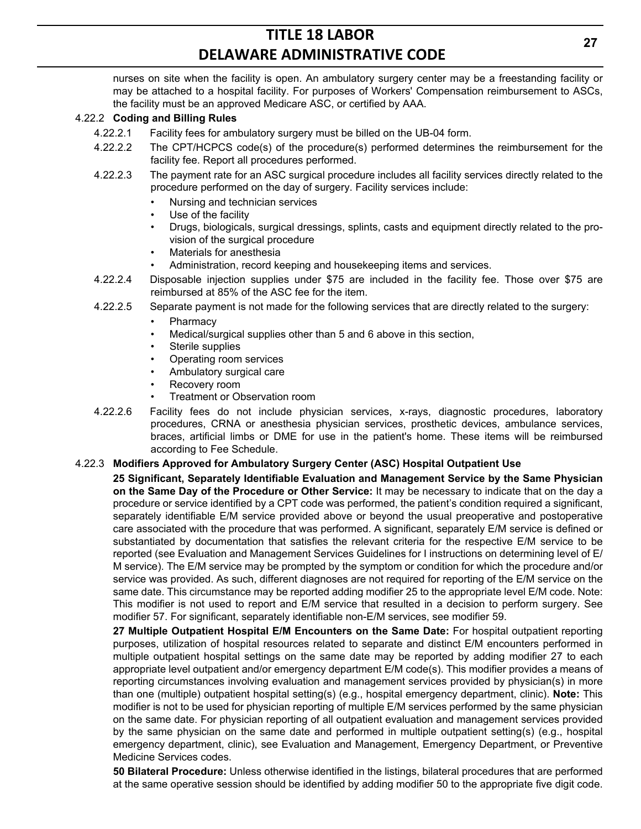nurses on site when the facility is open. An ambulatory surgery center may be a freestanding facility or may be attached to a hospital facility. For purposes of Workers' Compensation reimbursement to ASCs, the facility must be an approved Medicare ASC, or certified by AAA.

#### 4.22.2 **Coding and Billing Rules**

- 4.22.2.1 Facility fees for ambulatory surgery must be billed on the UB-04 form.
- 4.22.2.2 The CPT/HCPCS code(s) of the procedure(s) performed determines the reimbursement for the facility fee. Report all procedures performed.
- 4.22.2.3 The payment rate for an ASC surgical procedure includes all facility services directly related to the procedure performed on the day of surgery. Facility services include:
	- Nursing and technician services
	- Use of the facility
	- Drugs, biologicals, surgical dressings, splints, casts and equipment directly related to the provision of the surgical procedure
	- Materials for anesthesia
	- Administration, record keeping and housekeeping items and services.
- 4.22.2.4 Disposable injection supplies under \$75 are included in the facility fee. Those over \$75 are reimbursed at 85% of the ASC fee for the item.
- 4.22.2.5 Separate payment is not made for the following services that are directly related to the surgery:
	- **Pharmacy**
	- Medical/surgical supplies other than 5 and 6 above in this section,
	- Sterile supplies
	- Operating room services
	- Ambulatory surgical care
	- Recovery room
	- Treatment or Observation room
- 4.22.2.6 Facility fees do not include physician services, x-rays, diagnostic procedures, laboratory procedures, CRNA or anesthesia physician services, prosthetic devices, ambulance services, braces, artificial limbs or DME for use in the patient's home. These items will be reimbursed according to Fee Schedule.

#### 4.22.3 **Modifiers Approved for Ambulatory Surgery Center (ASC) Hospital Outpatient Use**

**25 Significant, Separately Identifiable Evaluation and Management Service by the Same Physician on the Same Day of the Procedure or Other Service:** It may be necessary to indicate that on the day a procedure or service identified by a CPT code was performed, the patient's condition required a significant, separately identifiable E/M service provided above or beyond the usual preoperative and postoperative care associated with the procedure that was performed. A significant, separately E/M service is defined or substantiated by documentation that satisfies the relevant criteria for the respective E/M service to be reported (see Evaluation and Management Services Guidelines for I instructions on determining level of E/ M service). The E/M service may be prompted by the symptom or condition for which the procedure and/or service was provided. As such, different diagnoses are not required for reporting of the E/M service on the same date. This circumstance may be reported adding modifier 25 to the appropriate level E/M code. Note: This modifier is not used to report and E/M service that resulted in a decision to perform surgery. See modifier 57. For significant, separately identifiable non-E/M services, see modifier 59.

**27 Multiple Outpatient Hospital E/M Encounters on the Same Date:** For hospital outpatient reporting purposes, utilization of hospital resources related to separate and distinct E/M encounters performed in multiple outpatient hospital settings on the same date may be reported by adding modifier 27 to each appropriate level outpatient and/or emergency department E/M code(s). This modifier provides a means of reporting circumstances involving evaluation and management services provided by physician(s) in more than one (multiple) outpatient hospital setting(s) (e.g., hospital emergency department, clinic). **Note:** This modifier is not to be used for physician reporting of multiple E/M services performed by the same physician on the same date. For physician reporting of all outpatient evaluation and management services provided by the same physician on the same date and performed in multiple outpatient setting(s) (e.g., hospital emergency department, clinic), see Evaluation and Management, Emergency Department, or Preventive Medicine Services codes.

**50 Bilateral Procedure:** Unless otherwise identified in the listings, bilateral procedures that are performed at the same operative session should be identified by adding modifier 50 to the appropriate five digit code.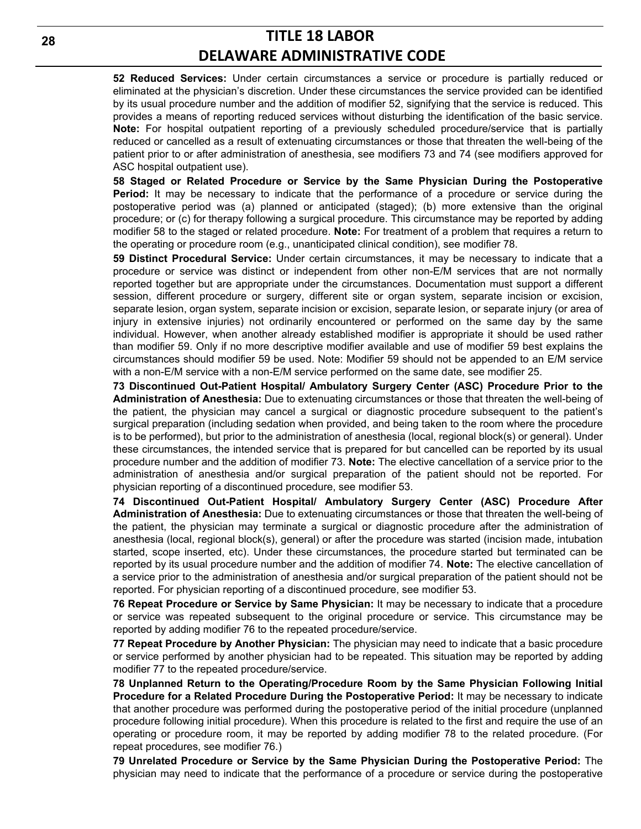**52 Reduced Services:** Under certain circumstances a service or procedure is partially reduced or eliminated at the physician's discretion. Under these circumstances the service provided can be identified by its usual procedure number and the addition of modifier 52, signifying that the service is reduced. This provides a means of reporting reduced services without disturbing the identification of the basic service. **Note:** For hospital outpatient reporting of a previously scheduled procedure/service that is partially reduced or cancelled as a result of extenuating circumstances or those that threaten the well-being of the patient prior to or after administration of anesthesia, see modifiers 73 and 74 (see modifiers approved for ASC hospital outpatient use).

**58 Staged or Related Procedure or Service by the Same Physician During the Postoperative Period:** It may be necessary to indicate that the performance of a procedure or service during the postoperative period was (a) planned or anticipated (staged); (b) more extensive than the original procedure; or (c) for therapy following a surgical procedure. This circumstance may be reported by adding modifier 58 to the staged or related procedure. **Note:** For treatment of a problem that requires a return to the operating or procedure room (e.g., unanticipated clinical condition), see modifier 78.

**59 Distinct Procedural Service:** Under certain circumstances, it may be necessary to indicate that a procedure or service was distinct or independent from other non-E/M services that are not normally reported together but are appropriate under the circumstances. Documentation must support a different session, different procedure or surgery, different site or organ system, separate incision or excision, separate lesion, organ system, separate incision or excision, separate lesion, or separate injury (or area of injury in extensive injuries) not ordinarily encountered or performed on the same day by the same individual. However, when another already established modifier is appropriate it should be used rather than modifier 59. Only if no more descriptive modifier available and use of modifier 59 best explains the circumstances should modifier 59 be used. Note: Modifier 59 should not be appended to an E/M service with a non-E/M service with a non-E/M service performed on the same date, see modifier 25.

**73 Discontinued Out-Patient Hospital/ Ambulatory Surgery Center (ASC) Procedure Prior to the Administration of Anesthesia:** Due to extenuating circumstances or those that threaten the well-being of the patient, the physician may cancel a surgical or diagnostic procedure subsequent to the patient's surgical preparation (including sedation when provided, and being taken to the room where the procedure is to be performed), but prior to the administration of anesthesia (local, regional block(s) or general). Under these circumstances, the intended service that is prepared for but cancelled can be reported by its usual procedure number and the addition of modifier 73. **Note:** The elective cancellation of a service prior to the administration of anesthesia and/or surgical preparation of the patient should not be reported. For physician reporting of a discontinued procedure, see modifier 53.

**74 Discontinued Out-Patient Hospital/ Ambulatory Surgery Center (ASC) Procedure After Administration of Anesthesia:** Due to extenuating circumstances or those that threaten the well-being of the patient, the physician may terminate a surgical or diagnostic procedure after the administration of anesthesia (local, regional block(s), general) or after the procedure was started (incision made, intubation started, scope inserted, etc). Under these circumstances, the procedure started but terminated can be reported by its usual procedure number and the addition of modifier 74. **Note:** The elective cancellation of a service prior to the administration of anesthesia and/or surgical preparation of the patient should not be reported. For physician reporting of a discontinued procedure, see modifier 53.

**76 Repeat Procedure or Service by Same Physician:** It may be necessary to indicate that a procedure or service was repeated subsequent to the original procedure or service. This circumstance may be reported by adding modifier 76 to the repeated procedure/service.

**77 Repeat Procedure by Another Physician:** The physician may need to indicate that a basic procedure or service performed by another physician had to be repeated. This situation may be reported by adding modifier 77 to the repeated procedure/service.

**78 Unplanned Return to the Operating/Procedure Room by the Same Physician Following Initial Procedure for a Related Procedure During the Postoperative Period:** It may be necessary to indicate that another procedure was performed during the postoperative period of the initial procedure (unplanned procedure following initial procedure). When this procedure is related to the first and require the use of an operating or procedure room, it may be reported by adding modifier 78 to the related procedure. (For repeat procedures, see modifier 76.)

**79 Unrelated Procedure or Service by the Same Physician During the Postoperative Period:** The physician may need to indicate that the performance of a procedure or service during the postoperative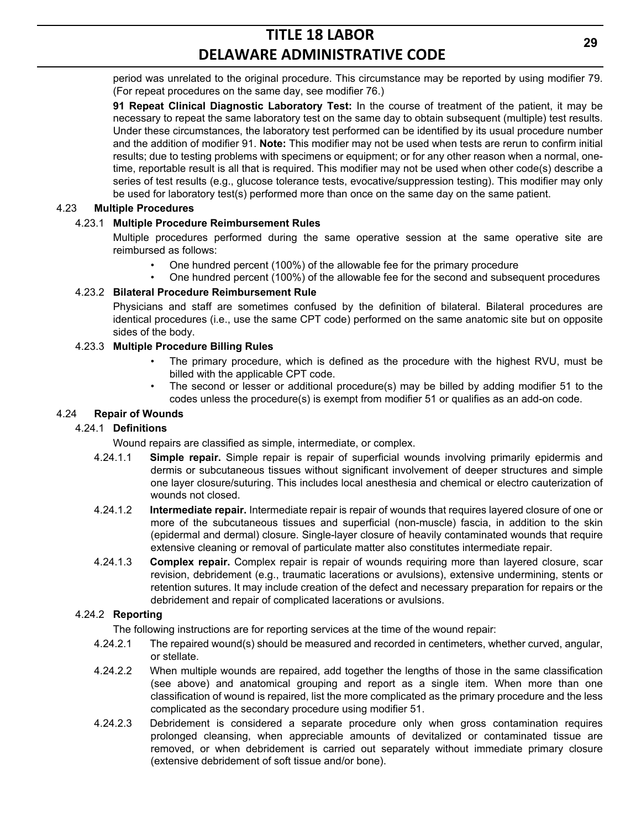period was unrelated to the original procedure. This circumstance may be reported by using modifier 79. (For repeat procedures on the same day, see modifier 76.)

**91 Repeat Clinical Diagnostic Laboratory Test:** In the course of treatment of the patient, it may be necessary to repeat the same laboratory test on the same day to obtain subsequent (multiple) test results. Under these circumstances, the laboratory test performed can be identified by its usual procedure number and the addition of modifier 91. **Note:** This modifier may not be used when tests are rerun to confirm initial results; due to testing problems with specimens or equipment; or for any other reason when a normal, onetime, reportable result is all that is required. This modifier may not be used when other code(s) describe a series of test results (e.g., glucose tolerance tests, evocative/suppression testing). This modifier may only be used for laboratory test(s) performed more than once on the same day on the same patient.

## 4.23 **Multiple Procedures**

## 4.23.1 **Multiple Procedure Reimbursement Rules**

Multiple procedures performed during the same operative session at the same operative site are reimbursed as follows:

- One hundred percent (100%) of the allowable fee for the primary procedure
- One hundred percent (100%) of the allowable fee for the second and subsequent procedures

## 4.23.2 **Bilateral Procedure Reimbursement Rule**

Physicians and staff are sometimes confused by the definition of bilateral. Bilateral procedures are identical procedures (i.e., use the same CPT code) performed on the same anatomic site but on opposite sides of the body.

## 4.23.3 **Multiple Procedure Billing Rules**

- The primary procedure, which is defined as the procedure with the highest RVU, must be billed with the applicable CPT code.
- The second or lesser or additional procedure(s) may be billed by adding modifier 51 to the codes unless the procedure(s) is exempt from modifier 51 or qualifies as an add-on code.

## 4.24 **Repair of Wounds**

### 4.24.1 **Definitions**

Wound repairs are classified as simple, intermediate, or complex.

- 4.24.1.1 **Simple repair.** Simple repair is repair of superficial wounds involving primarily epidermis and dermis or subcutaneous tissues without significant involvement of deeper structures and simple one layer closure/suturing. This includes local anesthesia and chemical or electro cauterization of wounds not closed.
- 4.24.1.2 **Intermediate repair.** Intermediate repair is repair of wounds that requires layered closure of one or more of the subcutaneous tissues and superficial (non-muscle) fascia, in addition to the skin (epidermal and dermal) closure. Single-layer closure of heavily contaminated wounds that require extensive cleaning or removal of particulate matter also constitutes intermediate repair.
- 4.24.1.3 **Complex repair.** Complex repair is repair of wounds requiring more than layered closure, scar revision, debridement (e.g., traumatic lacerations or avulsions), extensive undermining, stents or retention sutures. It may include creation of the defect and necessary preparation for repairs or the debridement and repair of complicated lacerations or avulsions.

### 4.24.2 **Reporting**

The following instructions are for reporting services at the time of the wound repair:

- 4.24.2.1 The repaired wound(s) should be measured and recorded in centimeters, whether curved, angular, or stellate.
- 4.24.2.2 When multiple wounds are repaired, add together the lengths of those in the same classification (see above) and anatomical grouping and report as a single item. When more than one classification of wound is repaired, list the more complicated as the primary procedure and the less complicated as the secondary procedure using modifier 51.
- 4.24.2.3 Debridement is considered a separate procedure only when gross contamination requires prolonged cleansing, when appreciable amounts of devitalized or contaminated tissue are removed, or when debridement is carried out separately without immediate primary closure (extensive debridement of soft tissue and/or bone).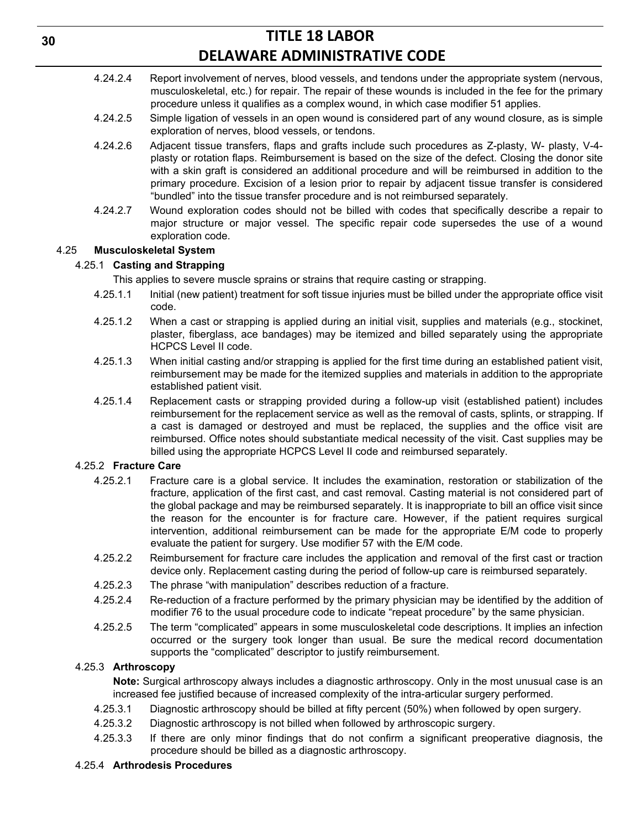- 4.24.2.4 Report involvement of nerves, blood vessels, and tendons under the appropriate system (nervous, musculoskeletal, etc.) for repair. The repair of these wounds is included in the fee for the primary procedure unless it qualifies as a complex wound, in which case modifier 51 applies.
- 4.24.2.5 Simple ligation of vessels in an open wound is considered part of any wound closure, as is simple exploration of nerves, blood vessels, or tendons.
- 4.24.2.6 Adjacent tissue transfers, flaps and grafts include such procedures as Z-plasty, W- plasty, V-4 plasty or rotation flaps. Reimbursement is based on the size of the defect. Closing the donor site with a skin graft is considered an additional procedure and will be reimbursed in addition to the primary procedure. Excision of a lesion prior to repair by adjacent tissue transfer is considered "bundled" into the tissue transfer procedure and is not reimbursed separately.
- 4.24.2.7 Wound exploration codes should not be billed with codes that specifically describe a repair to major structure or major vessel. The specific repair code supersedes the use of a wound exploration code.

## 4.25 **Musculoskeletal System**

## 4.25.1 **Casting and Strapping**

This applies to severe muscle sprains or strains that require casting or strapping.

- 4.25.1.1 Initial (new patient) treatment for soft tissue injuries must be billed under the appropriate office visit code.
- 4.25.1.2 When a cast or strapping is applied during an initial visit, supplies and materials (e.g., stockinet, plaster, fiberglass, ace bandages) may be itemized and billed separately using the appropriate HCPCS Level II code.
- 4.25.1.3 When initial casting and/or strapping is applied for the first time during an established patient visit, reimbursement may be made for the itemized supplies and materials in addition to the appropriate established patient visit.
- 4.25.1.4 Replacement casts or strapping provided during a follow-up visit (established patient) includes reimbursement for the replacement service as well as the removal of casts, splints, or strapping. If a cast is damaged or destroyed and must be replaced, the supplies and the office visit are reimbursed. Office notes should substantiate medical necessity of the visit. Cast supplies may be billed using the appropriate HCPCS Level II code and reimbursed separately.

## 4.25.2 **Fracture Care**

- 4.25.2.1 Fracture care is a global service. It includes the examination, restoration or stabilization of the fracture, application of the first cast, and cast removal. Casting material is not considered part of the global package and may be reimbursed separately. It is inappropriate to bill an office visit since the reason for the encounter is for fracture care. However, if the patient requires surgical intervention, additional reimbursement can be made for the appropriate E/M code to properly evaluate the patient for surgery. Use modifier 57 with the E/M code.
- 4.25.2.2 Reimbursement for fracture care includes the application and removal of the first cast or traction device only. Replacement casting during the period of follow-up care is reimbursed separately.
- 4.25.2.3 The phrase "with manipulation" describes reduction of a fracture.
- 4.25.2.4 Re-reduction of a fracture performed by the primary physician may be identified by the addition of modifier 76 to the usual procedure code to indicate "repeat procedure" by the same physician.
- 4.25.2.5 The term "complicated" appears in some musculoskeletal code descriptions. It implies an infection occurred or the surgery took longer than usual. Be sure the medical record documentation supports the "complicated" descriptor to justify reimbursement.

## 4.25.3 **Arthroscopy**

**Note:** Surgical arthroscopy always includes a diagnostic arthroscopy. Only in the most unusual case is an increased fee justified because of increased complexity of the intra-articular surgery performed.

- 4.25.3.1 Diagnostic arthroscopy should be billed at fifty percent (50%) when followed by open surgery.
- 4.25.3.2 Diagnostic arthroscopy is not billed when followed by arthroscopic surgery.
- 4.25.3.3 If there are only minor findings that do not confirm a significant preoperative diagnosis, the procedure should be billed as a diagnostic arthroscopy.

### 4.25.4 **Arthrodesis Procedures**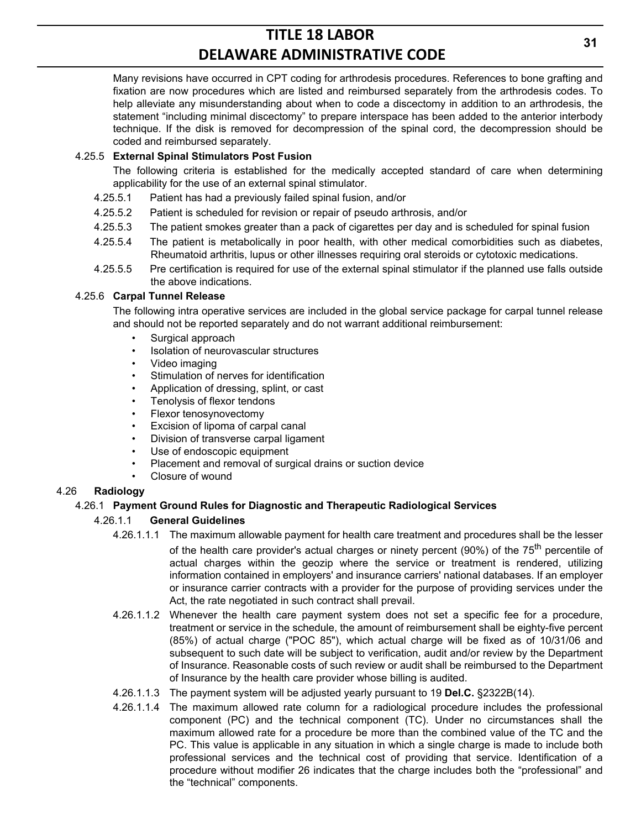Many revisions have occurred in CPT coding for arthrodesis procedures. References to bone grafting and fixation are now procedures which are listed and reimbursed separately from the arthrodesis codes. To help alleviate any misunderstanding about when to code a discectomy in addition to an arthrodesis, the statement "including minimal discectomy" to prepare interspace has been added to the anterior interbody technique. If the disk is removed for decompression of the spinal cord, the decompression should be coded and reimbursed separately.

## 4.25.5 **External Spinal Stimulators Post Fusion**

The following criteria is established for the medically accepted standard of care when determining applicability for the use of an external spinal stimulator.

- 4.25.5.1 Patient has had a previously failed spinal fusion, and/or
- 4.25.5.2 Patient is scheduled for revision or repair of pseudo arthrosis, and/or
- 4.25.5.3 The patient smokes greater than a pack of cigarettes per day and is scheduled for spinal fusion
- 4.25.5.4 The patient is metabolically in poor health, with other medical comorbidities such as diabetes, Rheumatoid arthritis, lupus or other illnesses requiring oral steroids or cytotoxic medications.
- 4.25.5.5 Pre certification is required for use of the external spinal stimulator if the planned use falls outside the above indications.

## 4.25.6 **Carpal Tunnel Release**

The following intra operative services are included in the global service package for carpal tunnel release and should not be reported separately and do not warrant additional reimbursement:

- Surgical approach
- Isolation of neurovascular structures
- Video imaging
- Stimulation of nerves for identification
- Application of dressing, splint, or cast
- Tenolysis of flexor tendons
- Flexor tenosynovectomy
- Excision of lipoma of carpal canal
- Division of transverse carpal ligament
- Use of endoscopic equipment
- Placement and removal of surgical drains or suction device
- Closure of wound

## 4.26 **Radiology**

## 4.26.1 **Payment Ground Rules for Diagnostic and Therapeutic Radiological Services**

## 4.26.1.1 **General Guidelines**

- 4.26.1.1.1 The maximum allowable payment for health care treatment and procedures shall be the lesser of the health care provider's actual charges or ninety percent (90%) of the 75<sup>th</sup> percentile of actual charges within the geozip where the service or treatment is rendered, utilizing information contained in employers' and insurance carriers' national databases. If an employer or insurance carrier contracts with a provider for the purpose of providing services under the Act, the rate negotiated in such contract shall prevail.
- 4.26.1.1.2 Whenever the health care payment system does not set a specific fee for a procedure, treatment or service in the schedule, the amount of reimbursement shall be eighty-five percent (85%) of actual charge ("POC 85"), which actual charge will be fixed as of 10/31/06 and subsequent to such date will be subject to verification, audit and/or review by the Department of Insurance. Reasonable costs of such review or audit shall be reimbursed to the Department of Insurance by the health care provider whose billing is audited.
- 4.26.1.1.3 The payment system will be adjusted yearly pursuant to 19 **Del.C.** §2322B(14).
- 4.26.1.1.4 The maximum allowed rate column for a radiological procedure includes the professional component (PC) and the technical component (TC). Under no circumstances shall the maximum allowed rate for a procedure be more than the combined value of the TC and the PC. This value is applicable in any situation in which a single charge is made to include both professional services and the technical cost of providing that service. Identification of a procedure without modifier 26 indicates that the charge includes both the "professional" and the "technical" components.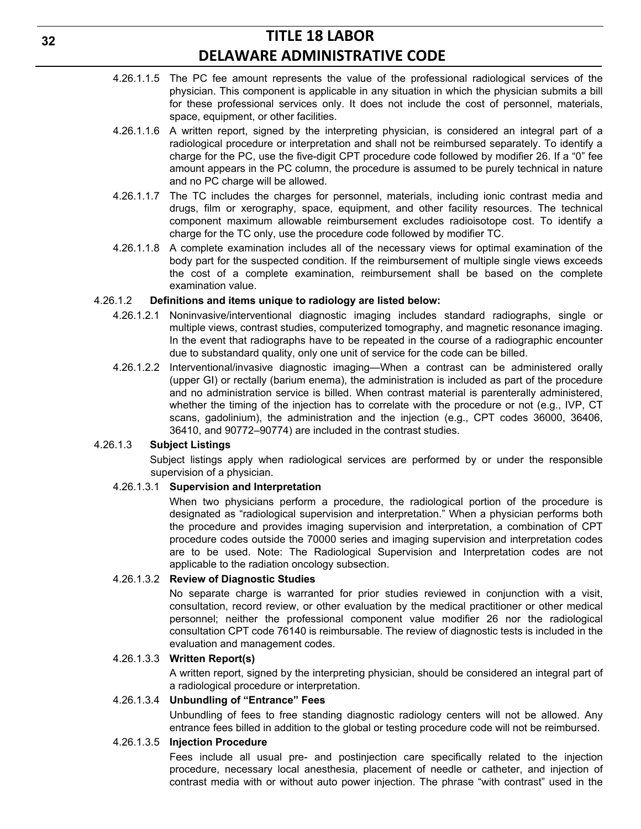- 4.26.1.1.5 The PC fee amount represents the value of the professional radiological services of the physician. This component is applicable in any situation in which the physician submits a bill for these professional services only. It does not include the cost of personnel, materials, space, equipment, or other facilities.
- 4.26.1.1.6 A written report, signed by the interpreting physician, is considered an integral part of a radiological procedure or interpretation and shall not be reimbursed separately. To identify a charge for the PC, use the five-digit CPT procedure code followed by modifier 26. If a "0" fee amount appears in the PC column, the procedure is assumed to be purely technical in nature and no PC charge will be allowed.
- 4.26.1.1.7 The TC includes the charges for personnel, materials, including ionic contrast media and drugs, film or xerography, space, equipment, and other facility resources. The technical component maximum allowable reimbursement excludes radioisotope cost. To identify a charge for the TC only, use the procedure code followed by modifier TC.
- 4.26.1.1.8 A complete examination includes all of the necessary views for optimal examination of the body part for the suspected condition. If the reimbursement of multiple single views exceeds the cost of a complete examination, reimbursement shall be based on the complete examination value.

#### 4.26.1.2 **Definitions and items unique to radiology are listed below:**

- 4.26.1.2.1 Noninvasive/interventional diagnostic imaging includes standard radiographs, single or multiple views, contrast studies, computerized tomography, and magnetic resonance imaging. In the event that radiographs have to be repeated in the course of a radiographic encounter due to substandard quality, only one unit of service for the code can be billed.
- 4.26.1.2.2 Interventional/invasive diagnostic imaging—When a contrast can be administered orally (upper GI) or rectally (barium enema), the administration is included as part of the procedure and no administration service is billed. When contrast material is parenterally administered, whether the timing of the injection has to correlate with the procedure or not (e.g., IVP, CT scans, gadolinium), the administration and the injection (e.g., CPT codes 36000, 36406, 36410, and 90772–90774) are included in the contrast studies.

#### 4.26.1.3 **Subject Listings**

Subject listings apply when radiological services are performed by or under the responsible supervision of a physician.

### 4.26.1.3.1 **Supervision and Interpretation**

When two physicians perform a procedure, the radiological portion of the procedure is designated as "radiological supervision and interpretation." When a physician performs both the procedure and provides imaging supervision and interpretation, a combination of CPT procedure codes outside the 70000 series and imaging supervision and interpretation codes are to be used. Note: The Radiological Supervision and Interpretation codes are not applicable to the radiation oncology subsection.

### 4.26.1.3.2 **Review of Diagnostic Studies**

No separate charge is warranted for prior studies reviewed in conjunction with a visit, consultation, record review, or other evaluation by the medical practitioner or other medical personnel; neither the professional component value modifier 26 nor the radiological consultation CPT code 76140 is reimbursable. The review of diagnostic tests is included in the evaluation and management codes.

#### 4.26.1.3.3 **Written Report(s)**

A written report, signed by the interpreting physician, should be considered an integral part of a radiological procedure or interpretation.

#### 4.26.1.3.4 **Unbundling of "Entrance" Fees**

Unbundling of fees to free standing diagnostic radiology centers will not be allowed. Any entrance fees billed in addition to the global or testing procedure code will not be reimbursed.

#### 4.26.1.3.5 **Injection Procedure**

Fees include all usual pre- and postinjection care specifically related to the injection procedure, necessary local anesthesia, placement of needle or catheter, and injection of contrast media with or without auto power injection. The phrase "with contrast" used in the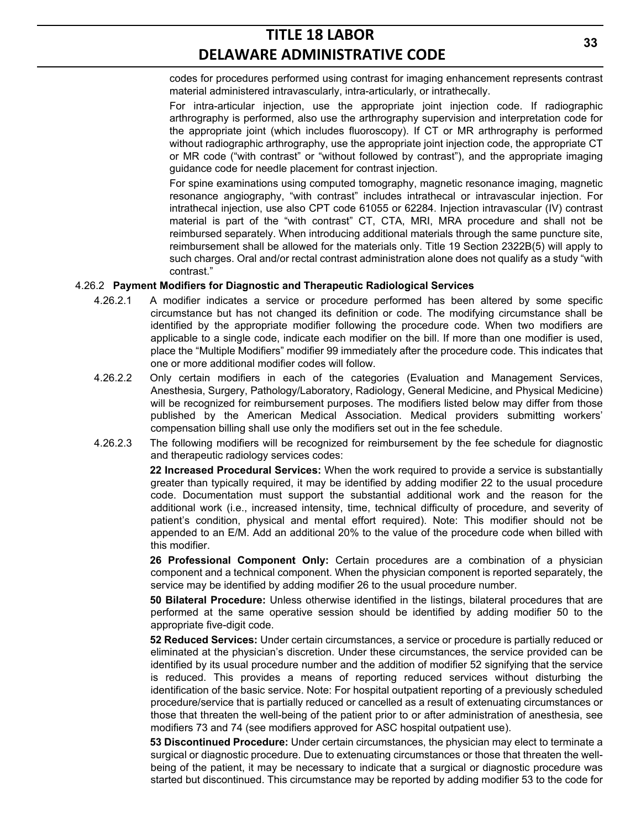codes for procedures performed using contrast for imaging enhancement represents contrast material administered intravascularly, intra-articularly, or intrathecally.

For intra-articular injection, use the appropriate joint injection code. If radiographic arthrography is performed, also use the arthrography supervision and interpretation code for the appropriate joint (which includes fluoroscopy). If CT or MR arthrography is performed without radiographic arthrography, use the appropriate joint injection code, the appropriate CT or MR code ("with contrast" or "without followed by contrast"), and the appropriate imaging guidance code for needle placement for contrast injection.

For spine examinations using computed tomography, magnetic resonance imaging, magnetic resonance angiography, "with contrast" includes intrathecal or intravascular injection. For intrathecal injection, use also CPT code 61055 or 62284. Injection intravascular (IV) contrast material is part of the "with contrast" CT, CTA, MRI, MRA procedure and shall not be reimbursed separately. When introducing additional materials through the same puncture site, reimbursement shall be allowed for the materials only. Title 19 Section 2322B(5) will apply to such charges. Oral and/or rectal contrast administration alone does not qualify as a study "with contrast."

#### 4.26.2 **Payment Modifiers for Diagnostic and Therapeutic Radiological Services**

- 4.26.2.1 A modifier indicates a service or procedure performed has been altered by some specific circumstance but has not changed its definition or code. The modifying circumstance shall be identified by the appropriate modifier following the procedure code. When two modifiers are applicable to a single code, indicate each modifier on the bill. If more than one modifier is used, place the "Multiple Modifiers" modifier 99 immediately after the procedure code. This indicates that one or more additional modifier codes will follow.
- 4.26.2.2 Only certain modifiers in each of the categories (Evaluation and Management Services, Anesthesia, Surgery, Pathology/Laboratory, Radiology, General Medicine, and Physical Medicine) will be recognized for reimbursement purposes. The modifiers listed below may differ from those published by the American Medical Association. Medical providers submitting workers' compensation billing shall use only the modifiers set out in the fee schedule.
- 4.26.2.3 The following modifiers will be recognized for reimbursement by the fee schedule for diagnostic and therapeutic radiology services codes:

**22 Increased Procedural Services:** When the work required to provide a service is substantially greater than typically required, it may be identified by adding modifier 22 to the usual procedure code. Documentation must support the substantial additional work and the reason for the additional work (i.e., increased intensity, time, technical difficulty of procedure, and severity of patient's condition, physical and mental effort required). Note: This modifier should not be appended to an E/M. Add an additional 20% to the value of the procedure code when billed with this modifier.

**26 Professional Component Only:** Certain procedures are a combination of a physician component and a technical component. When the physician component is reported separately, the service may be identified by adding modifier 26 to the usual procedure number.

**50 Bilateral Procedure:** Unless otherwise identified in the listings, bilateral procedures that are performed at the same operative session should be identified by adding modifier 50 to the appropriate five-digit code.

**52 Reduced Services:** Under certain circumstances, a service or procedure is partially reduced or eliminated at the physician's discretion. Under these circumstances, the service provided can be identified by its usual procedure number and the addition of modifier 52 signifying that the service is reduced. This provides a means of reporting reduced services without disturbing the identification of the basic service. Note: For hospital outpatient reporting of a previously scheduled procedure/service that is partially reduced or cancelled as a result of extenuating circumstances or those that threaten the well-being of the patient prior to or after administration of anesthesia, see modifiers 73 and 74 (see modifiers approved for ASC hospital outpatient use).

**53 Discontinued Procedure:** Under certain circumstances, the physician may elect to terminate a surgical or diagnostic procedure. Due to extenuating circumstances or those that threaten the wellbeing of the patient, it may be necessary to indicate that a surgical or diagnostic procedure was started but discontinued. This circumstance may be reported by adding modifier 53 to the code for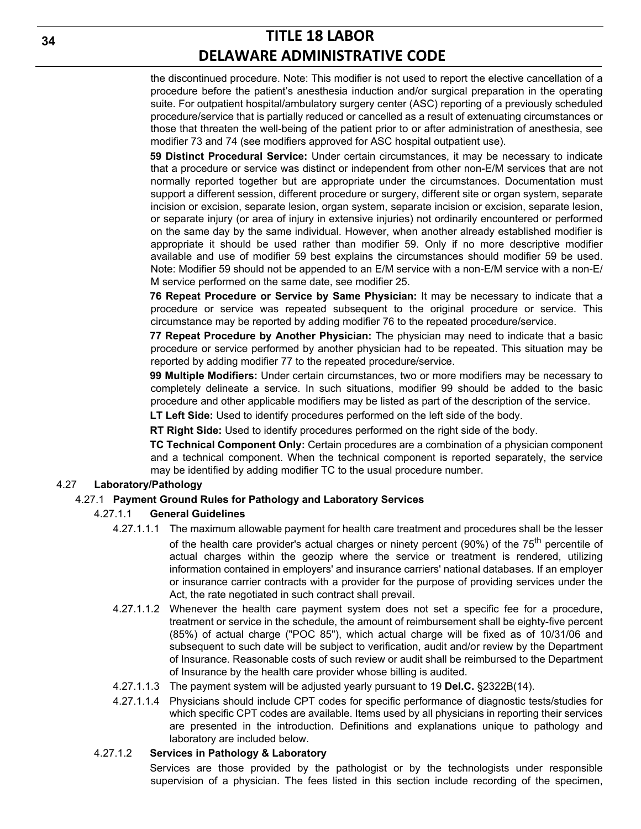the discontinued procedure. Note: This modifier is not used to report the elective cancellation of a procedure before the patient's anesthesia induction and/or surgical preparation in the operating suite. For outpatient hospital/ambulatory surgery center (ASC) reporting of a previously scheduled procedure/service that is partially reduced or cancelled as a result of extenuating circumstances or those that threaten the well-being of the patient prior to or after administration of anesthesia, see modifier 73 and 74 (see modifiers approved for ASC hospital outpatient use).

**59 Distinct Procedural Service:** Under certain circumstances, it may be necessary to indicate that a procedure or service was distinct or independent from other non-E/M services that are not normally reported together but are appropriate under the circumstances. Documentation must support a different session, different procedure or surgery, different site or organ system, separate incision or excision, separate lesion, organ system, separate incision or excision, separate lesion, or separate injury (or area of injury in extensive injuries) not ordinarily encountered or performed on the same day by the same individual. However, when another already established modifier is appropriate it should be used rather than modifier 59. Only if no more descriptive modifier available and use of modifier 59 best explains the circumstances should modifier 59 be used. Note: Modifier 59 should not be appended to an E/M service with a non-E/M service with a non-E/ M service performed on the same date, see modifier 25.

**76 Repeat Procedure or Service by Same Physician:** It may be necessary to indicate that a procedure or service was repeated subsequent to the original procedure or service. This circumstance may be reported by adding modifier 76 to the repeated procedure/service.

**77 Repeat Procedure by Another Physician:** The physician may need to indicate that a basic procedure or service performed by another physician had to be repeated. This situation may be reported by adding modifier 77 to the repeated procedure/service.

**99 Multiple Modifiers:** Under certain circumstances, two or more modifiers may be necessary to completely delineate a service. In such situations, modifier 99 should be added to the basic procedure and other applicable modifiers may be listed as part of the description of the service.

**LT Left Side:** Used to identify procedures performed on the left side of the body.

**RT Right Side:** Used to identify procedures performed on the right side of the body.

**TC Technical Component Only:** Certain procedures are a combination of a physician component and a technical component. When the technical component is reported separately, the service may be identified by adding modifier TC to the usual procedure number.

### 4.27 **Laboratory/Pathology**

#### 4.27.1 **Payment Ground Rules for Pathology and Laboratory Services**

#### 4.27.1.1 **General Guidelines**

- 4.27.1.1.1 The maximum allowable payment for health care treatment and procedures shall be the lesser of the health care provider's actual charges or ninety percent (90%) of the 75<sup>th</sup> percentile of actual charges within the geozip where the service or treatment is rendered, utilizing information contained in employers' and insurance carriers' national databases. If an employer or insurance carrier contracts with a provider for the purpose of providing services under the Act, the rate negotiated in such contract shall prevail.
- 4.27.1.1.2 Whenever the health care payment system does not set a specific fee for a procedure, treatment or service in the schedule, the amount of reimbursement shall be eighty-five percent (85%) of actual charge ("POC 85"), which actual charge will be fixed as of 10/31/06 and subsequent to such date will be subject to verification, audit and/or review by the Department of Insurance. Reasonable costs of such review or audit shall be reimbursed to the Department of Insurance by the health care provider whose billing is audited.
- 4.27.1.1.3 The payment system will be adjusted yearly pursuant to 19 **Del.C.** §2322B(14).
- 4.27.1.1.4 Physicians should include CPT codes for specific performance of diagnostic tests/studies for which specific CPT codes are available. Items used by all physicians in reporting their services are presented in the introduction. Definitions and explanations unique to pathology and laboratory are included below.

#### 4.27.1.2 **Services in Pathology & Laboratory**

Services are those provided by the pathologist or by the technologists under responsible supervision of a physician. The fees listed in this section include recording of the specimen,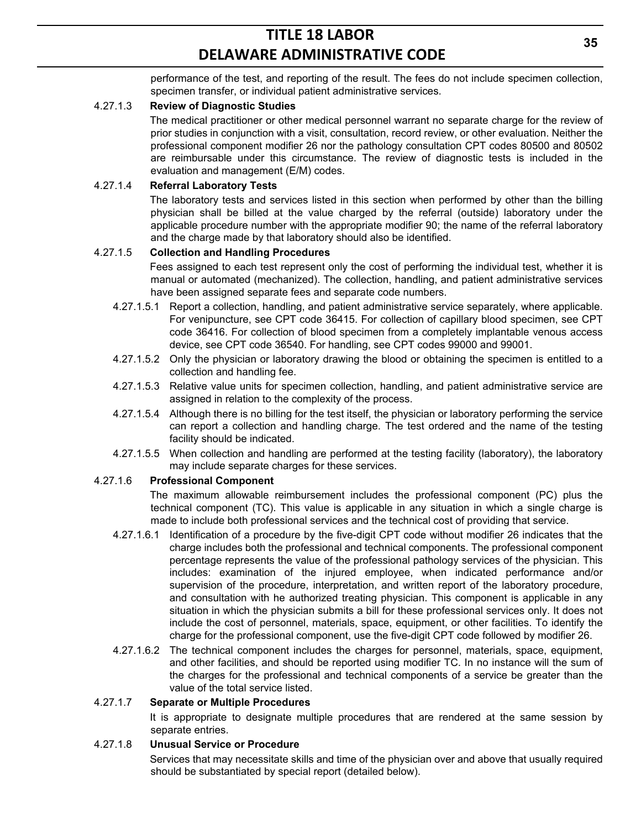performance of the test, and reporting of the result. The fees do not include specimen collection, specimen transfer, or individual patient administrative services.

### 4.27.1.3 **Review of Diagnostic Studies**

The medical practitioner or other medical personnel warrant no separate charge for the review of prior studies in conjunction with a visit, consultation, record review, or other evaluation. Neither the professional component modifier 26 nor the pathology consultation CPT codes 80500 and 80502 are reimbursable under this circumstance. The review of diagnostic tests is included in the evaluation and management (E/M) codes.

#### 4.27.1.4 **Referral Laboratory Tests**

The laboratory tests and services listed in this section when performed by other than the billing physician shall be billed at the value charged by the referral (outside) laboratory under the applicable procedure number with the appropriate modifier 90; the name of the referral laboratory and the charge made by that laboratory should also be identified.

#### 4.27.1.5 **Collection and Handling Procedures**

Fees assigned to each test represent only the cost of performing the individual test, whether it is manual or automated (mechanized). The collection, handling, and patient administrative services have been assigned separate fees and separate code numbers.

- 4.27.1.5.1 Report a collection, handling, and patient administrative service separately, where applicable. For venipuncture, see CPT code 36415. For collection of capillary blood specimen, see CPT code 36416. For collection of blood specimen from a completely implantable venous access device, see CPT code 36540. For handling, see CPT codes 99000 and 99001.
- 4.27.1.5.2 Only the physician or laboratory drawing the blood or obtaining the specimen is entitled to a collection and handling fee.
- 4.27.1.5.3 Relative value units for specimen collection, handling, and patient administrative service are assigned in relation to the complexity of the process.
- 4.27.1.5.4 Although there is no billing for the test itself, the physician or laboratory performing the service can report a collection and handling charge. The test ordered and the name of the testing facility should be indicated.
- 4.27.1.5.5 When collection and handling are performed at the testing facility (laboratory), the laboratory may include separate charges for these services.

### 4.27.1.6 **Professional Component**

The maximum allowable reimbursement includes the professional component (PC) plus the technical component (TC). This value is applicable in any situation in which a single charge is made to include both professional services and the technical cost of providing that service.

- 4.27.1.6.1 Identification of a procedure by the five-digit CPT code without modifier 26 indicates that the charge includes both the professional and technical components. The professional component percentage represents the value of the professional pathology services of the physician. This includes: examination of the injured employee, when indicated performance and/or supervision of the procedure, interpretation, and written report of the laboratory procedure, and consultation with he authorized treating physician. This component is applicable in any situation in which the physician submits a bill for these professional services only. It does not include the cost of personnel, materials, space, equipment, or other facilities. To identify the charge for the professional component, use the five-digit CPT code followed by modifier 26.
- 4.27.1.6.2 The technical component includes the charges for personnel, materials, space, equipment, and other facilities, and should be reported using modifier TC. In no instance will the sum of the charges for the professional and technical components of a service be greater than the value of the total service listed.

#### 4.27.1.7 **Separate or Multiple Procedures**

It is appropriate to designate multiple procedures that are rendered at the same session by separate entries.

#### 4.27.1.8 **Unusual Service or Procedure**

Services that may necessitate skills and time of the physician over and above that usually required should be substantiated by special report (detailed below).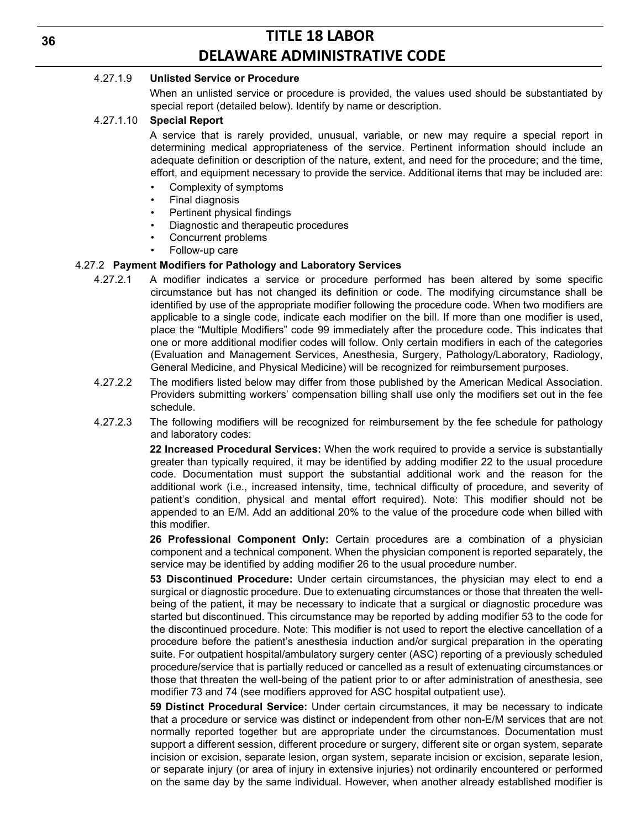#### 4.27.1.9 **Unlisted Service or Procedure**

When an unlisted service or procedure is provided, the values used should be substantiated by special report (detailed below). Identify by name or description.

#### 4.27.1.10 **Special Report**

A service that is rarely provided, unusual, variable, or new may require a special report in determining medical appropriateness of the service. Pertinent information should include an adequate definition or description of the nature, extent, and need for the procedure; and the time, effort, and equipment necessary to provide the service. Additional items that may be included are:

- Complexity of symptoms
- Final diagnosis
- Pertinent physical findings
- Diagnostic and therapeutic procedures
- Concurrent problems
- Follow-up care

## 4.27.2 **Payment Modifiers for Pathology and Laboratory Services**

- 4.27.2.1 A modifier indicates a service or procedure performed has been altered by some specific circumstance but has not changed its definition or code. The modifying circumstance shall be identified by use of the appropriate modifier following the procedure code. When two modifiers are applicable to a single code, indicate each modifier on the bill. If more than one modifier is used, place the "Multiple Modifiers" code 99 immediately after the procedure code. This indicates that one or more additional modifier codes will follow. Only certain modifiers in each of the categories (Evaluation and Management Services, Anesthesia, Surgery, Pathology/Laboratory, Radiology, General Medicine, and Physical Medicine) will be recognized for reimbursement purposes.
- 4.27.2.2 The modifiers listed below may differ from those published by the American Medical Association. Providers submitting workers' compensation billing shall use only the modifiers set out in the fee schedule.
- 4.27.2.3 The following modifiers will be recognized for reimbursement by the fee schedule for pathology and laboratory codes:

**22 Increased Procedural Services:** When the work required to provide a service is substantially greater than typically required, it may be identified by adding modifier 22 to the usual procedure code. Documentation must support the substantial additional work and the reason for the additional work (i.e., increased intensity, time, technical difficulty of procedure, and severity of patient's condition, physical and mental effort required). Note: This modifier should not be appended to an E/M. Add an additional 20% to the value of the procedure code when billed with this modifier.

**26 Professional Component Only:** Certain procedures are a combination of a physician component and a technical component. When the physician component is reported separately, the service may be identified by adding modifier 26 to the usual procedure number.

**53 Discontinued Procedure:** Under certain circumstances, the physician may elect to end a surgical or diagnostic procedure. Due to extenuating circumstances or those that threaten the wellbeing of the patient, it may be necessary to indicate that a surgical or diagnostic procedure was started but discontinued. This circumstance may be reported by adding modifier 53 to the code for the discontinued procedure. Note: This modifier is not used to report the elective cancellation of a procedure before the patient's anesthesia induction and/or surgical preparation in the operating suite. For outpatient hospital/ambulatory surgery center (ASC) reporting of a previously scheduled procedure/service that is partially reduced or cancelled as a result of extenuating circumstances or those that threaten the well-being of the patient prior to or after administration of anesthesia, see modifier 73 and 74 (see modifiers approved for ASC hospital outpatient use).

**59 Distinct Procedural Service:** Under certain circumstances, it may be necessary to indicate that a procedure or service was distinct or independent from other non-E/M services that are not normally reported together but are appropriate under the circumstances. Documentation must support a different session, different procedure or surgery, different site or organ system, separate incision or excision, separate lesion, organ system, separate incision or excision, separate lesion, or separate injury (or area of injury in extensive injuries) not ordinarily encountered or performed on the same day by the same individual. However, when another already established modifier is

**36**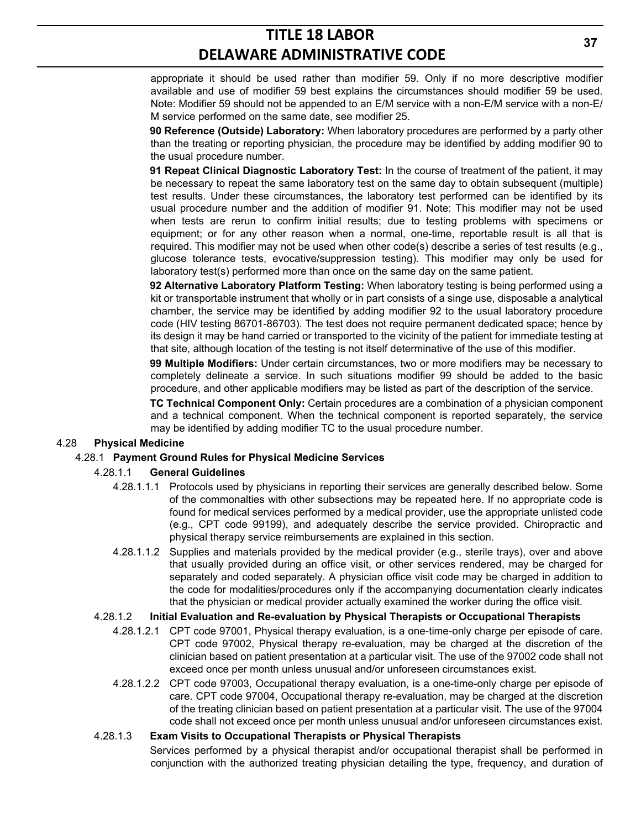appropriate it should be used rather than modifier 59. Only if no more descriptive modifier available and use of modifier 59 best explains the circumstances should modifier 59 be used. Note: Modifier 59 should not be appended to an E/M service with a non-E/M service with a non-E/ M service performed on the same date, see modifier 25.

**90 Reference (Outside) Laboratory:** When laboratory procedures are performed by a party other than the treating or reporting physician, the procedure may be identified by adding modifier 90 to the usual procedure number.

**91 Repeat Clinical Diagnostic Laboratory Test:** In the course of treatment of the patient, it may be necessary to repeat the same laboratory test on the same day to obtain subsequent (multiple) test results. Under these circumstances, the laboratory test performed can be identified by its usual procedure number and the addition of modifier 91. Note: This modifier may not be used when tests are rerun to confirm initial results; due to testing problems with specimens or equipment; or for any other reason when a normal, one-time, reportable result is all that is required. This modifier may not be used when other code(s) describe a series of test results (e.g., glucose tolerance tests, evocative/suppression testing). This modifier may only be used for laboratory test(s) performed more than once on the same day on the same patient.

**92 Alternative Laboratory Platform Testing:** When laboratory testing is being performed using a kit or transportable instrument that wholly or in part consists of a singe use, disposable a analytical chamber, the service may be identified by adding modifier 92 to the usual laboratory procedure code (HIV testing 86701-86703). The test does not require permanent dedicated space; hence by its design it may be hand carried or transported to the vicinity of the patient for immediate testing at that site, although location of the testing is not itself determinative of the use of this modifier.

**99 Multiple Modifiers:** Under certain circumstances, two or more modifiers may be necessary to completely delineate a service. In such situations modifier 99 should be added to the basic procedure, and other applicable modifiers may be listed as part of the description of the service.

**TC Technical Component Only:** Certain procedures are a combination of a physician component and a technical component. When the technical component is reported separately, the service may be identified by adding modifier TC to the usual procedure number.

### 4.28 **Physical Medicine**

### 4.28.1 **Payment Ground Rules for Physical Medicine Services**

### 4.28.1.1 **General Guidelines**

- 4.28.1.1.1 Protocols used by physicians in reporting their services are generally described below. Some of the commonalties with other subsections may be repeated here. If no appropriate code is found for medical services performed by a medical provider, use the appropriate unlisted code (e.g., CPT code 99199), and adequately describe the service provided. Chiropractic and physical therapy service reimbursements are explained in this section.
- 4.28.1.1.2 Supplies and materials provided by the medical provider (e.g., sterile trays), over and above that usually provided during an office visit, or other services rendered, may be charged for separately and coded separately. A physician office visit code may be charged in addition to the code for modalities/procedures only if the accompanying documentation clearly indicates that the physician or medical provider actually examined the worker during the office visit.

#### 4.28.1.2 **Initial Evaluation and Re-evaluation by Physical Therapists or Occupational Therapists**

- 4.28.1.2.1 CPT code 97001, Physical therapy evaluation, is a one-time-only charge per episode of care. CPT code 97002, Physical therapy re-evaluation, may be charged at the discretion of the clinician based on patient presentation at a particular visit. The use of the 97002 code shall not exceed once per month unless unusual and/or unforeseen circumstances exist.
- 4.28.1.2.2 CPT code 97003, Occupational therapy evaluation, is a one-time-only charge per episode of care. CPT code 97004, Occupational therapy re-evaluation, may be charged at the discretion of the treating clinician based on patient presentation at a particular visit. The use of the 97004 code shall not exceed once per month unless unusual and/or unforeseen circumstances exist.

### 4.28.1.3 **Exam Visits to Occupational Therapists or Physical Therapists**

Services performed by a physical therapist and/or occupational therapist shall be performed in conjunction with the authorized treating physician detailing the type, frequency, and duration of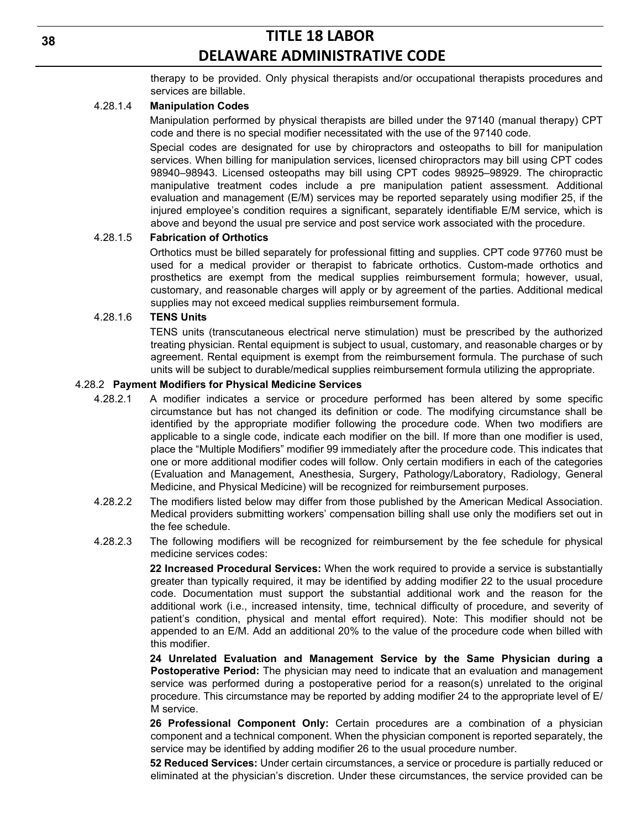therapy to be provided. Only physical therapists and/or occupational therapists procedures and services are billable.

#### 4.28.1.4 **Manipulation Codes**

Manipulation performed by physical therapists are billed under the 97140 (manual therapy) CPT code and there is no special modifier necessitated with the use of the 97140 code.

Special codes are designated for use by chiropractors and osteopaths to bill for manipulation services. When billing for manipulation services, licensed chiropractors may bill using CPT codes 98940–98943. Licensed osteopaths may bill using CPT codes 98925–98929. The chiropractic manipulative treatment codes include a pre manipulation patient assessment. Additional evaluation and management (E/M) services may be reported separately using modifier 25, if the injured employee's condition requires a significant, separately identifiable E/M service, which is above and beyond the usual pre service and post service work associated with the procedure.

#### 4.28.1.5 **Fabrication of Orthotics**

Orthotics must be billed separately for professional fitting and supplies. CPT code 97760 must be used for a medical provider or therapist to fabricate orthotics. Custom-made orthotics and prosthetics are exempt from the medical supplies reimbursement formula; however, usual, customary, and reasonable charges will apply or by agreement of the parties. Additional medical supplies may not exceed medical supplies reimbursement formula.

#### 4.28.1.6 **TENS Units**

TENS units (transcutaneous electrical nerve stimulation) must be prescribed by the authorized treating physician. Rental equipment is subject to usual, customary, and reasonable charges or by agreement. Rental equipment is exempt from the reimbursement formula. The purchase of such units will be subject to durable/medical supplies reimbursement formula utilizing the appropriate.

#### 4.28.2 **Payment Modifiers for Physical Medicine Services**

- 4.28.2.1 A modifier indicates a service or procedure performed has been altered by some specific circumstance but has not changed its definition or code. The modifying circumstance shall be identified by the appropriate modifier following the procedure code. When two modifiers are applicable to a single code, indicate each modifier on the bill. If more than one modifier is used, place the "Multiple Modifiers" modifier 99 immediately after the procedure code. This indicates that one or more additional modifier codes will follow. Only certain modifiers in each of the categories (Evaluation and Management, Anesthesia, Surgery, Pathology/Laboratory, Radiology, General Medicine, and Physical Medicine) will be recognized for reimbursement purposes.
- 4.28.2.2 The modifiers listed below may differ from those published by the American Medical Association. Medical providers submitting workers' compensation billing shall use only the modifiers set out in the fee schedule.
- 4.28.2.3 The following modifiers will be recognized for reimbursement by the fee schedule for physical medicine services codes:

**22 Increased Procedural Services:** When the work required to provide a service is substantially greater than typically required, it may be identified by adding modifier 22 to the usual procedure code. Documentation must support the substantial additional work and the reason for the additional work (i.e., increased intensity, time, technical difficulty of procedure, and severity of patient's condition, physical and mental effort required). Note: This modifier should not be appended to an E/M. Add an additional 20% to the value of the procedure code when billed with this modifier.

**24 Unrelated Evaluation and Management Service by the Same Physician during a Postoperative Period:** The physician may need to indicate that an evaluation and management service was performed during a postoperative period for a reason(s) unrelated to the original procedure. This circumstance may be reported by adding modifier 24 to the appropriate level of E/ M service.

**26 Professional Component Only:** Certain procedures are a combination of a physician component and a technical component. When the physician component is reported separately, the service may be identified by adding modifier 26 to the usual procedure number.

**52 Reduced Services:** Under certain circumstances, a service or procedure is partially reduced or eliminated at the physician's discretion. Under these circumstances, the service provided can be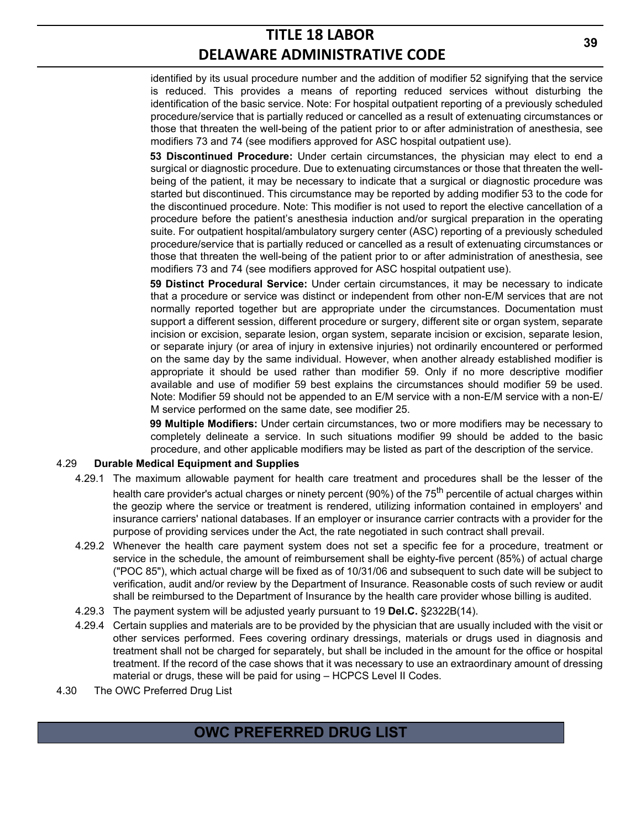identified by its usual procedure number and the addition of modifier 52 signifying that the service is reduced. This provides a means of reporting reduced services without disturbing the identification of the basic service. Note: For hospital outpatient reporting of a previously scheduled procedure/service that is partially reduced or cancelled as a result of extenuating circumstances or those that threaten the well-being of the patient prior to or after administration of anesthesia, see modifiers 73 and 74 (see modifiers approved for ASC hospital outpatient use).

**53 Discontinued Procedure:** Under certain circumstances, the physician may elect to end a surgical or diagnostic procedure. Due to extenuating circumstances or those that threaten the wellbeing of the patient, it may be necessary to indicate that a surgical or diagnostic procedure was started but discontinued. This circumstance may be reported by adding modifier 53 to the code for the discontinued procedure. Note: This modifier is not used to report the elective cancellation of a procedure before the patient's anesthesia induction and/or surgical preparation in the operating suite. For outpatient hospital/ambulatory surgery center (ASC) reporting of a previously scheduled procedure/service that is partially reduced or cancelled as a result of extenuating circumstances or those that threaten the well-being of the patient prior to or after administration of anesthesia, see modifiers 73 and 74 (see modifiers approved for ASC hospital outpatient use).

**59 Distinct Procedural Service:** Under certain circumstances, it may be necessary to indicate that a procedure or service was distinct or independent from other non-E/M services that are not normally reported together but are appropriate under the circumstances. Documentation must support a different session, different procedure or surgery, different site or organ system, separate incision or excision, separate lesion, organ system, separate incision or excision, separate lesion, or separate injury (or area of injury in extensive injuries) not ordinarily encountered or performed on the same day by the same individual. However, when another already established modifier is appropriate it should be used rather than modifier 59. Only if no more descriptive modifier available and use of modifier 59 best explains the circumstances should modifier 59 be used. Note: Modifier 59 should not be appended to an E/M service with a non-E/M service with a non-E/ M service performed on the same date, see modifier 25.

**99 Multiple Modifiers:** Under certain circumstances, two or more modifiers may be necessary to completely delineate a service. In such situations modifier 99 should be added to the basic procedure, and other applicable modifiers may be listed as part of the description of the service.

### 4.29 **Durable Medical Equipment and Supplies**

- 4.29.1 The maximum allowable payment for health care treatment and procedures shall be the lesser of the health care provider's actual charges or ninety percent (90%) of the 75<sup>th</sup> percentile of actual charges within the geozip where the service or treatment is rendered, utilizing information contained in employers' and insurance carriers' national databases. If an employer or insurance carrier contracts with a provider for the purpose of providing services under the Act, the rate negotiated in such contract shall prevail.
- 4.29.2 Whenever the health care payment system does not set a specific fee for a procedure, treatment or service in the schedule, the amount of reimbursement shall be eighty-five percent (85%) of actual charge ("POC 85"), which actual charge will be fixed as of 10/31/06 and subsequent to such date will be subject to verification, audit and/or review by the Department of Insurance. Reasonable costs of such review or audit shall be reimbursed to the Department of Insurance by the health care provider whose billing is audited.
- 4.29.3 The payment system will be adjusted yearly pursuant to 19 **Del.C.** §2322B(14).
- 4.29.4 Certain supplies and materials are to be provided by the physician that are usually included with the visit or other services performed. Fees covering ordinary dressings, materials or drugs used in diagnosis and treatment shall not be charged for separately, but shall be included in the amount for the office or hospital treatment. If the record of the case shows that it was necessary to use an extraordinary amount of dressing material or drugs, these will be paid for using – HCPCS Level II Codes.
- 4.30 The OWC Preferred Drug List

## **OWC PREFERRED DRUG LIST**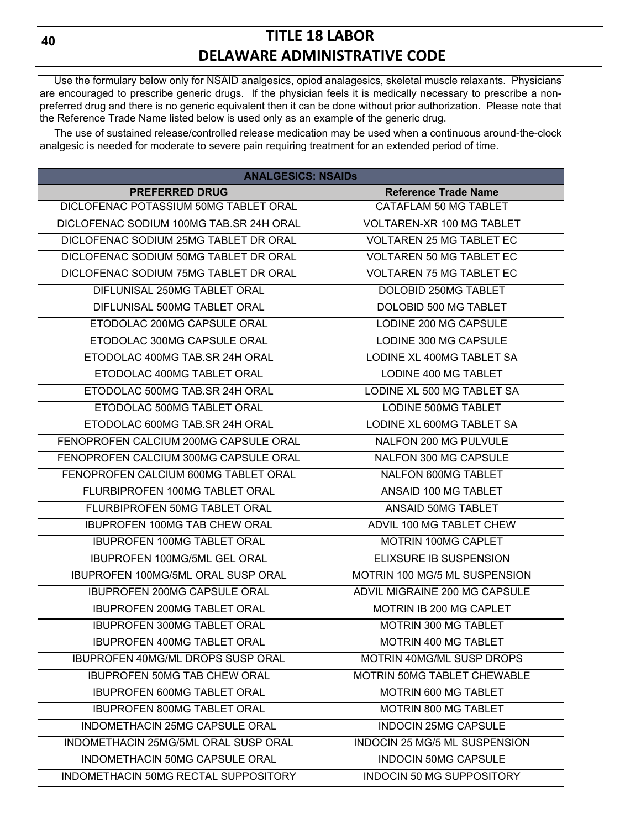Use the formulary below only for NSAID analgesics, opiod analagesics, skeletal muscle relaxants. Physicians are encouraged to prescribe generic drugs. If the physician feels it is medically necessary to prescribe a nonpreferred drug and there is no generic equivalent then it can be done without prior authorization. Please note that the Reference Trade Name listed below is used only as an example of the generic drug.

 The use of sustained release/controlled release medication may be used when a continuous around-the-clock analgesic is needed for moderate to severe pain requiring treatment for an extended period of time.

| <b>ANALGESICS: NSAIDS</b>                 |                                    |  |  |  |  |
|-------------------------------------------|------------------------------------|--|--|--|--|
| <b>PREFERRED DRUG</b>                     | <b>Reference Trade Name</b>        |  |  |  |  |
| DICLOFENAC POTASSIUM 50MG TABLET ORAL     | CATAFLAM 50 MG TABLET              |  |  |  |  |
| DICLOFENAC SODIUM 100MG TAB.SR 24H ORAL   | <b>VOLTAREN-XR 100 MG TABLET</b>   |  |  |  |  |
| DICLOFENAC SODIUM 25MG TABLET DR ORAL     | <b>VOLTAREN 25 MG TABLET EC</b>    |  |  |  |  |
| DICLOFENAC SODIUM 50MG TABLET DR ORAL     | <b>VOLTAREN 50 MG TABLET EC</b>    |  |  |  |  |
| DICLOFENAC SODIUM 75MG TABLET DR ORAL     | <b>VOLTAREN 75 MG TABLET EC</b>    |  |  |  |  |
| DIFLUNISAL 250MG TABLET ORAL              | DOLOBID 250MG TABLET               |  |  |  |  |
| DIFLUNISAL 500MG TABLET ORAL              | DOLOBID 500 MG TABLET              |  |  |  |  |
| ETODOLAC 200MG CAPSULE ORAL               | LODINE 200 MG CAPSULE              |  |  |  |  |
| ETODOLAC 300MG CAPSULE ORAL               | LODINE 300 MG CAPSULE              |  |  |  |  |
| ETODOLAC 400MG TAB.SR 24H ORAL            | LODINE XL 400MG TABLET SA          |  |  |  |  |
| ETODOLAC 400MG TABLET ORAL                | LODINE 400 MG TABLET               |  |  |  |  |
| ETODOLAC 500MG TAB.SR 24H ORAL            | LODINE XL 500 MG TABLET SA         |  |  |  |  |
| ETODOLAC 500MG TABLET ORAL                | <b>LODINE 500MG TABLET</b>         |  |  |  |  |
| ETODOLAC 600MG TAB.SR 24H ORAL            | LODINE XL 600MG TABLET SA          |  |  |  |  |
| FENOPROFEN CALCIUM 200MG CAPSULE ORAL     | <b>NALFON 200 MG PULVULE</b>       |  |  |  |  |
| FENOPROFEN CALCIUM 300MG CAPSULE ORAL     | NALFON 300 MG CAPSULE              |  |  |  |  |
| FENOPROFEN CALCIUM 600MG TABLET ORAL      | NALFON 600MG TABLET                |  |  |  |  |
| FLURBIPROFEN 100MG TABLET ORAL            | ANSAID 100 MG TABLET               |  |  |  |  |
| FLURBIPROFEN 50MG TABLET ORAL             | ANSAID 50MG TABLET                 |  |  |  |  |
| <b>IBUPROFEN 100MG TAB CHEW ORAL</b>      | ADVIL 100 MG TABLET CHEW           |  |  |  |  |
| <b>IBUPROFEN 100MG TABLET ORAL</b>        | <b>MOTRIN 100MG CAPLET</b>         |  |  |  |  |
| <b>IBUPROFEN 100MG/5ML GEL ORAL</b>       | ELIXSURE IB SUSPENSION             |  |  |  |  |
| <b>IBUPROFEN 100MG/5ML ORAL SUSP ORAL</b> | MOTRIN 100 MG/5 ML SUSPENSION      |  |  |  |  |
| <b>IBUPROFEN 200MG CAPSULE ORAL</b>       | ADVIL MIGRAINE 200 MG CAPSULE      |  |  |  |  |
| <b>IBUPROFEN 200MG TABLET ORAL</b>        | MOTRIN IB 200 MG CAPLET            |  |  |  |  |
| <b>IBUPROFEN 300MG TABLET ORAL</b>        | MOTRIN 300 MG TABLET               |  |  |  |  |
| <b>IBUPROFEN 400MG TABLET ORAL</b>        | <b>MOTRIN 400 MG TABLET</b>        |  |  |  |  |
| <b>IBUPROFEN 40MG/ML DROPS SUSP ORAL</b>  | MOTRIN 40MG/ML SUSP DROPS          |  |  |  |  |
| <b>IBUPROFEN 50MG TAB CHEW ORAL</b>       | <b>MOTRIN 50MG TABLET CHEWABLE</b> |  |  |  |  |
| IBUPROFEN 600MG TABLET ORAL               | MOTRIN 600 MG TABLET               |  |  |  |  |
| <b>IBUPROFEN 800MG TABLET ORAL</b>        | <b>MOTRIN 800 MG TABLET</b>        |  |  |  |  |
| <b>INDOMETHACIN 25MG CAPSULE ORAL</b>     | <b>INDOCIN 25MG CAPSULE</b>        |  |  |  |  |
| INDOMETHACIN 25MG/5ML ORAL SUSP ORAL      | INDOCIN 25 MG/5 ML SUSPENSION      |  |  |  |  |
| INDOMETHACIN 50MG CAPSULE ORAL            | <b>INDOCIN 50MG CAPSULE</b>        |  |  |  |  |
| INDOMETHACIN 50MG RECTAL SUPPOSITORY      | <b>INDOCIN 50 MG SUPPOSITORY</b>   |  |  |  |  |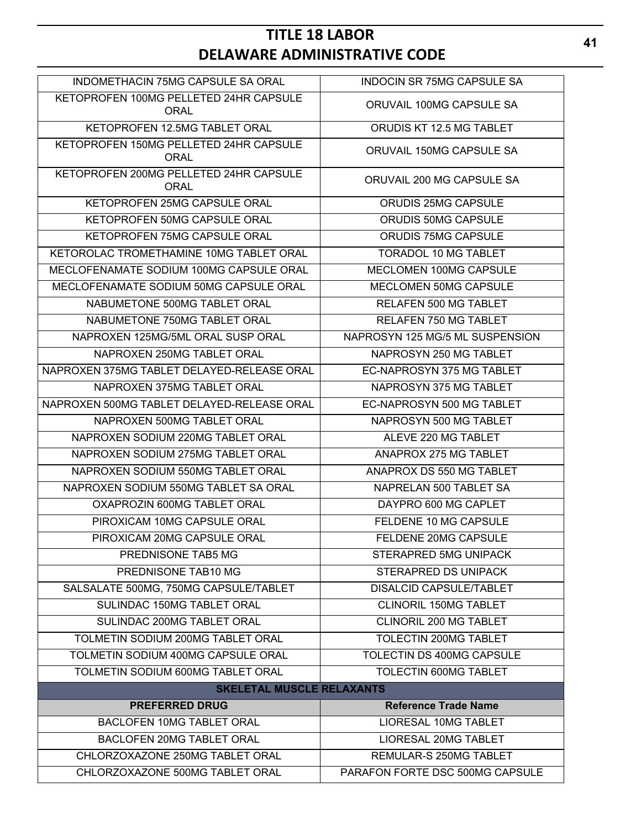| INDOMETHACIN 75MG CAPSULE SA ORAL                     | <b>INDOCIN SR 75MG CAPSULE SA</b> |  |  |  |  |
|-------------------------------------------------------|-----------------------------------|--|--|--|--|
| KETOPROFEN 100MG PELLETED 24HR CAPSULE<br><b>ORAL</b> | ORUVAIL 100MG CAPSULE SA          |  |  |  |  |
| KETOPROFEN 12.5MG TABLET ORAL                         | ORUDIS KT 12.5 MG TABLET          |  |  |  |  |
| KETOPROFEN 150MG PELLETED 24HR CAPSULE<br><b>ORAL</b> | ORUVAIL 150MG CAPSULE SA          |  |  |  |  |
| KETOPROFEN 200MG PELLETED 24HR CAPSULE<br><b>ORAL</b> | ORUVAIL 200 MG CAPSULE SA         |  |  |  |  |
| KETOPROFEN 25MG CAPSULE ORAL                          | <b>ORUDIS 25MG CAPSULE</b>        |  |  |  |  |
| KETOPROFEN 50MG CAPSULE ORAL                          | ORUDIS 50MG CAPSULE               |  |  |  |  |
| KETOPROFEN 75MG CAPSULE ORAL                          | ORUDIS 75MG CAPSULE               |  |  |  |  |
| KETOROLAC TROMETHAMINE 10MG TABLET ORAL               | <b>TORADOL 10 MG TABLET</b>       |  |  |  |  |
| MECLOFENAMATE SODIUM 100MG CAPSULE ORAL               | MECLOMEN 100MG CAPSULE            |  |  |  |  |
| MECLOFENAMATE SODIUM 50MG CAPSULE ORAL                | MECLOMEN 50MG CAPSULE             |  |  |  |  |
| NABUMETONE 500MG TABLET ORAL                          | <b>RELAFEN 500 MG TABLET</b>      |  |  |  |  |
| NABUMETONE 750MG TABLET ORAL                          | <b>RELAFEN 750 MG TABLET</b>      |  |  |  |  |
| NAPROXEN 125MG/5ML ORAL SUSP ORAL                     | NAPROSYN 125 MG/5 ML SUSPENSION   |  |  |  |  |
| NAPROXEN 250MG TABLET ORAL                            | NAPROSYN 250 MG TABLET            |  |  |  |  |
| NAPROXEN 375MG TABLET DELAYED-RELEASE ORAL            | EC-NAPROSYN 375 MG TABLET         |  |  |  |  |
| NAPROXEN 375MG TABLET ORAL                            | NAPROSYN 375 MG TABLET            |  |  |  |  |
| NAPROXEN 500MG TABLET DELAYED-RELEASE ORAL            | EC-NAPROSYN 500 MG TABLET         |  |  |  |  |
| NAPROXEN 500MG TABLET ORAL                            | NAPROSYN 500 MG TABLET            |  |  |  |  |
| NAPROXEN SODIUM 220MG TABLET ORAL                     | ALEVE 220 MG TABLET               |  |  |  |  |
| NAPROXEN SODIUM 275MG TABLET ORAL                     | ANAPROX 275 MG TABLET             |  |  |  |  |
| NAPROXEN SODIUM 550MG TABLET ORAL                     | ANAPROX DS 550 MG TABLET          |  |  |  |  |
| NAPROXEN SODIUM 550MG TABLET SA ORAL                  | NAPRELAN 500 TABLET SA            |  |  |  |  |
| OXAPROZIN 600MG TABLET ORAL                           | DAYPRO 600 MG CAPLET              |  |  |  |  |
| PIROXICAM 10MG CAPSULE ORAL                           | FELDENE 10 MG CAPSULE             |  |  |  |  |
| PIROXICAM 20MG CAPSULE ORAL                           | FELDENE 20MG CAPSULE              |  |  |  |  |
| PREDNISONE TAB5 MG                                    | STERAPRED 5MG UNIPACK             |  |  |  |  |
| PREDNISONE TAB10 MG                                   | <b>STERAPRED DS UNIPACK</b>       |  |  |  |  |
| SALSALATE 500MG, 750MG CAPSULE/TABLET                 | <b>DISALCID CAPSULE/TABLET</b>    |  |  |  |  |
| <b>SULINDAC 150MG TABLET ORAL</b>                     | <b>CLINORIL 150MG TABLET</b>      |  |  |  |  |
| SULINDAC 200MG TABLET ORAL                            | CLINORIL 200 MG TABLET            |  |  |  |  |
| TOLMETIN SODIUM 200MG TABLET ORAL                     | TOLECTIN 200MG TABLET             |  |  |  |  |
| TOLMETIN SODIUM 400MG CAPSULE ORAL                    | TOLECTIN DS 400MG CAPSULE         |  |  |  |  |
| TOLMETIN SODIUM 600MG TABLET ORAL                     | <b>TOLECTIN 600MG TABLET</b>      |  |  |  |  |
| <b>SKELETAL MUSCLE RELAXANTS</b>                      |                                   |  |  |  |  |
| <b>PREFERRED DRUG</b>                                 | <b>Reference Trade Name</b>       |  |  |  |  |
| <b>BACLOFEN 10MG TABLET ORAL</b>                      | <b>LIORESAL 10MG TABLET</b>       |  |  |  |  |
| BACLOFEN 20MG TABLET ORAL                             | LIORESAL 20MG TABLET              |  |  |  |  |
| CHLORZOXAZONE 250MG TABLET ORAL                       | REMULAR-S 250MG TABLET            |  |  |  |  |
| CHLORZOXAZONE 500MG TABLET ORAL                       | PARAFON FORTE DSC 500MG CAPSULE   |  |  |  |  |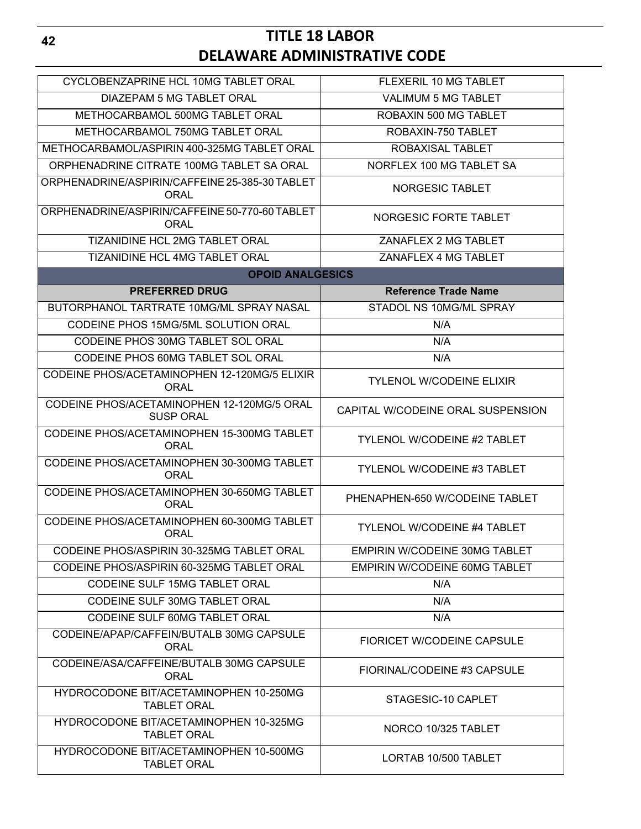| CYCLOBENZAPRINE HCL 10MG TABLET ORAL                           | FLEXERIL 10 MG TABLET                |
|----------------------------------------------------------------|--------------------------------------|
| DIAZEPAM 5 MG TABLET ORAL                                      | <b>VALIMUM 5 MG TABLET</b>           |
| METHOCARBAMOL 500MG TABLET ORAL                                | ROBAXIN 500 MG TABLET                |
| METHOCARBAMOL 750MG TABLET ORAL                                | ROBAXIN-750 TABLET                   |
| METHOCARBAMOL/ASPIRIN 400-325MG TABLET ORAL                    | ROBAXISAL TABLET                     |
| ORPHENADRINE CITRATE 100MG TABLET SA ORAL                      | NORFLEX 100 MG TABLET SA             |
| ORPHENADRINE/ASPIRIN/CAFFEINE 25-385-30 TABLET                 |                                      |
| ORAL                                                           | NORGESIC TABLET                      |
| ORPHENADRINE/ASPIRIN/CAFFEINE 50-770-60 TABLET<br><b>ORAL</b>  | NORGESIC FORTE TABLET                |
| TIZANIDINE HCL 2MG TABLET ORAL                                 | ZANAFLEX 2 MG TABLET                 |
| TIZANIDINE HCL 4MG TABLET ORAL                                 | ZANAFLEX 4 MG TABLET                 |
| <b>OPOID ANALGESICS</b>                                        |                                      |
| <b>PREFERRED DRUG</b>                                          | <b>Reference Trade Name</b>          |
| BUTORPHANOL TARTRATE 10MG/ML SPRAY NASAL                       | STADOL NS 10MG/ML SPRAY              |
| CODEINE PHOS 15MG/5ML SOLUTION ORAL                            | N/A                                  |
| CODEINE PHOS 30MG TABLET SOL ORAL                              | N/A                                  |
| CODEINE PHOS 60MG TABLET SOL ORAL                              | N/A                                  |
| CODEINE PHOS/ACETAMINOPHEN 12-120MG/5 ELIXIR<br><b>ORAL</b>    | <b>TYLENOL W/CODEINE ELIXIR</b>      |
| CODEINE PHOS/ACETAMINOPHEN 12-120MG/5 ORAL<br><b>SUSP ORAL</b> | CAPITAL W/CODEINE ORAL SUSPENSION    |
| CODEINE PHOS/ACETAMINOPHEN 15-300MG TABLET<br><b>ORAL</b>      | <b>TYLENOL W/CODEINE #2 TABLET</b>   |
| CODEINE PHOS/ACETAMINOPHEN 30-300MG TABLET<br><b>ORAL</b>      | <b>TYLENOL W/CODEINE #3 TABLET</b>   |
| CODEINE PHOS/ACETAMINOPHEN 30-650MG TABLET<br><b>ORAL</b>      | PHENAPHEN-650 W/CODEINE TABLET       |
| CODEINE PHOS/ACETAMINOPHEN 60-300MG TABLET<br><b>ORAL</b>      | <b>TYLENOL W/CODEINE #4 TABLET</b>   |
| CODEINE PHOS/ASPIRIN 30-325MG TABLET ORAL                      | <b>EMPIRIN W/CODEINE 30MG TABLET</b> |
| CODEINE PHOS/ASPIRIN 60-325MG TABLET ORAL                      | EMPIRIN W/CODEINE 60MG TABLET        |
| <b>CODEINE SULF 15MG TABLET ORAL</b>                           | N/A                                  |
|                                                                |                                      |
| CODEINE SULF 30MG TABLET ORAL                                  | N/A                                  |
| CODEINE SULF 60MG TABLET ORAL                                  | N/A                                  |
| CODEINE/APAP/CAFFEIN/BUTALB 30MG CAPSULE<br><b>ORAL</b>        | <b>FIORICET W/CODEINE CAPSULE</b>    |
| CODEINE/ASA/CAFFEINE/BUTALB 30MG CAPSULE<br><b>ORAL</b>        | FIORINAL/CODEINE #3 CAPSULE          |
| HYDROCODONE BIT/ACETAMINOPHEN 10-250MG<br><b>TABLET ORAL</b>   | STAGESIC-10 CAPLET                   |
| HYDROCODONE BIT/ACETAMINOPHEN 10-325MG<br><b>TABLET ORAL</b>   | NORCO 10/325 TABLET                  |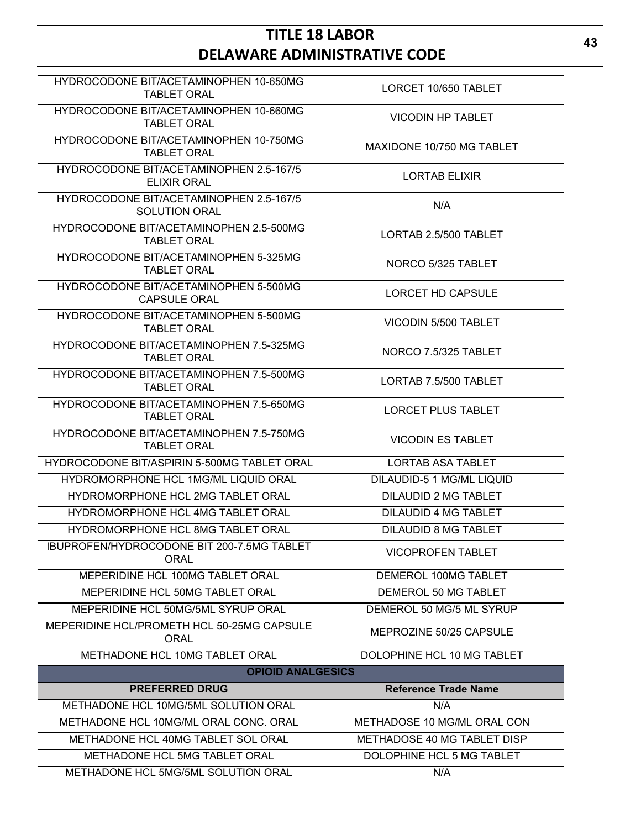| HYDROCODONE BIT/ACETAMINOPHEN 10-650MG<br><b>TABLET ORAL</b>    | LORCET 10/650 TABLET        |
|-----------------------------------------------------------------|-----------------------------|
| HYDROCODONE BIT/ACETAMINOPHEN 10-660MG<br><b>TABLET ORAL</b>    | <b>VICODIN HP TABLET</b>    |
| HYDROCODONE BIT/ACETAMINOPHEN 10-750MG<br><b>TABLET ORAL</b>    | MAXIDONE 10/750 MG TABLET   |
| HYDROCODONE BIT/ACETAMINOPHEN 2.5-167/5<br><b>ELIXIR ORAL</b>   | <b>LORTAB ELIXIR</b>        |
| HYDROCODONE BIT/ACETAMINOPHEN 2.5-167/5<br><b>SOLUTION ORAL</b> | N/A                         |
| HYDROCODONE BIT/ACETAMINOPHEN 2.5-500MG<br><b>TABLET ORAL</b>   | LORTAB 2.5/500 TABLET       |
| HYDROCODONE BIT/ACETAMINOPHEN 5-325MG<br><b>TABLET ORAL</b>     | NORCO 5/325 TABLET          |
| HYDROCODONE BIT/ACETAMINOPHEN 5-500MG<br><b>CAPSULE ORAL</b>    | LORCET HD CAPSULE           |
| HYDROCODONE BIT/ACETAMINOPHEN 5-500MG<br><b>TABLET ORAL</b>     | VICODIN 5/500 TABLET        |
| HYDROCODONE BIT/ACETAMINOPHEN 7.5-325MG<br><b>TABLET ORAL</b>   | NORCO 7.5/325 TABLET        |
| HYDROCODONE BIT/ACETAMINOPHEN 7.5-500MG<br><b>TABLET ORAL</b>   | LORTAB 7.5/500 TABLET       |
| HYDROCODONE BIT/ACETAMINOPHEN 7.5-650MG<br><b>TABLET ORAL</b>   | <b>LORCET PLUS TABLET</b>   |
| HYDROCODONE BIT/ACETAMINOPHEN 7.5-750MG<br><b>TABLET ORAL</b>   | <b>VICODIN ES TABLET</b>    |
| HYDROCODONE BIT/ASPIRIN 5-500MG TABLET ORAL                     | <b>LORTAB ASA TABLET</b>    |
| HYDROMORPHONE HCL 1MG/ML LIQUID ORAL                            | DILAUDID-5 1 MG/ML LIQUID   |
| HYDROMORPHONE HCL 2MG TABLET ORAL                               | <b>DILAUDID 2 MG TABLET</b> |
| HYDROMORPHONE HCL 4MG TABLET ORAL                               | <b>DILAUDID 4 MG TABLET</b> |
| HYDROMORPHONE HCL 8MG TABLET ORAL                               | <b>DILAUDID 8 MG TABLET</b> |
| IBUPROFEN/HYDROCODONE BIT 200-7.5MG TABLET<br><b>ORAL</b>       | <b>VICOPROFEN TABLET</b>    |
| MEPERIDINE HCL 100MG TABLET ORAL                                | DEMEROL 100MG TABLET        |
| MEPERIDINE HCL 50MG TABLET ORAL                                 | DEMEROL 50 MG TABLET        |
| MEPERIDINE HCL 50MG/5ML SYRUP ORAL                              | DEMEROL 50 MG/5 ML SYRUP    |
| MEPERIDINE HCL/PROMETH HCL 50-25MG CAPSULE<br><b>ORAL</b>       | MEPROZINE 50/25 CAPSULE     |
| METHADONE HCL 10MG TABLET ORAL                                  | DOLOPHINE HCL 10 MG TABLET  |
| <b>OPIOID ANALGESICS</b>                                        |                             |
| <b>PREFERRED DRUG</b>                                           | <b>Reference Trade Name</b> |
| METHADONE HCL 10MG/5ML SOLUTION ORAL                            | N/A                         |
| METHADONE HCL 10MG/ML ORAL CONC. ORAL                           | METHADOSE 10 MG/ML ORAL CON |
| METHADONE HCL 40MG TABLET SOL ORAL                              | METHADOSE 40 MG TABLET DISP |
| METHADONE HCL 5MG TABLET ORAL                                   | DOLOPHINE HCL 5 MG TABLET   |
| METHADONE HCL 5MG/5ML SOLUTION ORAL                             | N/A                         |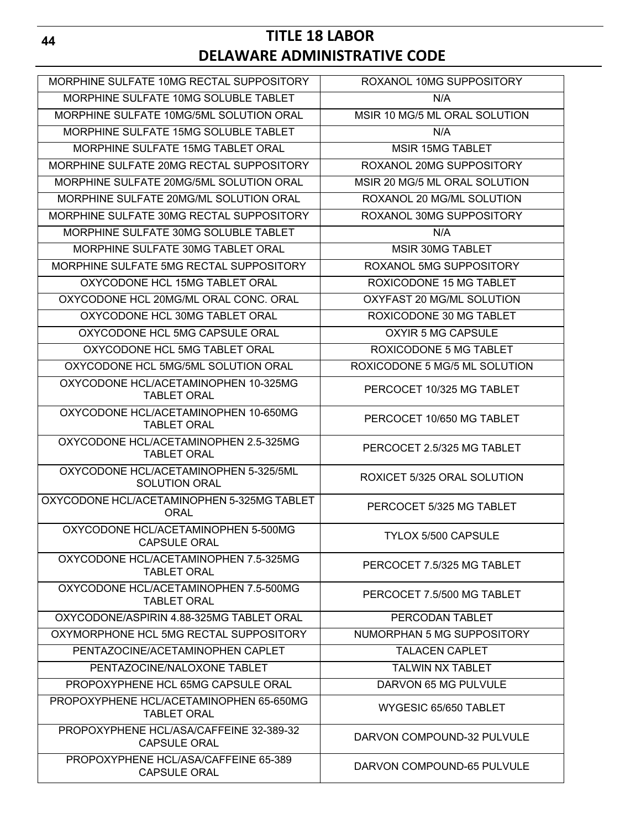| MORPHINE SULFATE 10MG RECTAL SUPPOSITORY                       | ROXANOL 10MG SUPPOSITORY      |
|----------------------------------------------------------------|-------------------------------|
| MORPHINE SULFATE 10MG SOLUBLE TABLET                           | N/A                           |
| MORPHINE SULFATE 10MG/5ML SOLUTION ORAL                        | MSIR 10 MG/5 ML ORAL SOLUTION |
| MORPHINE SULFATE 15MG SOLUBLE TABLET                           | N/A                           |
| MORPHINE SULFATE 15MG TABLET ORAL                              | <b>MSIR 15MG TABLET</b>       |
| MORPHINE SULFATE 20MG RECTAL SUPPOSITORY                       | ROXANOL 20MG SUPPOSITORY      |
| MORPHINE SULFATE 20MG/5ML SOLUTION ORAL                        | MSIR 20 MG/5 ML ORAL SOLUTION |
| MORPHINE SULFATE 20MG/ML SOLUTION ORAL                         | ROXANOL 20 MG/ML SOLUTION     |
| MORPHINE SULFATE 30MG RECTAL SUPPOSITORY                       | ROXANOL 30MG SUPPOSITORY      |
| MORPHINE SULFATE 30MG SOLUBLE TABLET                           | N/A                           |
| MORPHINE SULFATE 30MG TABLET ORAL                              | <b>MSIR 30MG TABLET</b>       |
| MORPHINE SULFATE 5MG RECTAL SUPPOSITORY                        | ROXANOL 5MG SUPPOSITORY       |
| OXYCODONE HCL 15MG TABLET ORAL                                 | ROXICODONE 15 MG TABLET       |
| OXYCODONE HCL 20MG/ML ORAL CONC. ORAL                          | OXYFAST 20 MG/ML SOLUTION     |
| OXYCODONE HCL 30MG TABLET ORAL                                 | ROXICODONE 30 MG TABLET       |
| OXYCODONE HCL 5MG CAPSULE ORAL                                 | OXYIR 5 MG CAPSULE            |
| OXYCODONE HCL 5MG TABLET ORAL                                  | ROXICODONE 5 MG TABLET        |
| OXYCODONE HCL 5MG/5ML SOLUTION ORAL                            | ROXICODONE 5 MG/5 ML SOLUTION |
| OXYCODONE HCL/ACETAMINOPHEN 10-325MG<br><b>TABLET ORAL</b>     | PERCOCET 10/325 MG TABLET     |
| OXYCODONE HCL/ACETAMINOPHEN 10-650MG<br><b>TABLET ORAL</b>     | PERCOCET 10/650 MG TABLET     |
| OXYCODONE HCL/ACETAMINOPHEN 2.5-325MG<br><b>TABLET ORAL</b>    | PERCOCET 2.5/325 MG TABLET    |
| OXYCODONE HCL/ACETAMINOPHEN 5-325/5ML<br><b>SOLUTION ORAL</b>  | ROXICET 5/325 ORAL SOLUTION   |
| OXYCODONE HCL/ACETAMINOPHEN 5-325MG TABLET<br>ORAL             | PERCOCET 5/325 MG TABLET      |
| OXYCODONE HCL/ACETAMINOPHEN 5-500MG<br><b>CAPSULE ORAL</b>     | <b>TYLOX 5/500 CAPSULE</b>    |
| OXYCODONE HCL/ACETAMINOPHEN 7.5-325MG<br><b>TABLET ORAL</b>    | PERCOCET 7.5/325 MG TABLET    |
| OXYCODONE HCL/ACETAMINOPHEN 7.5-500MG<br><b>TABLET ORAL</b>    | PERCOCET 7.5/500 MG TABLET    |
| OXYCODONE/ASPIRIN 4.88-325MG TABLET ORAL                       | PERCODAN TABLET               |
| OXYMORPHONE HCL 5MG RECTAL SUPPOSITORY                         | NUMORPHAN 5 MG SUPPOSITORY    |
| PENTAZOCINE/ACETAMINOPHEN CAPLET                               | <b>TALACEN CAPLET</b>         |
| PENTAZOCINE/NALOXONE TABLET                                    | <b>TALWIN NX TABLET</b>       |
| PROPOXYPHENE HCL 65MG CAPSULE ORAL                             | DARVON 65 MG PULVULE          |
| PROPOXYPHENE HCL/ACETAMINOPHEN 65-650MG<br><b>TABLET ORAL</b>  | WYGESIC 65/650 TABLET         |
| PROPOXYPHENE HCL/ASA/CAFFEINE 32-389-32<br><b>CAPSULE ORAL</b> | DARVON COMPOUND-32 PULVULE    |
| PROPOXYPHENE HCL/ASA/CAFFEINE 65-389<br><b>CAPSULE ORAL</b>    | DARVON COMPOUND-65 PULVULE    |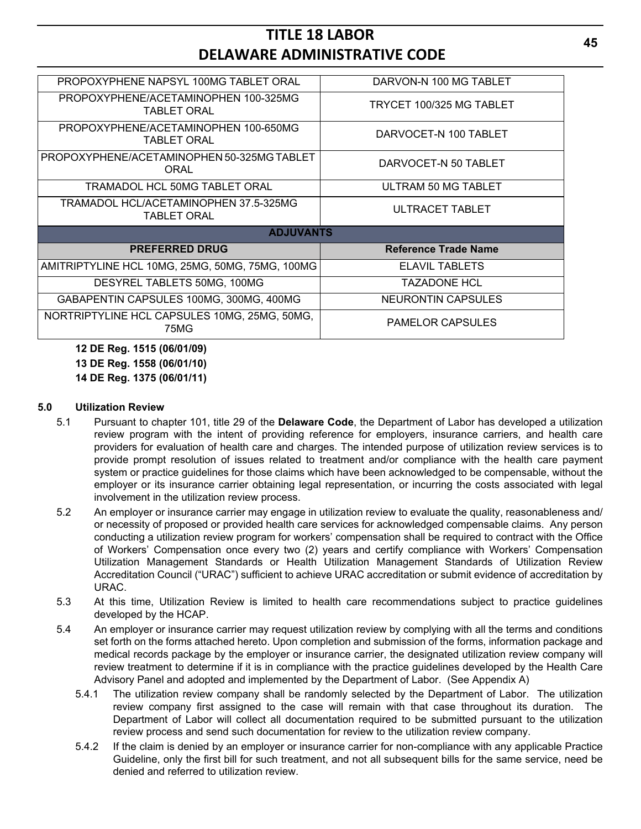| PROPOXYPHENE NAPSYL 100MG TABLET ORAL                      | DARVON-N 100 MG TABLET      |
|------------------------------------------------------------|-----------------------------|
| PROPOXYPHENE/ACETAMINOPHEN 100-325MG<br><b>TABLET ORAL</b> | TRYCET 100/325 MG TABLET    |
| PROPOXYPHENE/ACETAMINOPHEN 100-650MG<br><b>TABLET ORAL</b> | DARVOCET-N 100 TABLET       |
| PROPOXYPHENE/ACETAMINOPHEN 50-325MG TABLET<br>ORAL         | DARVOCET-N 50 TABLET        |
| TRAMADOL HCL 50MG TABLET ORAL                              | ULTRAM 50 MG TABLET         |
| TRAMADOL HCL/ACETAMINOPHEN 37.5-325MG<br>TABLET ORAL       | ULTRACET TABLET             |
| <b>ADJUVANTS</b>                                           |                             |
| <b>PREFERRED DRUG</b>                                      | <b>Reference Trade Name</b> |
| AMITRIPTYLINE HCL 10MG, 25MG, 50MG, 75MG, 100MG            | <b>ELAVIL TABLETS</b>       |
| DESYREL TABLETS 50MG, 100MG                                | <b>TAZADONE HCL</b>         |
| GABAPENTIN CAPSULES 100MG, 300MG, 400MG                    | NEURONTIN CAPSULES          |
| NORTRIPTYLINE HCL CAPSULES 10MG, 25MG, 50MG,<br>75MG       | <b>PAMELOR CAPSULES</b>     |
| 12 DE Reg. 1515 (06/01/09)<br>13 DE Reg. 1558 (06/01/10)   |                             |

**14 DE Reg. 1375 (06/01/11)**

#### **5.0 Utilization Review**

- 5.1 Pursuant to chapter 101, title 29 of the **Delaware Code**, the Department of Labor has developed a utilization review program with the intent of providing reference for employers, insurance carriers, and health care providers for evaluation of health care and charges. The intended purpose of utilization review services is to provide prompt resolution of issues related to treatment and/or compliance with the health care payment system or practice guidelines for those claims which have been acknowledged to be compensable, without the employer or its insurance carrier obtaining legal representation, or incurring the costs associated with legal involvement in the utilization review process.
- 5.2 An employer or insurance carrier may engage in utilization review to evaluate the quality, reasonableness and/ or necessity of proposed or provided health care services for acknowledged compensable claims. Any person conducting a utilization review program for workers' compensation shall be required to contract with the Office of Workers' Compensation once every two (2) years and certify compliance with Workers' Compensation Utilization Management Standards or Health Utilization Management Standards of Utilization Review Accreditation Council ("URAC") sufficient to achieve URAC accreditation or submit evidence of accreditation by URAC.
- 5.3 At this time, Utilization Review is limited to health care recommendations subject to practice guidelines developed by the HCAP.
- 5.4 An employer or insurance carrier may request utilization review by complying with all the terms and conditions set forth on the forms attached hereto. Upon completion and submission of the forms, information package and medical records package by the employer or insurance carrier, the designated utilization review company will review treatment to determine if it is in compliance with the practice guidelines developed by the Health Care Advisory Panel and adopted and implemented by the Department of Labor. (See Appendix A)
	- 5.4.1 The utilization review company shall be randomly selected by the Department of Labor. The utilization review company first assigned to the case will remain with that case throughout its duration. The Department of Labor will collect all documentation required to be submitted pursuant to the utilization review process and send such documentation for review to the utilization review company.
	- 5.4.2 If the claim is denied by an employer or insurance carrier for non-compliance with any applicable Practice Guideline, only the first bill for such treatment, and not all subsequent bills for the same service, need be denied and referred to utilization review.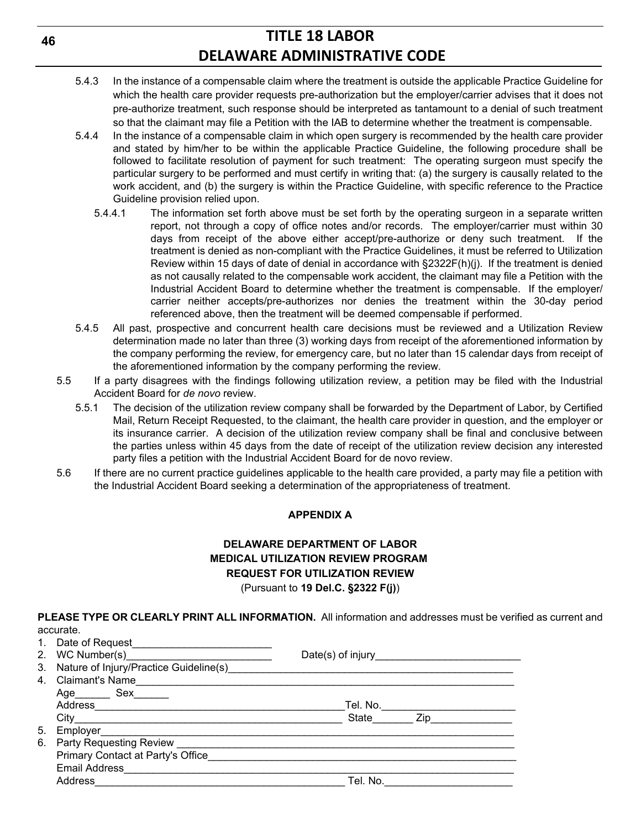- 5.4.3 In the instance of a compensable claim where the treatment is outside the applicable Practice Guideline for which the health care provider requests pre-authorization but the employer/carrier advises that it does not pre-authorize treatment, such response should be interpreted as tantamount to a denial of such treatment so that the claimant may file a Petition with the IAB to determine whether the treatment is compensable.
- 5.4.4 In the instance of a compensable claim in which open surgery is recommended by the health care provider and stated by him/her to be within the applicable Practice Guideline, the following procedure shall be followed to facilitate resolution of payment for such treatment: The operating surgeon must specify the particular surgery to be performed and must certify in writing that: (a) the surgery is causally related to the work accident, and (b) the surgery is within the Practice Guideline, with specific reference to the Practice Guideline provision relied upon.
	- 5.4.4.1 The information set forth above must be set forth by the operating surgeon in a separate written report, not through a copy of office notes and/or records. The employer/carrier must within 30 days from receipt of the above either accept/pre-authorize or deny such treatment. If the treatment is denied as non-compliant with the Practice Guidelines, it must be referred to Utilization Review within 15 days of date of denial in accordance with §2322F(h)(j). If the treatment is denied as not causally related to the compensable work accident, the claimant may file a Petition with the Industrial Accident Board to determine whether the treatment is compensable. If the employer/ carrier neither accepts/pre-authorizes nor denies the treatment within the 30-day period referenced above, then the treatment will be deemed compensable if performed.
- 5.4.5 All past, prospective and concurrent health care decisions must be reviewed and a Utilization Review determination made no later than three (3) working days from receipt of the aforementioned information by the company performing the review, for emergency care, but no later than 15 calendar days from receipt of the aforementioned information by the company performing the review.
- 5.5 If a party disagrees with the findings following utilization review, a petition may be filed with the Industrial Accident Board for *de novo* review.
	- 5.5.1 The decision of the utilization review company shall be forwarded by the Department of Labor, by Certified Mail, Return Receipt Requested, to the claimant, the health care provider in question, and the employer or its insurance carrier. A decision of the utilization review company shall be final and conclusive between the parties unless within 45 days from the date of receipt of the utilization review decision any interested party files a petition with the Industrial Accident Board for de novo review.
- 5.6 If there are no current practice guidelines applicable to the health care provided, a party may file a petition with the Industrial Accident Board seeking a determination of the appropriateness of treatment.

## **APPENDIX A**

## **DELAWARE DEPARTMENT OF LABOR MEDICAL UTILIZATION REVIEW PROGRAM REQUEST FOR UTILIZATION REVIEW** (Pursuant to **19 Del.C. §2322 F(j)**)

**PLEASE TYPE OR CLEARLY PRINT ALL INFORMATION.** All information and addresses must be verified as current and accurate.

|    | 1. Date of Request <b>Example 20</b> No. 1 No. 1 No. 1 No. 1 No. 1 No. 1 No. 1 No. 1 No. 1 No. 1 No. 1 No. 1 No. 1 No                                                                                                          |           |  |
|----|--------------------------------------------------------------------------------------------------------------------------------------------------------------------------------------------------------------------------------|-----------|--|
|    |                                                                                                                                                                                                                                |           |  |
| 3. |                                                                                                                                                                                                                                |           |  |
|    | 4. Claimant's Name                                                                                                                                                                                                             |           |  |
|    | Age___________ Sex__________                                                                                                                                                                                                   |           |  |
|    |                                                                                                                                                                                                                                | Tel. No.  |  |
|    | City                                                                                                                                                                                                                           | State Zip |  |
| 5. | Employer________________                                                                                                                                                                                                       |           |  |
| 6. | Party Requesting Review Management and the contract of the contract of the contract of the contract of the contract of the contract of the contract of the contract of the contract of the contract of the contract of the con |           |  |
|    | Primary Contact at Party's Office                                                                                                                                                                                              |           |  |
|    |                                                                                                                                                                                                                                |           |  |
|    | Address                                                                                                                                                                                                                        | Tel. No.  |  |
|    |                                                                                                                                                                                                                                |           |  |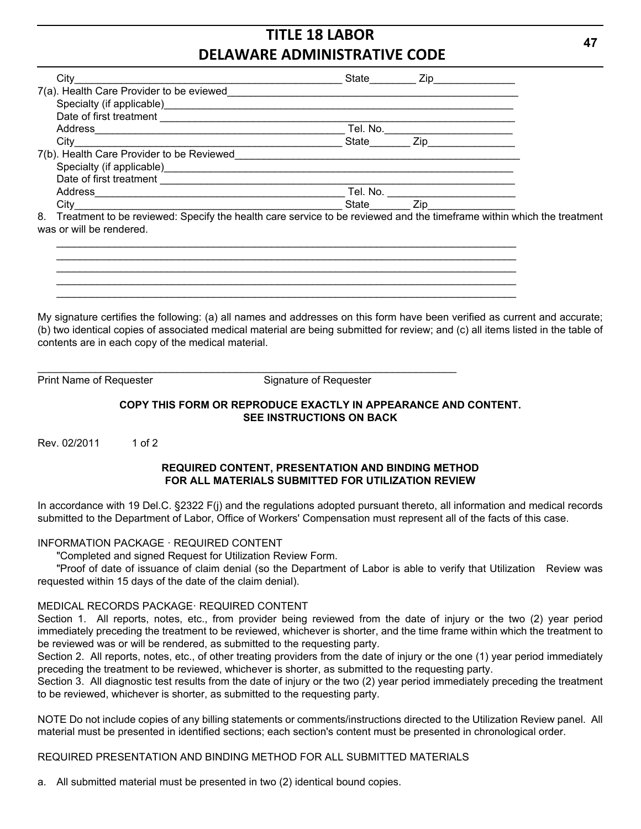| City                                                     | State _______ |                                                                                                                                                                                                                                |
|----------------------------------------------------------|---------------|--------------------------------------------------------------------------------------------------------------------------------------------------------------------------------------------------------------------------------|
| 7(a). Health Care Provider to be eviewed                 |               |                                                                                                                                                                                                                                |
| Specialty (if applicable)<br><u>Landon Communication</u> |               |                                                                                                                                                                                                                                |
|                                                          |               |                                                                                                                                                                                                                                |
| Address                                                  | Tel. No.      |                                                                                                                                                                                                                                |
| City                                                     | State _____   | Zip and the contract of the contract of the contract of the contract of the contract of the contract of the contract of the contract of the contract of the contract of the contract of the contract of the contract of the co |
| 7(b). Health Care Provider to be Reviewed                |               |                                                                                                                                                                                                                                |
| Specialty (if applicable)<br>Specialty (if applicable)   |               |                                                                                                                                                                                                                                |
| Date of first treatment                                  |               |                                                                                                                                                                                                                                |
|                                                          | Tel. No.      |                                                                                                                                                                                                                                |
| Citv                                                     | State         | $\mathsf{Zip}$                                                                                                                                                                                                                 |

 $\mathcal{L}_\text{max}$  , and the set of the set of the set of the set of the set of the set of the set of the set of the set of the set of the set of the set of the set of the set of the set of the set of the set of the set of the  $\mathcal{L}_\text{max}$  , and the set of the set of the set of the set of the set of the set of the set of the set of the set of the set of the set of the set of the set of the set of the set of the set of the set of the set of the  $\mathcal{L}_\text{max}$  , and the set of the set of the set of the set of the set of the set of the set of the set of the set of the set of the set of the set of the set of the set of the set of the set of the set of the set of the  $\mathcal{L}_\text{max}$  , and the set of the set of the set of the set of the set of the set of the set of the set of the set of the set of the set of the set of the set of the set of the set of the set of the set of the set of the  $\mathcal{L}_\text{max}$  , and the set of the set of the set of the set of the set of the set of the set of the set of the set of the set of the set of the set of the set of the set of the set of the set of the set of the set of the

 $\mathcal{L}_\text{max}$  , and the set of the set of the set of the set of the set of the set of the set of the set of the set of the set of the set of the set of the set of the set of the set of the set of the set of the set of the

8. Treatment to be reviewed: Specify the health care service to be reviewed and the timeframe within which the treatment was or will be rendered.

My signature certifies the following: (a) all names and addresses on this form have been verified as current and accurate; (b) two identical copies of associated medical material are being submitted for review; and (c) all items listed in the table of contents are in each copy of the medical material.

Print Name of Requester Signature of Requester

### **COPY THIS FORM OR REPRODUCE EXACTLY IN APPEARANCE AND CONTENT. SEE INSTRUCTIONS ON BACK**

Rev. 02/2011 1 of 2

### **REQUIRED CONTENT, PRESENTATION AND BINDING METHOD FOR ALL MATERIALS SUBMITTED FOR UTILIZATION REVIEW**

In accordance with 19 Del.C. §2322 F(j) and the regulations adopted pursuant thereto, all information and medical records submitted to the Department of Labor, Office of Workers' Compensation must represent all of the facts of this case.

### INFORMATION PACKAGE · REQUIRED CONTENT

"Completed and signed Request for Utilization Review Form.

"Proof of date of issuance of claim denial (so the Department of Labor is able to verify that Utilization Review was requested within 15 days of the date of the claim denial).

## MEDICAL RECORDS PACKAGE· REQUIRED CONTENT

Section 1. All reports, notes, etc., from provider being reviewed from the date of injury or the two (2) year period immediately preceding the treatment to be reviewed, whichever is shorter, and the time frame within which the treatment to be reviewed was or will be rendered, as submitted to the requesting party.

Section 2. All reports, notes, etc., of other treating providers from the date of injury or the one (1) year period immediately preceding the treatment to be reviewed, whichever is shorter, as submitted to the requesting party.

Section 3. All diagnostic test results from the date of injury or the two (2) year period immediately preceding the treatment to be reviewed, whichever is shorter, as submitted to the requesting party.

NOTE Do not include copies of any billing statements or comments/instructions directed to the Utilization Review panel. All material must be presented in identified sections; each section's content must be presented in chronological order.

### REQUIRED PRESENTATION AND BINDING METHOD FOR ALL SUBMITTED MATERIALS

a. All submitted material must be presented in two (2) identical bound copies.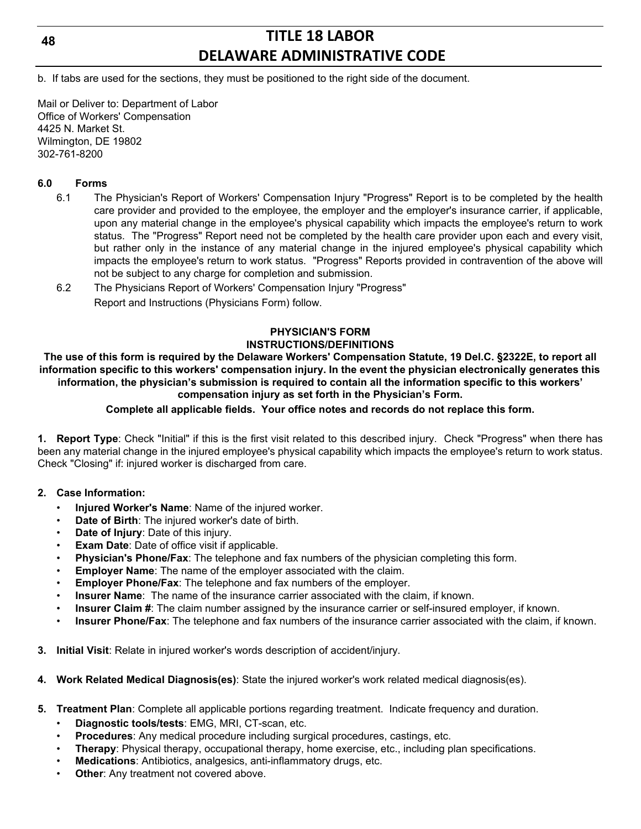## **48**

## **TITLE 18 LABOR DELAWARE ADMINISTRATIVE CODE**

b. If tabs are used for the sections, they must be positioned to the right side of the document.

Mail or Deliver to: Department of Labor Office of Workers' Compensation 4425 N. Market St. Wilmington, DE 19802 302-761-8200

## **6.0 Forms**

- 6.1 The Physician's Report of Workers' Compensation Injury "Progress" Report is to be completed by the health care provider and provided to the employee, the employer and the employer's insurance carrier, if applicable, upon any material change in the employee's physical capability which impacts the employee's return to work status. The "Progress" Report need not be completed by the health care provider upon each and every visit, but rather only in the instance of any material change in the injured employee's physical capability which impacts the employee's return to work status. "Progress" Reports provided in contravention of the above will not be subject to any charge for completion and submission.
- 6.2 The Physicians Report of Workers' Compensation Injury "Progress" Report and Instructions (Physicians Form) follow.

## **PHYSICIAN'S FORM INSTRUCTIONS/DEFINITIONS**

**The use of this form is required by the Delaware Workers' Compensation Statute, 19 Del.C. §2322E, to report all information specific to this workers' compensation injury. In the event the physician electronically generates this information, the physician's submission is required to contain all the information specific to this workers' compensation injury as set forth in the Physician's Form.**

**Complete all applicable fields. Your office notes and records do not replace this form.**

**1. Report Type**: Check "Initial" if this is the first visit related to this described injury. Check "Progress" when there has been any material change in the injured employee's physical capability which impacts the employee's return to work status. Check "Closing" if: injured worker is discharged from care.

### **2. Case Information:**

- **Injured Worker's Name**: Name of the injured worker.
- **Date of Birth**: The injured worker's date of birth.
- **Date of Injury:** Date of this injury.
- **Exam Date:** Date of office visit if applicable.
- **Physician's Phone/Fax**: The telephone and fax numbers of the physician completing this form.
- **Employer Name:** The name of the employer associated with the claim.
- **Employer Phone/Fax:** The telephone and fax numbers of the employer.
- **Insurer Name**: The name of the insurance carrier associated with the claim, if known.
- **Insurer Claim #**: The claim number assigned by the insurance carrier or self-insured employer, if known.
- **Insurer Phone/Fax**: The telephone and fax numbers of the insurance carrier associated with the claim, if known.
- **3. Initial Visit**: Relate in injured worker's words description of accident/injury.
- **4. Work Related Medical Diagnosis(es)**: State the injured worker's work related medical diagnosis(es).
- **5. Treatment Plan**: Complete all applicable portions regarding treatment. Indicate frequency and duration.
	- **Diagnostic tools/tests**: EMG, MRI, CT-scan, etc.
	- **Procedures**: Any medical procedure including surgical procedures, castings, etc.
	- **Therapy:** Physical therapy, occupational therapy, home exercise, etc., including plan specifications.
	- **Medications**: Antibiotics, analgesics, anti-inflammatory drugs, etc.
	- **Other:** Any treatment not covered above.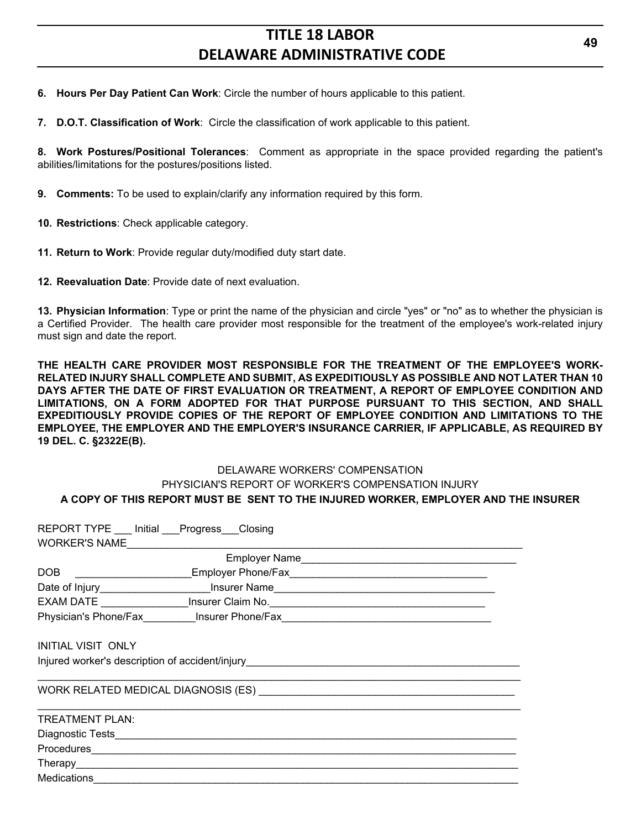**6. Hours Per Day Patient Can Work**: Circle the number of hours applicable to this patient.

**7. D.O.T. Classification of Work**: Circle the classification of work applicable to this patient.

**8. Work Postures/Positional Tolerances**: Comment as appropriate in the space provided regarding the patient's abilities/limitations for the postures/positions listed.

**9. Comments:** To be used to explain/clarify any information required by this form.

**10. Restrictions**: Check applicable category.

**11. Return to Work**: Provide regular duty/modified duty start date.

**12. Reevaluation Date**: Provide date of next evaluation.

**13. Physician Information**: Type or print the name of the physician and circle "yes" or "no" as to whether the physician is a Certified Provider. The health care provider most responsible for the treatment of the employee's work-related injury must sign and date the report.

**THE HEALTH CARE PROVIDER MOST RESPONSIBLE FOR THE TREATMENT OF THE EMPLOYEE'S WORK-RELATED INJURY SHALL COMPLETE AND SUBMIT, AS EXPEDITIOUSLY AS POSSIBLE AND NOT LATER THAN 10 DAYS AFTER THE DATE OF FIRST EVALUATION OR TREATMENT, A REPORT OF EMPLOYEE CONDITION AND LIMITATIONS, ON A FORM ADOPTED FOR THAT PURPOSE PURSUANT TO THIS SECTION, AND SHALL EXPEDITIOUSLY PROVIDE COPIES OF THE REPORT OF EMPLOYEE CONDITION AND LIMITATIONS TO THE EMPLOYEE, THE EMPLOYER AND THE EMPLOYER'S INSURANCE CARRIER, IF APPLICABLE, AS REQUIRED BY 19 DEL. C. §2322E(B).**

## DELAWARE WORKERS' COMPENSATION PHYSICIAN'S REPORT OF WORKER'S COMPENSATION INJURY **A COPY OF THIS REPORT MUST BE SENT TO THE INJURED WORKER, EMPLOYER AND THE INSURER**

| WORKER'S NAME                                                                                                                                                                                                                  | REPORT TYPE __ Initial __Progress ___ Closing |                                                                                   |  |
|--------------------------------------------------------------------------------------------------------------------------------------------------------------------------------------------------------------------------------|-----------------------------------------------|-----------------------------------------------------------------------------------|--|
|                                                                                                                                                                                                                                |                                               | Employer Name                                                                     |  |
| DOB                                                                                                                                                                                                                            |                                               |                                                                                   |  |
|                                                                                                                                                                                                                                |                                               | Date of Injury______________________Insurer Name_________________________________ |  |
|                                                                                                                                                                                                                                |                                               | EXAM DATE ___________________Insurer Claim No.__________________________________  |  |
|                                                                                                                                                                                                                                |                                               | Physician's Phone/Fax___________Insurer Phone/Fax_______________________________  |  |
| <b>INITIAL VISIT ONLY</b><br>Injured worker's description of accident/injury_________________________________                                                                                                                  |                                               |                                                                                   |  |
|                                                                                                                                                                                                                                |                                               |                                                                                   |  |
| <b>TREATMENT PLAN:</b>                                                                                                                                                                                                         |                                               |                                                                                   |  |
|                                                                                                                                                                                                                                |                                               |                                                                                   |  |
|                                                                                                                                                                                                                                |                                               |                                                                                   |  |
| Therapy experience of the contract of the contract of the contract of the contract of the contract of the contract of the contract of the contract of the contract of the contract of the contract of the contract of the cont |                                               |                                                                                   |  |
|                                                                                                                                                                                                                                |                                               |                                                                                   |  |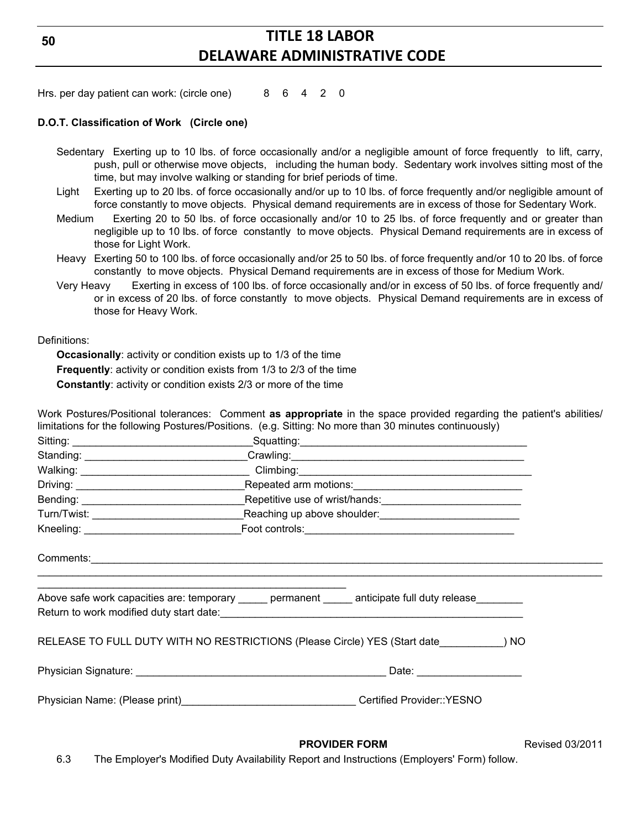Hrs. per day patient can work: (circle one) 8 6 4 2 0

#### **D.O.T. Classification of Work (Circle one)**

- Sedentary Exerting up to 10 lbs. of force occasionally and/or a negligible amount of force frequently to lift, carry, push, pull or otherwise move objects, including the human body. Sedentary work involves sitting most of the time, but may involve walking or standing for brief periods of time.
- Light Exerting up to 20 lbs. of force occasionally and/or up to 10 lbs. of force frequently and/or negligible amount of force constantly to move objects. Physical demand requirements are in excess of those for Sedentary Work.
- Medium Exerting 20 to 50 lbs. of force occasionally and/or 10 to 25 lbs. of force frequently and or greater than negligible up to 10 lbs. of force constantly to move objects. Physical Demand requirements are in excess of those for Light Work.
- Heavy Exerting 50 to 100 lbs. of force occasionally and/or 25 to 50 lbs. of force frequently and/or 10 to 20 lbs. of force constantly to move objects. Physical Demand requirements are in excess of those for Medium Work.
- Very Heavy Exerting in excess of 100 lbs. of force occasionally and/or in excess of 50 lbs. of force frequently and/ or in excess of 20 lbs. of force constantly to move objects. Physical Demand requirements are in excess of those for Heavy Work.

Definitions:

**Occasionally**: activity or condition exists up to 1/3 of the time **Frequently**: activity or condition exists from 1/3 to 2/3 of the time **Constantly**: activity or condition exists 2/3 or more of the time

Work Postures/Positional tolerances: Comment **as appropriate** in the space provided regarding the patient's abilities/ limitations for the following Postures/Positions. (e.g. Sitting: No more than 30 minutes continuously)

| Walking: __________________________________Climbing: ____________________________                     |  |
|-------------------------------------------------------------------------------------------------------|--|
|                                                                                                       |  |
|                                                                                                       |  |
|                                                                                                       |  |
|                                                                                                       |  |
|                                                                                                       |  |
| Above safe work capacities are: temporary ______ permanent _____ anticipate full duty release _______ |  |
| RELEASE TO FULL DUTY WITH NO RESTRICTIONS (Please Circle) YES (Start date ) NO                        |  |
|                                                                                                       |  |
|                                                                                                       |  |
|                                                                                                       |  |

**PROVIDER FORM** Revised 03/2011

6.3 The Employer's Modified Duty Availability Report and Instructions (Employers' Form) follow.

**50**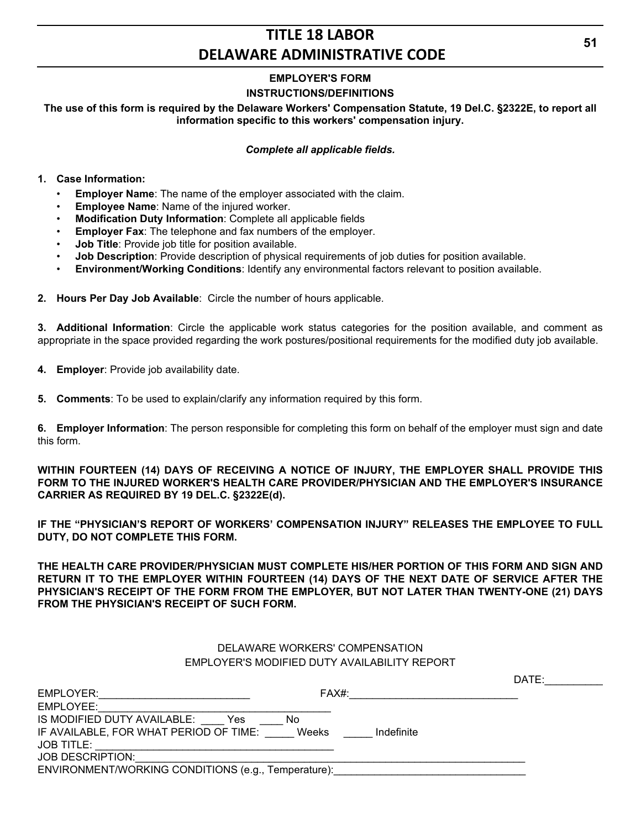## **EMPLOYER'S FORM**

## **INSTRUCTIONS/DEFINITIONS**

## **The use of this form is required by the Delaware Workers' Compensation Statute, 19 Del.C. §2322E, to report all information specific to this workers' compensation injury.**

#### *Complete all applicable fields.*

#### **1. Case Information:**

- **Employer Name:** The name of the employer associated with the claim.
- **Employee Name**: Name of the injured worker.
- **Modification Duty Information**: Complete all applicable fields
- **Employer Fax:** The telephone and fax numbers of the employer.
- **Job Title**: Provide job title for position available.
- **Job Description**: Provide description of physical requirements of job duties for position available.
- **Environment/Working Conditions**: Identify any environmental factors relevant to position available.
- **2. Hours Per Day Job Available**: Circle the number of hours applicable.

**3. Additional Information**: Circle the applicable work status categories for the position available, and comment as appropriate in the space provided regarding the work postures/positional requirements for the modified duty job available.

- **4. Employer**: Provide job availability date.
- **5. Comments**: To be used to explain/clarify any information required by this form.

**6. Employer Information**: The person responsible for completing this form on behalf of the employer must sign and date this form.

**WITHIN FOURTEEN (14) DAYS OF RECEIVING A NOTICE OF INJURY, THE EMPLOYER SHALL PROVIDE THIS FORM TO THE INJURED WORKER'S HEALTH CARE PROVIDER/PHYSICIAN AND THE EMPLOYER'S INSURANCE CARRIER AS REQUIRED BY 19 DEL.C. §2322E(d).**

**IF THE "PHYSICIAN'S REPORT OF WORKERS' COMPENSATION INJURY" RELEASES THE EMPLOYEE TO FULL DUTY, DO NOT COMPLETE THIS FORM.**

**THE HEALTH CARE PROVIDER/PHYSICIAN MUST COMPLETE HIS/HER PORTION OF THIS FORM AND SIGN AND RETURN IT TO THE EMPLOYER WITHIN FOURTEEN (14) DAYS OF THE NEXT DATE OF SERVICE AFTER THE PHYSICIAN'S RECEIPT OF THE FORM FROM THE EMPLOYER, BUT NOT LATER THAN TWENTY-ONE (21) DAYS FROM THE PHYSICIAN'S RECEIPT OF SUCH FORM.**

## DELAWARE WORKERS' COMPENSATION EMPLOYER'S MODIFIED DUTY AVAILABILITY REPORT

|                                                     |            | DATE: |
|-----------------------------------------------------|------------|-------|
| EMPLOYER:                                           | FAX#:      |       |
| EMPLOYEE:                                           |            |       |
| IS MODIFIED DUTY AVAILABLE:<br>Yes<br>No.           |            |       |
| IF AVAILABLE, FOR WHAT PERIOD OF TIME:<br>Weeks     | Indefinite |       |
| <b>JOB TITLE:</b>                                   |            |       |
| <b>JOB DESCRIPTION:</b>                             |            |       |
| ENVIRONMENT/WORKING CONDITIONS (e.g., Temperature): |            |       |
|                                                     |            |       |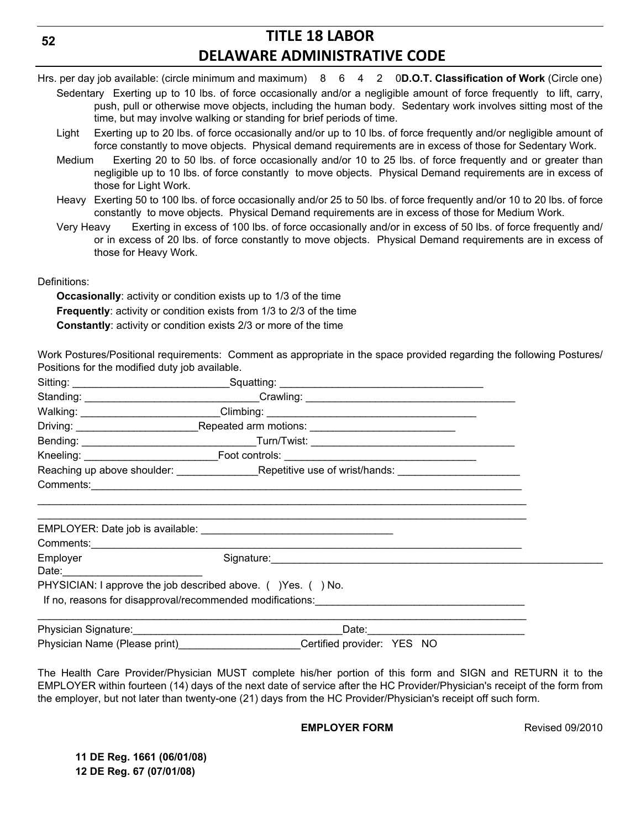- Hrs. per day job available: (circle minimum and maximum) 8 6 4 2 0**D.O.T. Classification of Work** (Circle one) Sedentary Exerting up to 10 lbs. of force occasionally and/or a negligible amount of force frequently to lift, carry, push, pull or otherwise move objects, including the human body. Sedentary work involves sitting most of the time, but may involve walking or standing for brief periods of time.
	- Light Exerting up to 20 lbs. of force occasionally and/or up to 10 lbs. of force frequently and/or negligible amount of force constantly to move objects. Physical demand requirements are in excess of those for Sedentary Work.
	- Medium Exerting 20 to 50 lbs. of force occasionally and/or 10 to 25 lbs. of force frequently and or greater than negligible up to 10 lbs. of force constantly to move objects. Physical Demand requirements are in excess of those for Light Work.
	- Heavy Exerting 50 to 100 lbs. of force occasionally and/or 25 to 50 lbs. of force frequently and/or 10 to 20 lbs. of force constantly to move objects. Physical Demand requirements are in excess of those for Medium Work.
	- Very Heavy Exerting in excess of 100 lbs. of force occasionally and/or in excess of 50 lbs. of force frequently and/ or in excess of 20 lbs. of force constantly to move objects. Physical Demand requirements are in excess of those for Heavy Work.

Definitions:

**Occasionally**: activity or condition exists up to 1/3 of the time **Frequently**: activity or condition exists from 1/3 to 2/3 of the time **Constantly**: activity or condition exists 2/3 or more of the time

Work Postures/Positional requirements: Comment as appropriate in the space provided regarding the following Postures/ Positions for the modified duty job available.

|                                                                                                                                                                                                                                | Walking: __________________________Climbing: ___________________________________                                                                                                                                                   |  |
|--------------------------------------------------------------------------------------------------------------------------------------------------------------------------------------------------------------------------------|------------------------------------------------------------------------------------------------------------------------------------------------------------------------------------------------------------------------------------|--|
|                                                                                                                                                                                                                                |                                                                                                                                                                                                                                    |  |
|                                                                                                                                                                                                                                |                                                                                                                                                                                                                                    |  |
|                                                                                                                                                                                                                                |                                                                                                                                                                                                                                    |  |
|                                                                                                                                                                                                                                |                                                                                                                                                                                                                                    |  |
|                                                                                                                                                                                                                                |                                                                                                                                                                                                                                    |  |
|                                                                                                                                                                                                                                | Comments: <u>Comments: Comments:</u> Comments: Comments: Comments: Comments: Comments: Comments: Comments: Comments: Comments: Comments: Comments: Comments: Comments: Comments: Comments: Comments: Comments: Comments: Comments: |  |
| Employer and the state of the state of the state of the state of the state of the state of the state of the state of the state of the state of the state of the state of the state of the state of the state of the state of t |                                                                                                                                                                                                                                    |  |
|                                                                                                                                                                                                                                | PHYSICIAN: I approve the job described above. () Yes. () No.                                                                                                                                                                       |  |
|                                                                                                                                                                                                                                | If no, reasons for disapproval/recommended modifications: example and the set of the set of the set of the set of the set of the set of the set of the set of the set of the set of the set of the set of the set of the set o     |  |
|                                                                                                                                                                                                                                | Date: 2008. Experience and the set of the set of the set of the set of the set of the set of the set of the set of the set of the set of the set of the set of the set of the set of the set of the set of the set of the set      |  |
| Physician Name (Please print) Physician Name (Please print)                                                                                                                                                                    | Certified provider: YES NO                                                                                                                                                                                                         |  |

The Health Care Provider/Physician MUST complete his/her portion of this form and SIGN and RETURN it to the EMPLOYER within fourteen (14) days of the next date of service after the HC Provider/Physician's receipt of the form from the employer, but not later than twenty-one (21) days from the HC Provider/Physician's receipt off such form.

**EMPLOYER FORM** Revised 09/2010

**11 DE Reg. 1661 (06/01/08) 12 DE Reg. 67 (07/01/08)**